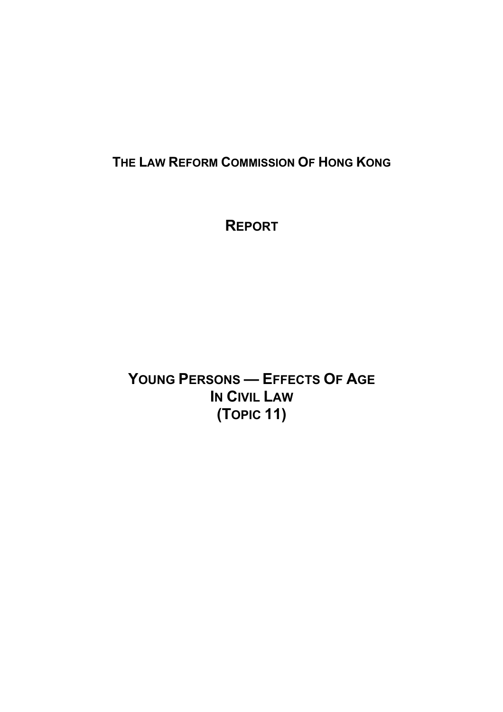# **THE LAW REFORM COMMISSION OF HONG KONG**

# **REPORT**

**YOUNG PERSONS — EFFECTS OF AGE IN CIVIL LAW (TOPIC 11)**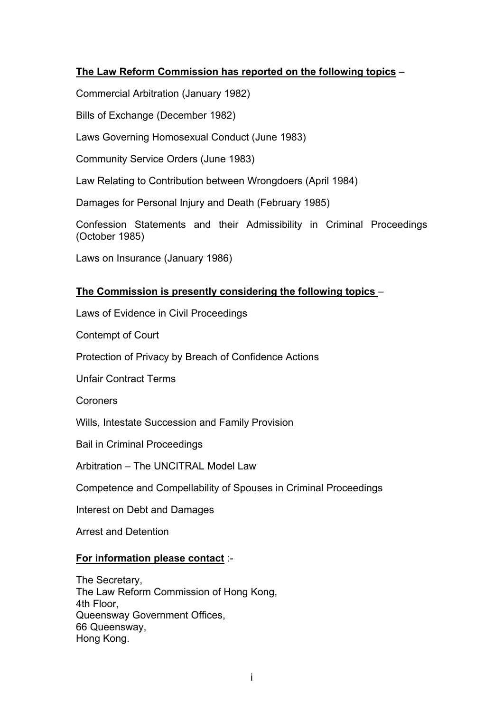## **The Law Reform Commission has reported on the following topics** –

Commercial Arbitration (January 1982)

Bills of Exchange (December 1982)

Laws Governing Homosexual Conduct (June 1983)

Community Service Orders (June 1983)

Law Relating to Contribution between Wrongdoers (April 1984)

Damages for Personal Injury and Death (February 1985)

Confession Statements and their Admissibility in Criminal Proceedings (October 1985)

Laws on Insurance (January 1986)

## **The Commission is presently considering the following topics** –

Laws of Evidence in Civil Proceedings

Contempt of Court

Protection of Privacy by Breach of Confidence Actions

Unfair Contract Terms

Coroners

Wills, Intestate Succession and Family Provision

Bail in Criminal Proceedings

Arbitration – The UNCITRAL Model Law

Competence and Compellability of Spouses in Criminal Proceedings

Interest on Debt and Damages

Arrest and Detention

#### **For information please contact** :-

The Secretary, The Law Reform Commission of Hong Kong, 4th Floor, Queensway Government Offices, 66 Queensway, Hong Kong.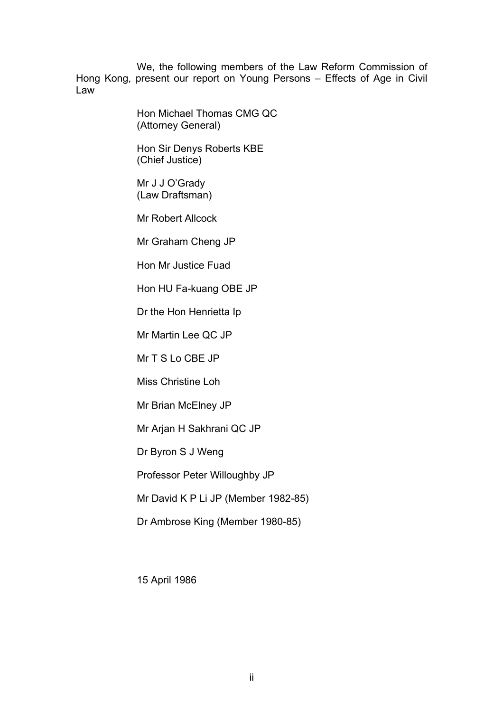We, the following members of the Law Reform Commission of Hong Kong, present our report on Young Persons – Effects of Age in Civil Law

> Hon Michael Thomas CMG QC (Attorney General)

Hon Sir Denys Roberts KBE (Chief Justice)

Mr J J O'Grady (Law Draftsman)

Mr Robert Allcock

Mr Graham Cheng JP

Hon Mr Justice Fuad

Hon HU Fa-kuang OBE JP

Dr the Hon Henrietta Ip

Mr Martin Lee QC JP

Mr T S Lo CBE JP

Miss Christine Loh

Mr Brian McElney JP

Mr Arjan H Sakhrani QC JP

Dr Byron S J Weng

Professor Peter Willoughby JP

Mr David K P Li JP (Member 1982-85)

Dr Ambrose King (Member 1980-85)

15 April 1986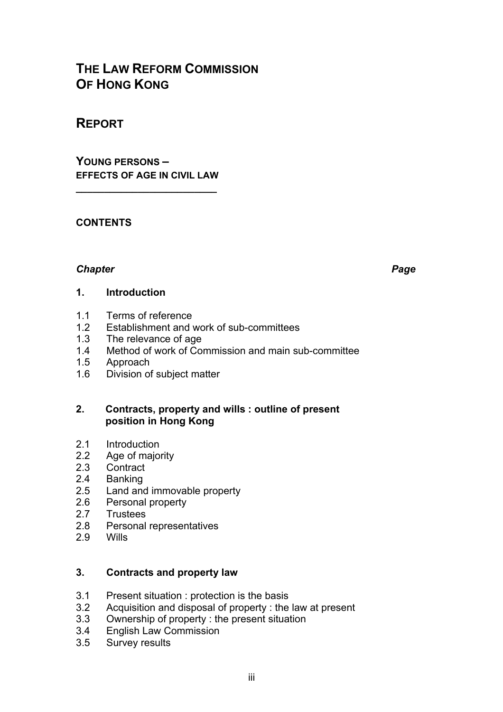## **THE LAW REFORM COMMISSION OF HONG KONG**

## **REPORT**

**YOUNG PERSONS – EFFECTS OF AGE IN CIVIL LAW**

**\_\_\_\_\_\_\_\_\_\_\_\_\_\_\_\_\_\_\_\_\_\_\_\_\_** 

#### **CONTENTS**

#### *Chapter Page*

#### **1. Introduction**

- 1.1 Terms of reference
- 1.2 Establishment and work of sub-committees<br>1.3 The relevance of age
- 1.3 The relevance of age<br>1.4 Method of work of Cor
- Method of work of Commission and main sub-committee
- 1.5 Approach
- 1.6 Division of subject matter

#### **2. Contracts, property and wills : outline of present position in Hong Kong**

- 2.1 Introduction<br>2.2 Age of maio
- 2.2 Age of majority<br>2.3 Contract
- 2.3 Contract<br>2.4 Banking
- 2.4 Banking<br>2.5 Land and
- Land and immovable property
- 2.6 Personal property<br>2.7 Trustees
- 2.7 Trustees<br>2.8 Personal
- 2.8 Personal representatives
- 2.9 Wills

#### **3. Contracts and property law**

- 3.1 Present situation : protection is the basis<br>3.2 Acquisition and disposal of property : the
- Acquisition and disposal of property : the law at present
- 3.3 Ownership of property : the present situation
- 3.4 English Law Commission
- 3.5 Survey results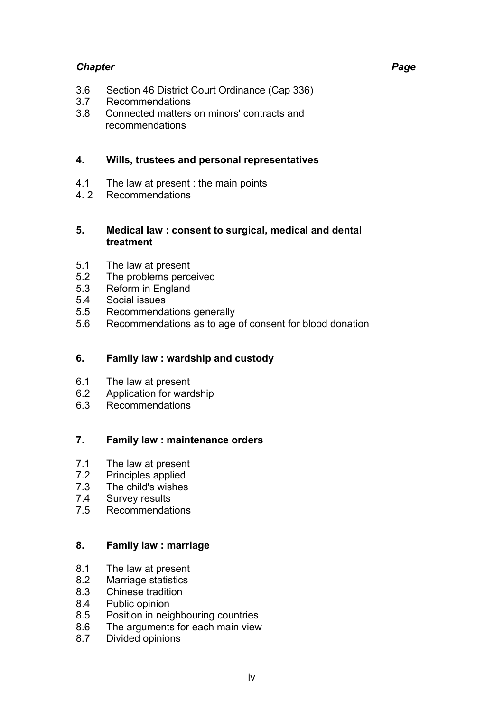- 3.6 Section 46 District Court Ordinance (Cap 336)
- 3.7 Recommendations
- 3.8 Connected matters on minors' contracts and recommendations

### **4. Wills, trustees and personal representatives**

- 4.1 The law at present : the main points
- 4. 2 Recommendations

#### **5. Medical law : consent to surgical, medical and dental treatment**

- 5.1 The law at present
- 5.2 The problems perceived
- 5.3 Reform in England
- 5.4 Social issues
- 5.5 Recommendations generally
- 5.6 Recommendations as to age of consent for blood donation

## **6. Family law : wardship and custody**

- 6.1 The law at present<br>6.2 Application for ward
- 6.2 Application for wardship<br>6.3 Recommendations
- **Recommendations**

## **7. Family law : maintenance orders**

- 7.1 The law at present
- 7.2 Principles applied
- 7.3 The child's wishes
- 7.4 Survey results<br>7.5 Recommendat
- Recommendations

## **8. Family law : marriage**

- 8.1 The law at present
- 8.2 Marriage statistics
- 8.3 Chinese tradition
- 8.4 Public opinion
- 8.5 Position in neighbouring countries
- 8.6 The arguments for each main view
- 8.7 Divided opinions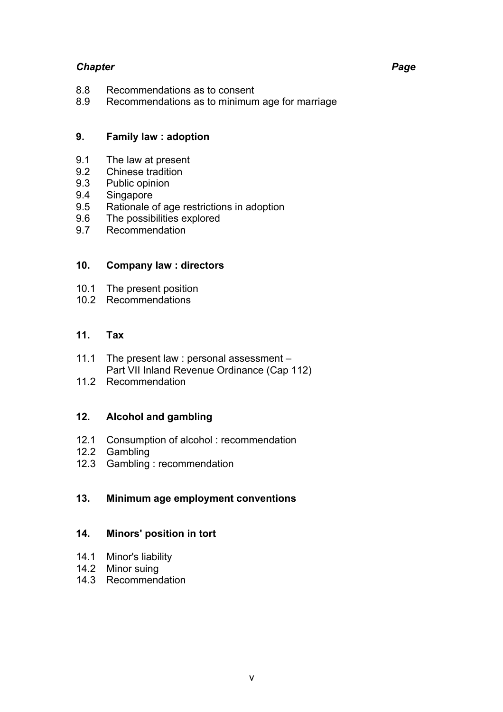- 8.8 Recommendations as to consent<br>8.9 Recommendations as to minimum
- Recommendations as to minimum age for marriage

#### **9. Family law : adoption**

- 9.1 The law at present<br>9.2 Chinese tradition
- Chinese tradition
- 9.3 Public opinion
- 9.4 Singapore
- 9.5 Rationale of age restrictions in adoption<br>9.6 The possibilities explored
- 9.6 The possibilities explored<br>9.7 Recommendation
- Recommendation

#### **10. Company law : directors**

- 10.1 The present position
- 10.2 Recommendations

#### **11. Tax**

- 11.1 The present law : personal assessment Part VII Inland Revenue Ordinance (Cap 112)
- 11.2 Recommendation

#### **12. Alcohol and gambling**

- 12.1 Consumption of alcohol : recommendation
- 12.2 Gambling
- 12.3 Gambling : recommendation

#### **13. Minimum age employment conventions**

#### **14. Minors' position in tort**

- 14.1 Minor's liability
- 14.2 Minor suing
- 14.3 Recommendation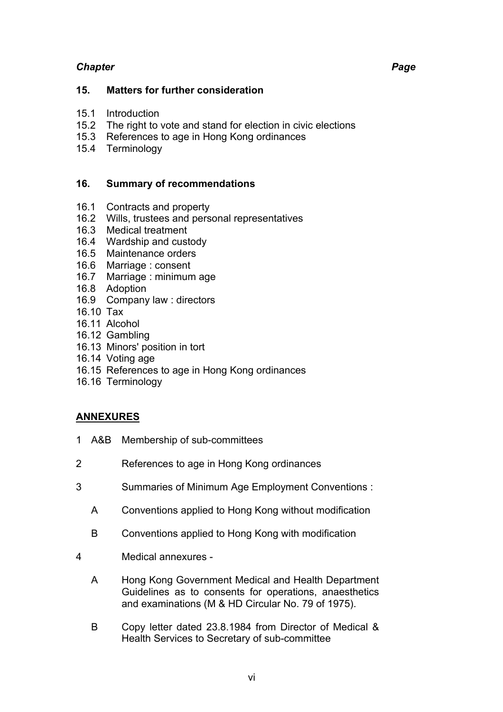#### **15. Matters for further consideration**

- 15.1 Introduction
- 15.2 The right to vote and stand for election in civic elections
- 15.3 References to age in Hong Kong ordinances
- 15.4 Terminology

#### **16. Summary of recommendations**

- 16.1 Contracts and property
- 16.2 Wills, trustees and personal representatives
- 16.3 Medical treatment
- 16.4 Wardship and custody
- 16.5 Maintenance orders
- 16.6 Marriage : consent
- 16.7 Marriage : minimum age
- 16.8 Adoption
- 16.9 Company law : directors
- 16.10 Tax
- 16.11 Alcohol
- 16.12 Gambling
- 16.13 Minors' position in tort
- 16.14 Voting age
- 16.15 References to age in Hong Kong ordinances
- 16.16 Terminology

## **ANNEXURES**

- 1 A&B Membership of sub-committees
- 2 References to age in Hong Kong ordinances
- 3 Summaries of Minimum Age Employment Conventions :
	- A Conventions applied to Hong Kong without modification
	- B Conventions applied to Hong Kong with modification
- 4 Medical annexures
	- A Hong Kong Government Medical and Health Department Guidelines as to consents for operations, anaesthetics and examinations (M & HD Circular No. 79 of 1975).
	- B Copy letter dated 23.8.1984 from Director of Medical & Health Services to Secretary of sub-committee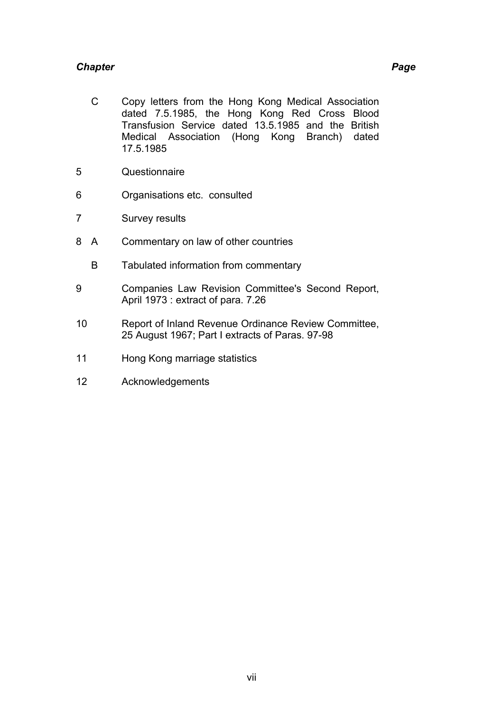- C Copy letters from the Hong Kong Medical Association dated 7.5.1985, the Hong Kong Red Cross Blood Transfusion Service dated 13.5.1985 and the British Medical Association (Hong Kong Branch) dated 17.5.1985
- 5 Questionnaire
- 6 Organisations etc. consulted
- 7 Survey results
- 8 A Commentary on law of other countries
	- B Tabulated information from commentary
- 9 Companies Law Revision Committee's Second Report, April 1973 : extract of para. 7.26
- 10 Report of Inland Revenue Ordinance Review Committee, 25 August 1967; Part I extracts of Paras. 97-98
- 11 Hong Kong marriage statistics
- 12 Acknowledgements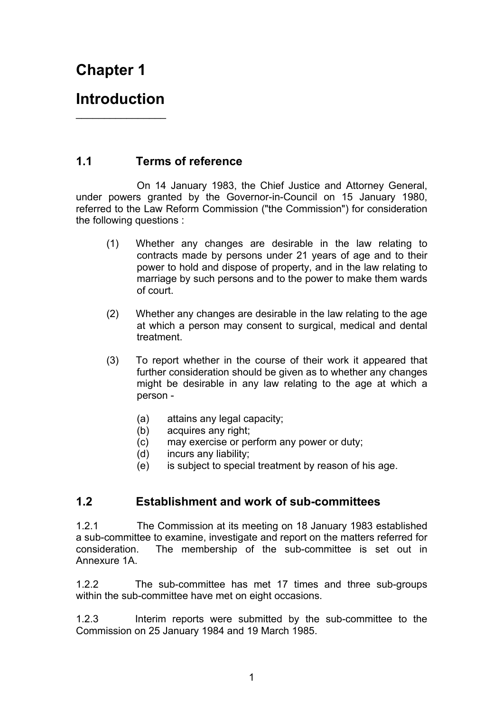# **Chapter 1**

## **Introduction**   $\overline{\phantom{a}}$  , where  $\overline{\phantom{a}}$

## **1.1 Terms of reference**

 On 14 January 1983, the Chief Justice and Attorney General, under powers granted by the Governor-in-Council on 15 January 1980, referred to the Law Reform Commission ("the Commission") for consideration the following questions :

- (1) Whether any changes are desirable in the law relating to contracts made by persons under 21 years of age and to their power to hold and dispose of property, and in the law relating to marriage by such persons and to the power to make them wards of court.
- (2) Whether any changes are desirable in the law relating to the age at which a person may consent to surgical, medical and dental treatment.
- (3) To report whether in the course of their work it appeared that further consideration should be given as to whether any changes might be desirable in any law relating to the age at which a person -
	- (a) attains any legal capacity;
	- (b) acquires any right;
	- (c) may exercise or perform any power or duty;
	- (d) incurs any liability;
	- (e) is subject to special treatment by reason of his age.

## **1.2 Establishment and work of sub-committees**

1.2.1 The Commission at its meeting on 18 January 1983 established a sub-committee to examine, investigate and report on the matters referred for consideration. The membership of the sub-committee is set out in Annexure 1A.

1.2.2 The sub-committee has met 17 times and three sub-groups within the sub-committee have met on eight occasions.

1.2.3 Interim reports were submitted by the sub-committee to the Commission on 25 January 1984 and 19 March 1985.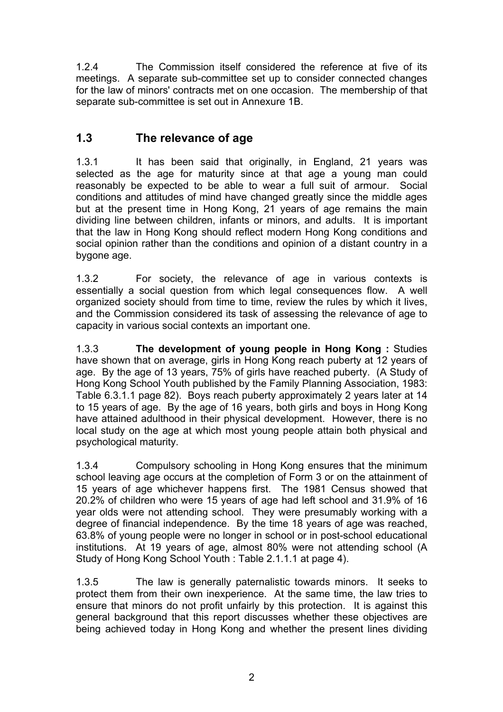1.2.4 The Commission itself considered the reference at five of its meetings. A separate sub-committee set up to consider connected changes for the law of minors' contracts met on one occasion. The membership of that separate sub-committee is set out in Annexure 1B.

## **1.3 The relevance of age**

1.3.1 It has been said that originally, in England, 21 years was selected as the age for maturity since at that age a young man could reasonably be expected to be able to wear a full suit of armour. Social conditions and attitudes of mind have changed greatly since the middle ages but at the present time in Hong Kong, 21 years of age remains the main dividing line between children, infants or minors, and adults. It is important that the law in Hong Kong should reflect modern Hong Kong conditions and social opinion rather than the conditions and opinion of a distant country in a bygone age.

1.3.2 For society, the relevance of age in various contexts is essentially a social question from which legal consequences flow. A well organized society should from time to time, review the rules by which it lives, and the Commission considered its task of assessing the relevance of age to capacity in various social contexts an important one.

1.3.3 **The development of young people in Hong Kong :** Studies have shown that on average, girls in Hong Kong reach puberty at 12 years of age. By the age of 13 years, 75% of girls have reached puberty. (A Study of Hong Kong School Youth published by the Family Planning Association, 1983: Table 6.3.1.1 page 82). Boys reach puberty approximately 2 years later at 14 to 15 years of age. By the age of 16 years, both girls and boys in Hong Kong have attained adulthood in their physical development. However, there is no local study on the age at which most young people attain both physical and psychological maturity.

1.3.4 Compulsory schooling in Hong Kong ensures that the minimum school leaving age occurs at the completion of Form 3 or on the attainment of 15 years of age whichever happens first. The 1981 Census showed that 20.2% of children who were 15 years of age had left school and 31.9% of 16 year olds were not attending school. They were presumably working with a degree of financial independence. By the time 18 years of age was reached, 63.8% of young people were no longer in school or in post-school educational institutions. At 19 years of age, almost 80% were not attending school (A Study of Hong Kong School Youth : Table 2.1.1.1 at page 4).

1.3.5 The law is generally paternalistic towards minors. It seeks to protect them from their own inexperience. At the same time, the law tries to ensure that minors do not profit unfairly by this protection. It is against this general background that this report discusses whether these objectives are being achieved today in Hong Kong and whether the present lines dividing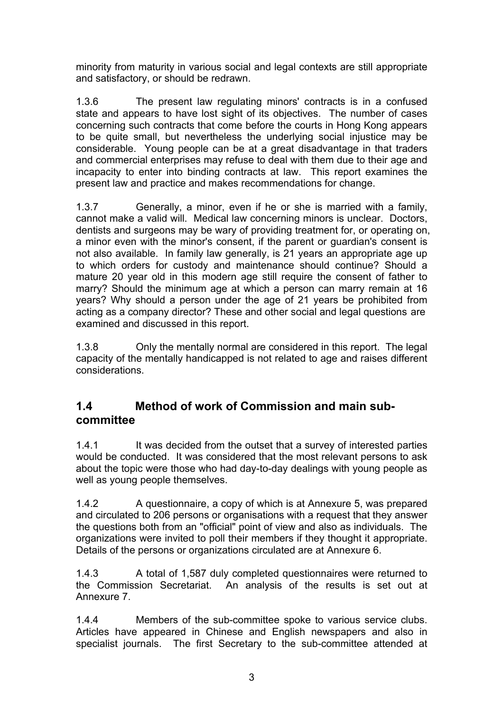minority from maturity in various social and legal contexts are still appropriate and satisfactory, or should be redrawn.

1.3.6 The present law regulating minors' contracts is in a confused state and appears to have lost sight of its objectives. The number of cases concerning such contracts that come before the courts in Hong Kong appears to be quite small, but nevertheless the underlying social injustice may be considerable. Young people can be at a great disadvantage in that traders and commercial enterprises may refuse to deal with them due to their age and incapacity to enter into binding contracts at law. This report examines the present law and practice and makes recommendations for change.

1.3.7 Generally, a minor, even if he or she is married with a family, cannot make a valid will. Medical law concerning minors is unclear. Doctors, dentists and surgeons may be wary of providing treatment for, or operating on, a minor even with the minor's consent, if the parent or guardian's consent is not also available. In family law generally, is 21 years an appropriate age up to which orders for custody and maintenance should continue? Should a mature 20 year old in this modern age still require the consent of father to marry? Should the minimum age at which a person can marry remain at 16 years? Why should a person under the age of 21 years be prohibited from acting as a company director? These and other social and legal questions are examined and discussed in this report.

1.3.8 Only the mentally normal are considered in this report. The legal capacity of the mentally handicapped is not related to age and raises different considerations.

## **1.4 Method of work of Commission and main subcommittee**

1.4.1 It was decided from the outset that a survey of interested parties would be conducted. It was considered that the most relevant persons to ask about the topic were those who had day-to-day dealings with young people as well as young people themselves.

1.4.2 A questionnaire, a copy of which is at Annexure 5, was prepared and circulated to 206 persons or organisations with a request that they answer the questions both from an "official" point of view and also as individuals. The organizations were invited to poll their members if they thought it appropriate. Details of the persons or organizations circulated are at Annexure 6.

1.4.3 A total of 1,587 duly completed questionnaires were returned to the Commission Secretariat. An analysis of the results is set out at Annexure 7.

1.4.4 Members of the sub-committee spoke to various service clubs. Articles have appeared in Chinese and English newspapers and also in specialist journals. The first Secretary to the sub-committee attended at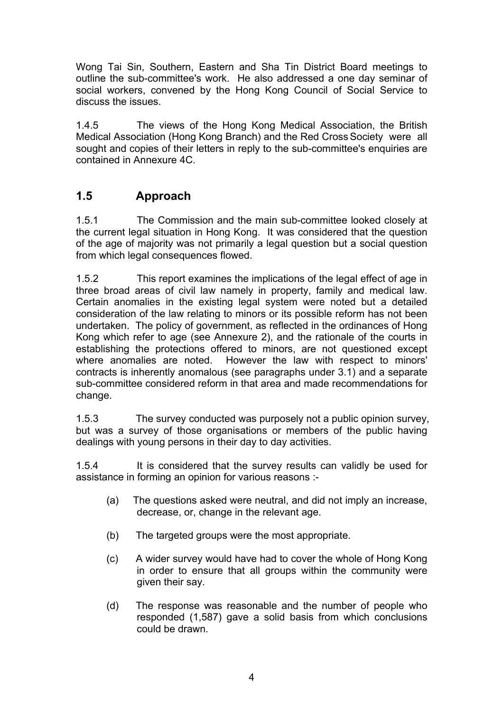Wong Tai Sin, Southern, Eastern and Sha Tin District Board meetings to outline the sub-committee's work. He also addressed a one day seminar of social workers, convened by the Hong Kong Council of Social Service to discuss the issues.

1.4.5 The views of the Hong Kong Medical Association, the British Medical Association (Hong Kong Branch) and the Red Cross Society were all sought and copies of their letters in reply to the sub-committee's enquiries are contained in Annexure 4C.

## **1.5 Approach**

1.5.1 The Commission and the main sub-committee looked closely at the current legal situation in Hong Kong. It was considered that the question of the age of majority was not primarily a legal question but a social question from which legal consequences flowed.

1.5.2 This report examines the implications of the legal effect of age in three broad areas of civil law namely in property, family and medical law. Certain anomalies in the existing legal system were noted but a detailed consideration of the law relating to minors or its possible reform has not been undertaken. The policy of government, as reflected in the ordinances of Hong Kong which refer to age (see Annexure 2), and the rationale of the courts in establishing the protections offered to minors, are not questioned except where anomalies are noted. However the law with respect to minors' contracts is inherently anomalous (see paragraphs under 3.1) and a separate sub-committee considered reform in that area and made recommendations for change.

1.5.3 The survey conducted was purposely not a public opinion survey, but was a survey of those organisations or members of the public having dealings with young persons in their day to day activities.

1.5.4 It is considered that the survey results can validly be used for assistance in forming an opinion for various reasons :-

- (a) The questions asked were neutral, and did not imply an increase, decrease, or, change in the relevant age.
- (b) The targeted groups were the most appropriate.
- (c) A wider survey would have had to cover the whole of Hong Kong in order to ensure that all groups within the community were given their say.
- (d) The response was reasonable and the number of people who responded (1,587) gave a solid basis from which conclusions could be drawn.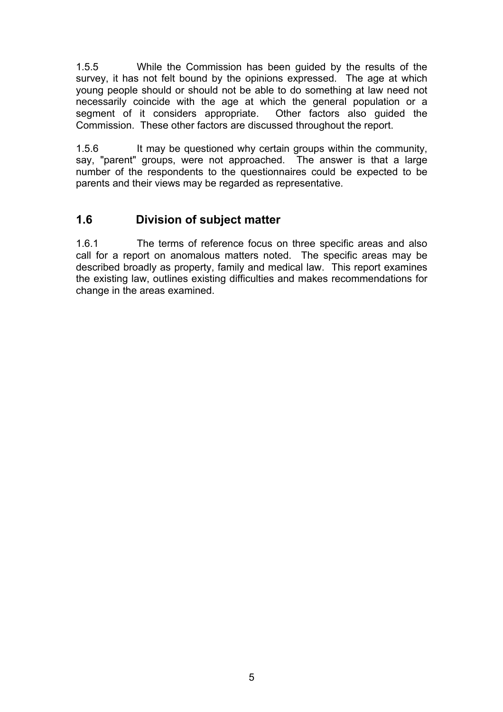1.5.5 While the Commission has been guided by the results of the survey, it has not felt bound by the opinions expressed. The age at which young people should or should not be able to do something at law need not necessarily coincide with the age at which the general population or a segment of it considers appropriate. Other factors also guided the Commission. These other factors are discussed throughout the report.

1.5.6 It may be questioned why certain groups within the community, say, "parent" groups, were not approached. The answer is that a large number of the respondents to the questionnaires could be expected to be parents and their views may be regarded as representative.

## **1.6 Division of subject matter**

1.6.1 The terms of reference focus on three specific areas and also call for a report on anomalous matters noted. The specific areas may be described broadly as property, family and medical law. This report examines the existing law, outlines existing difficulties and makes recommendations for change in the areas examined.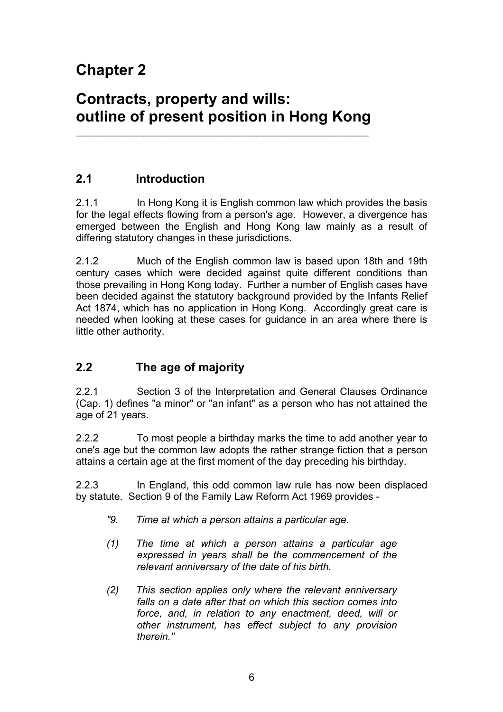# **Chapter 2**

# **Contracts, property and wills: outline of present position in Hong Kong**

\_\_\_\_\_\_\_\_\_\_\_\_\_\_\_\_\_\_\_\_\_\_\_\_\_\_\_\_\_\_\_\_\_\_\_\_\_\_\_\_\_\_\_\_\_\_\_\_\_\_\_\_

## **2.1 Introduction**

2.1.1 In Hong Kong it is English common law which provides the basis for the legal effects flowing from a person's age. However, a divergence has emerged between the English and Hong Kong law mainly as a result of differing statutory changes in these jurisdictions.

2.1.2 Much of the English common law is based upon 18th and 19th century cases which were decided against quite different conditions than those prevailing in Hong Kong today. Further a number of English cases have been decided against the statutory background provided by the Infants Relief Act 1874, which has no application in Hong Kong. Accordingly great care is needed when looking at these cases for guidance in an area where there is little other authority.

## **2.2 The age of majority**

2.2.1 Section 3 of the Interpretation and General Clauses Ordinance (Cap. 1) defines "a minor" or "an infant" as a person who has not attained the age of 21 years.

2.2.2 To most people a birthday marks the time to add another year to one's age but the common law adopts the rather strange fiction that a person attains a certain age at the first moment of the day preceding his birthday.

2.2.3 In England, this odd common law rule has now been displaced by statute. Section 9 of the Family Law Reform Act 1969 provides -

- *"9. Time at which a person attains a particular age.*
- *(1) The time at which a person attains a particular age expressed in years shall be the commencement of the relevant anniversary of the date of his birth.*
- *(2) This section applies only where the relevant anniversary falls on a date after that on which this section comes into force, and, in relation to any enactment, deed, will or other instrument, has effect subject to any provision therein."*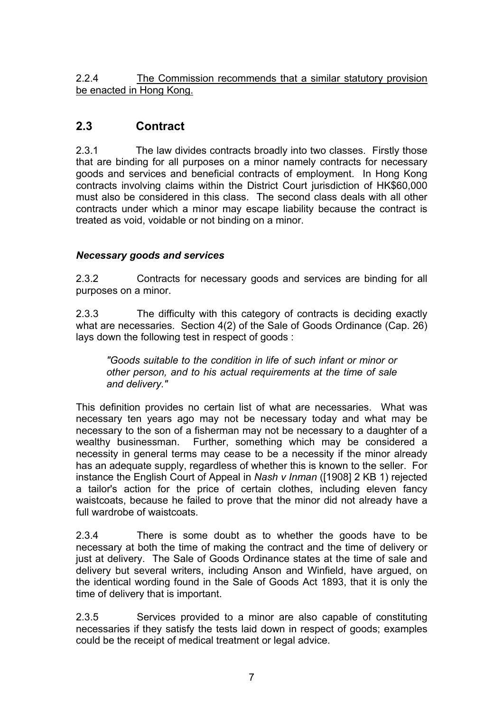2.2.4 The Commission recommends that a similar statutory provision be enacted in Hong Kong.

## **2.3 Contract**

2.3.1 The law divides contracts broadly into two classes. Firstly those that are binding for all purposes on a minor namely contracts for necessary goods and services and beneficial contracts of employment. In Hong Kong contracts involving claims within the District Court jurisdiction of HK\$60,000 must also be considered in this class. The second class deals with all other contracts under which a minor may escape liability because the contract is treated as void, voidable or not binding on a minor.

## *Necessary goods and services*

2.3.2 Contracts for necessary goods and services are binding for all purposes on a minor.

2.3.3 The difficulty with this category of contracts is deciding exactly what are necessaries. Section 4(2) of the Sale of Goods Ordinance (Cap. 26) lays down the following test in respect of goods :

*"Goods suitable to the condition in life of such infant or minor or other person, and to his actual requirements at the time of sale and delivery."* 

This definition provides no certain list of what are necessaries. What was necessary ten years ago may not be necessary today and what may be necessary to the son of a fisherman may not be necessary to a daughter of a wealthy businessman. Further, something which may be considered a necessity in general terms may cease to be a necessity if the minor already has an adequate supply, regardless of whether this is known to the seller. For instance the English Court of Appeal in *Nash v Inman* ([1908] 2 KB 1) rejected a tailor's action for the price of certain clothes, including eleven fancy waistcoats, because he failed to prove that the minor did not already have a full wardrobe of waistcoats.

2.3.4 There is some doubt as to whether the goods have to be necessary at both the time of making the contract and the time of delivery or just at delivery. The Sale of Goods Ordinance states at the time of sale and delivery but several writers, including Anson and Winfield, have argued, on the identical wording found in the Sale of Goods Act 1893, that it is only the time of delivery that is important.

2.3.5 Services provided to a minor are also capable of constituting necessaries if they satisfy the tests laid down in respect of goods; examples could be the receipt of medical treatment or legal advice.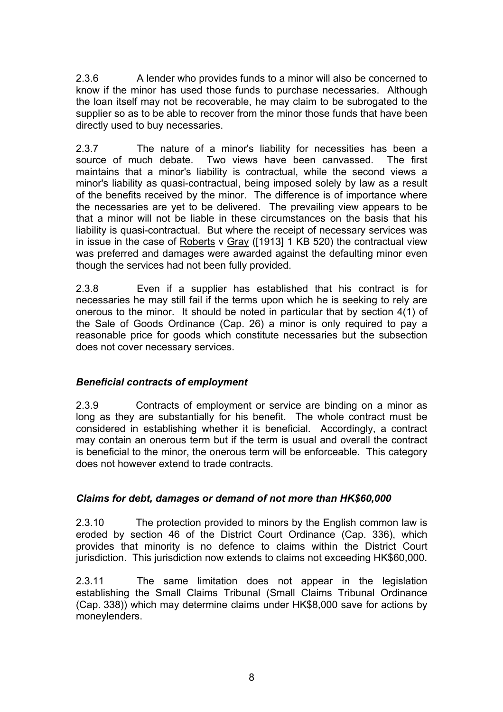2.3.6 A lender who provides funds to a minor will also be concerned to know if the minor has used those funds to purchase necessaries. Although the loan itself may not be recoverable, he may claim to be subrogated to the supplier so as to be able to recover from the minor those funds that have been directly used to buy necessaries.

2.3.7 The nature of a minor's liability for necessities has been a source of much debate. Two views have been canvassed. The first maintains that a minor's liability is contractual, while the second views a minor's liability as quasi-contractual, being imposed solely by law as a result of the benefits received by the minor. The difference is of importance where the necessaries are yet to be delivered. The prevailing view appears to be that a minor will not be liable in these circumstances on the basis that his liability is quasi-contractual. But where the receipt of necessary services was in issue in the case of Roberts v Gray ([1913] 1 KB 520) the contractual view was preferred and damages were awarded against the defaulting minor even though the services had not been fully provided.

2.3.8 Even if a supplier has established that his contract is for necessaries he may still fail if the terms upon which he is seeking to rely are onerous to the minor. It should be noted in particular that by section 4(1) of the Sale of Goods Ordinance (Cap. 26) a minor is only required to pay a reasonable price for goods which constitute necessaries but the subsection does not cover necessary services.

#### *Beneficial contracts of employment*

2.3.9 Contracts of employment or service are binding on a minor as long as they are substantially for his benefit. The whole contract must be considered in establishing whether it is beneficial. Accordingly, a contract may contain an onerous term but if the term is usual and overall the contract is beneficial to the minor, the onerous term will be enforceable. This category does not however extend to trade contracts.

#### *Claims for debt, damages or demand of not more than HK\$60,000*

2.3.10 The protection provided to minors by the English common law is eroded by section 46 of the District Court Ordinance (Cap. 336), which provides that minority is no defence to claims within the District Court jurisdiction. This jurisdiction now extends to claims not exceeding HK\$60,000.

2.3.11 The same limitation does not appear in the legislation establishing the Small Claims Tribunal (Small Claims Tribunal Ordinance (Cap. 338)) which may determine claims under HK\$8,000 save for actions by moneylenders.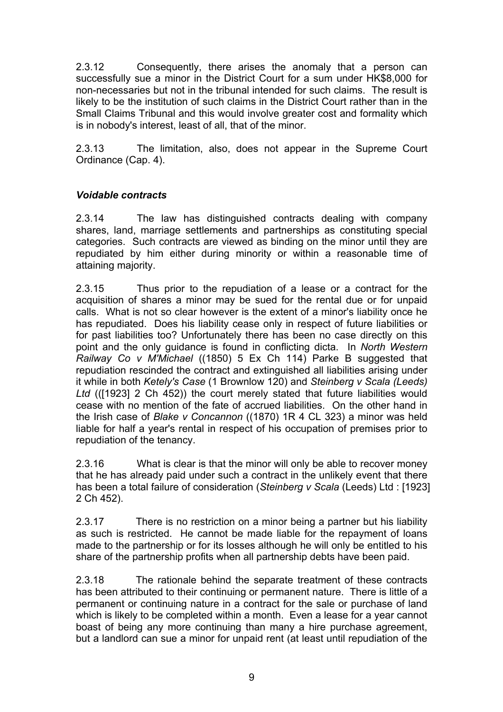2.3.12 Consequently, there arises the anomaly that a person can successfully sue a minor in the District Court for a sum under HK\$8,000 for non-necessaries but not in the tribunal intended for such claims. The result is likely to be the institution of such claims in the District Court rather than in the Small Claims Tribunal and this would involve greater cost and formality which is in nobody's interest, least of all, that of the minor.

2.3.13 The limitation, also, does not appear in the Supreme Court Ordinance (Cap. 4).

#### *Voidable contracts*

2.3.14 The law has distinguished contracts dealing with company shares, land, marriage settlements and partnerships as constituting special categories. Such contracts are viewed as binding on the minor until they are repudiated by him either during minority or within a reasonable time of attaining majority.

2.3.15 Thus prior to the repudiation of a lease or a contract for the acquisition of shares a minor may be sued for the rental due or for unpaid calls. What is not so clear however is the extent of a minor's liability once he has repudiated. Does his liability cease only in respect of future liabilities or for past liabilities too? Unfortunately there has been no case directly on this point and the only guidance is found in conflicting dicta. In *North Western Railway Co v M'Michael* ((1850) 5 Ex Ch 114) Parke B suggested that repudiation rescinded the contract and extinguished all liabilities arising under it while in both *Ketely's Case* (1 Brownlow 120) and *Steinberg v Scala (Leeds) Ltd* (([1923] 2 Ch 452)) the court merely stated that future liabilities would cease with no mention of the fate of accrued liabilities. On the other hand in the Irish case of *Blake v Concannon* ((1870) 1R 4 CL 323) a minor was held liable for half a year's rental in respect of his occupation of premises prior to repudiation of the tenancy.

2.3.16 What is clear is that the minor will only be able to recover money that he has already paid under such a contract in the unlikely event that there has been a total failure of consideration (*Steinberg v Scala* (Leeds) Ltd : [1923] 2 Ch 452).

2.3.17 There is no restriction on a minor being a partner but his liability as such is restricted. He cannot be made liable for the repayment of loans made to the partnership or for its losses although he will only be entitled to his share of the partnership profits when all partnership debts have been paid.

2.3.18 The rationale behind the separate treatment of these contracts has been attributed to their continuing or permanent nature. There is little of a permanent or continuing nature in a contract for the sale or purchase of land which is likely to be completed within a month. Even a lease for a year cannot boast of being any more continuing than many a hire purchase agreement, but a landlord can sue a minor for unpaid rent (at least until repudiation of the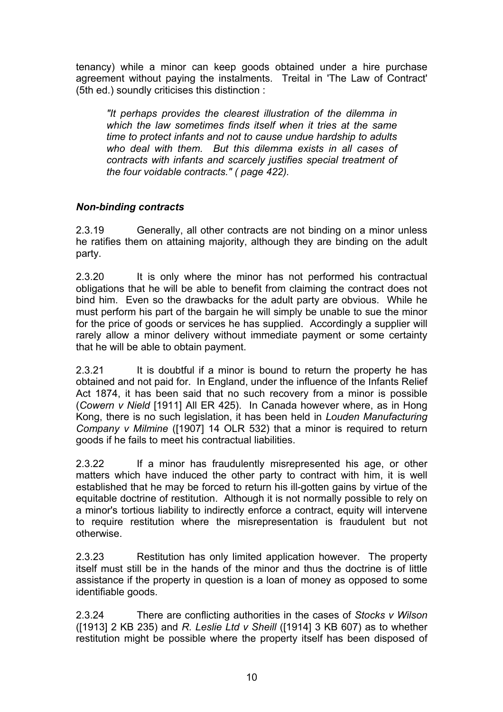tenancy) while a minor can keep goods obtained under a hire purchase agreement without paying the instalments. Treital in 'The Law of Contract' (5th ed.) soundly criticises this distinction :

*"It perhaps provides the clearest illustration of the dilemma in which the law sometimes finds itself when it tries at the same time to protect infants and not to cause undue hardship to adults who deal with them. But this dilemma exists in all cases of contracts with infants and scarcely justifies special treatment of the four voidable contracts." ( page 422).* 

#### *Non-binding contracts*

2.3.19 Generally, all other contracts are not binding on a minor unless he ratifies them on attaining majority, although they are binding on the adult party.

2.3.20 It is only where the minor has not performed his contractual obligations that he will be able to benefit from claiming the contract does not bind him. Even so the drawbacks for the adult party are obvious. While he must perform his part of the bargain he will simply be unable to sue the minor for the price of goods or services he has supplied. Accordingly a supplier will rarely allow a minor delivery without immediate payment or some certainty that he will be able to obtain payment.

2.3.21 It is doubtful if a minor is bound to return the property he has obtained and not paid for. In England, under the influence of the Infants Relief Act 1874, it has been said that no such recovery from a minor is possible (*Cowern v Nield* [1911] All ER 425). In Canada however where, as in Hong Kong, there is no such legislation, it has been held in *Louden Manufacturing Company v Milmine* ([1907] 14 OLR 532) that a minor is required to return goods if he fails to meet his contractual liabilities.

2.3.22 If a minor has fraudulently misrepresented his age, or other matters which have induced the other party to contract with him, it is well established that he may be forced to return his ill-gotten gains by virtue of the equitable doctrine of restitution. Although it is not normally possible to rely on a minor's tortious liability to indirectly enforce a contract, equity will intervene to require restitution where the misrepresentation is fraudulent but not otherwise.

2.3.23 Restitution has only limited application however. The property itself must still be in the hands of the minor and thus the doctrine is of little assistance if the property in question is a loan of money as opposed to some identifiable goods.

2.3.24 There are conflicting authorities in the cases of *Stocks v Wilson* ([1913] 2 KB 235) and *R. Leslie Ltd v Sheill* ([1914] 3 KB 607) as to whether restitution might be possible where the property itself has been disposed of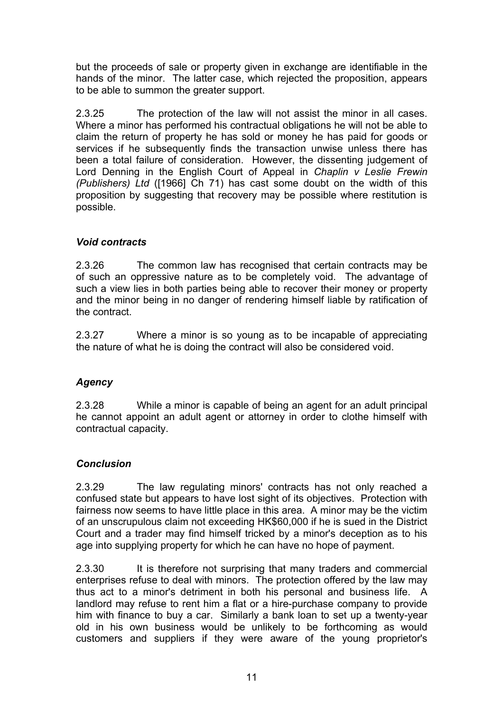but the proceeds of sale or property given in exchange are identifiable in the hands of the minor. The latter case, which rejected the proposition, appears to be able to summon the greater support.

2.3.25 The protection of the law will not assist the minor in all cases. Where a minor has performed his contractual obligations he will not be able to claim the return of property he has sold or money he has paid for goods or services if he subsequently finds the transaction unwise unless there has been a total failure of consideration. However, the dissenting judgement of Lord Denning in the English Court of Appeal in *Chaplin v Leslie Frewin (Publishers) Ltd* ([1966] Ch 71) has cast some doubt on the width of this proposition by suggesting that recovery may be possible where restitution is possible.

#### *Void contracts*

2.3.26 The common law has recognised that certain contracts may be of such an oppressive nature as to be completely void. The advantage of such a view lies in both parties being able to recover their money or property and the minor being in no danger of rendering himself liable by ratification of the contract.

2.3.27 Where a minor is so young as to be incapable of appreciating the nature of what he is doing the contract will also be considered void.

#### *Agency*

2.3.28 While a minor is capable of being an agent for an adult principal he cannot appoint an adult agent or attorney in order to clothe himself with contractual capacity.

#### *Conclusion*

2.3.29 The law regulating minors' contracts has not only reached a confused state but appears to have lost sight of its objectives. Protection with fairness now seems to have little place in this area. A minor may be the victim of an unscrupulous claim not exceeding HK\$60,000 if he is sued in the District Court and a trader may find himself tricked by a minor's deception as to his age into supplying property for which he can have no hope of payment.

2.3.30 It is therefore not surprising that many traders and commercial enterprises refuse to deal with minors. The protection offered by the law may thus act to a minor's detriment in both his personal and business life. A landlord may refuse to rent him a flat or a hire-purchase company to provide him with finance to buy a car. Similarly a bank loan to set up a twenty-year old in his own business would be unlikely to be forthcoming as would customers and suppliers if they were aware of the young proprietor's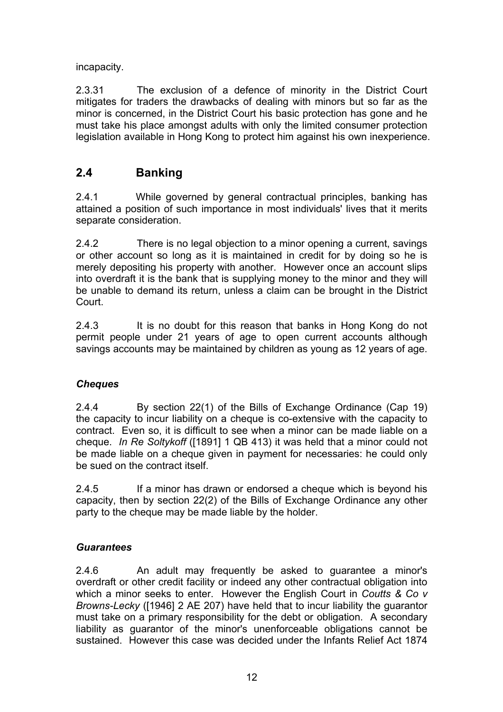incapacity.

2.3.31 The exclusion of a defence of minority in the District Court mitigates for traders the drawbacks of dealing with minors but so far as the minor is concerned, in the District Court his basic protection has gone and he must take his place amongst adults with only the limited consumer protection legislation available in Hong Kong to protect him against his own inexperience.

## **2.4 Banking**

2.4.1 While governed by general contractual principles, banking has attained a position of such importance in most individuals' lives that it merits separate consideration.

2.4.2 There is no legal objection to a minor opening a current, savings or other account so long as it is maintained in credit for by doing so he is merely depositing his property with another. However once an account slips into overdraft it is the bank that is supplying money to the minor and they will be unable to demand its return, unless a claim can be brought in the District **Court.** 

2.4.3 It is no doubt for this reason that banks in Hong Kong do not permit people under 21 years of age to open current accounts although savings accounts may be maintained by children as young as 12 years of age.

## *Cheques*

2.4.4 By section 22(1) of the Bills of Exchange Ordinance (Cap 19) the capacity to incur liability on a cheque is co-extensive with the capacity to contract. Even so, it is difficult to see when a minor can be made liable on a cheque. *In Re Soltykoff* ([1891] 1 QB 413) it was held that a minor could not be made liable on a cheque given in payment for necessaries: he could only be sued on the contract itself.

2.4.5 If a minor has drawn or endorsed a cheque which is beyond his capacity, then by section 22(2) of the Bills of Exchange Ordinance any other party to the cheque may be made liable by the holder.

#### *Guarantees*

2.4.6 An adult may frequently be asked to guarantee a minor's overdraft or other credit facility or indeed any other contractual obligation into which a minor seeks to enter. However the English Court in *Coutts & Co v Browns-Lecky* ([1946] 2 AE 207) have held that to incur liability the guarantor must take on a primary responsibility for the debt or obligation. A secondary liability as guarantor of the minor's unenforceable obligations cannot be sustained. However this case was decided under the Infants Relief Act 1874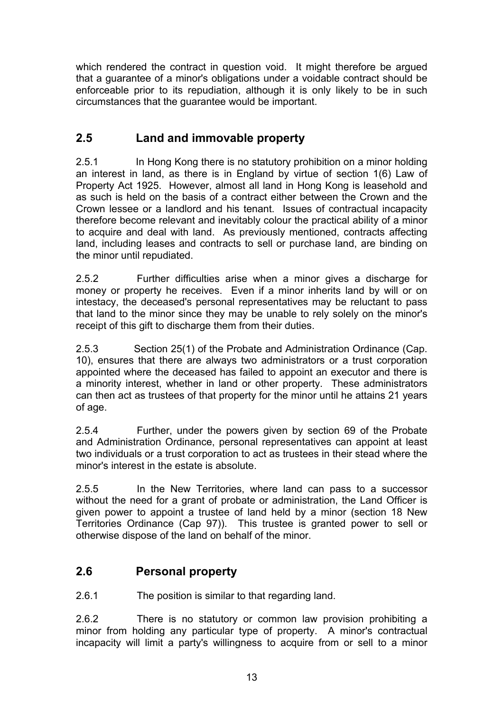which rendered the contract in question void. It might therefore be argued that a guarantee of a minor's obligations under a voidable contract should be enforceable prior to its repudiation, although it is only likely to be in such circumstances that the guarantee would be important.

## **2.5 Land and immovable property**

2.5.1 In Hong Kong there is no statutory prohibition on a minor holding an interest in land, as there is in England by virtue of section 1(6) Law of Property Act 1925. However, almost all land in Hong Kong is leasehold and as such is held on the basis of a contract either between the Crown and the Crown lessee or a landlord and his tenant. Issues of contractual incapacity therefore become relevant and inevitably colour the practical ability of a minor to acquire and deal with land. As previously mentioned, contracts affecting land, including leases and contracts to sell or purchase land, are binding on the minor until repudiated.

2.5.2 Further difficulties arise when a minor gives a discharge for money or property he receives. Even if a minor inherits land by will or on intestacy, the deceased's personal representatives may be reluctant to pass that land to the minor since they may be unable to rely solely on the minor's receipt of this gift to discharge them from their duties.

2.5.3 Section 25(1) of the Probate and Administration Ordinance (Cap. 10), ensures that there are always two administrators or a trust corporation appointed where the deceased has failed to appoint an executor and there is a minority interest, whether in land or other property. These administrators can then act as trustees of that property for the minor until he attains 21 years of age.

2.5.4 Further, under the powers given by section 69 of the Probate and Administration Ordinance, personal representatives can appoint at least two individuals or a trust corporation to act as trustees in their stead where the minor's interest in the estate is absolute.

2.5.5 In the New Territories, where land can pass to a successor without the need for a grant of probate or administration, the Land Officer is given power to appoint a trustee of land held by a minor (section 18 New Territories Ordinance (Cap 97)). This trustee is granted power to sell or otherwise dispose of the land on behalf of the minor.

## **2.6 Personal property**

2.6.1 The position is similar to that regarding land.

2.6.2 There is no statutory or common law provision prohibiting a minor from holding any particular type of property. A minor's contractual incapacity will limit a party's willingness to acquire from or sell to a minor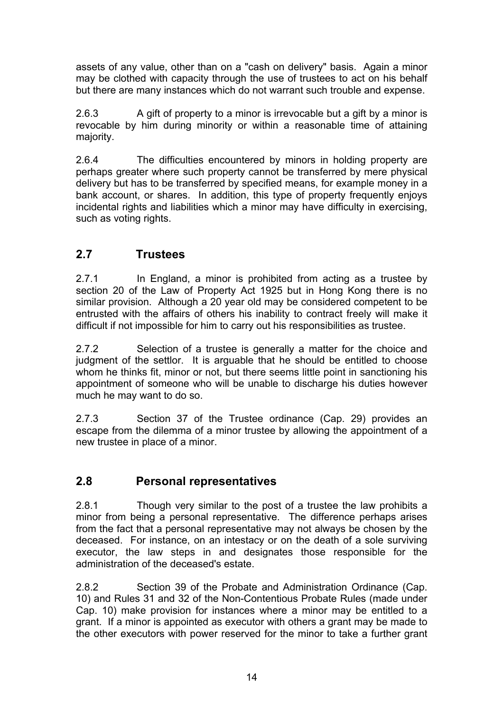assets of any value, other than on a "cash on delivery" basis. Again a minor may be clothed with capacity through the use of trustees to act on his behalf but there are many instances which do not warrant such trouble and expense.

2.6.3 A gift of property to a minor is irrevocable but a gift by a minor is revocable by him during minority or within a reasonable time of attaining majority.

2.6.4 The difficulties encountered by minors in holding property are perhaps greater where such property cannot be transferred by mere physical delivery but has to be transferred by specified means, for example money in a bank account, or shares. In addition, this type of property frequently enjoys incidental rights and liabilities which a minor may have difficulty in exercising, such as voting rights.

## **2.7 Trustees**

2.7.1 In England, a minor is prohibited from acting as a trustee by section 20 of the Law of Property Act 1925 but in Hong Kong there is no similar provision. Although a 20 year old may be considered competent to be entrusted with the affairs of others his inability to contract freely will make it difficult if not impossible for him to carry out his responsibilities as trustee.

2.7.2 Selection of a trustee is generally a matter for the choice and judgment of the settlor. It is arguable that he should be entitled to choose whom he thinks fit, minor or not, but there seems little point in sanctioning his appointment of someone who will be unable to discharge his duties however much he may want to do so.

2.7.3 Section 37 of the Trustee ordinance (Cap. 29) provides an escape from the dilemma of a minor trustee by allowing the appointment of a new trustee in place of a minor.

## **2.8 Personal representatives**

2.8.1 Though very similar to the post of a trustee the law prohibits a minor from being a personal representative. The difference perhaps arises from the fact that a personal representative may not always be chosen by the deceased. For instance, on an intestacy or on the death of a sole surviving executor, the law steps in and designates those responsible for the administration of the deceased's estate.

2.8.2 Section 39 of the Probate and Administration Ordinance (Cap. 10) and Rules 31 and 32 of the Non-Contentious Probate Rules (made under Cap. 10) make provision for instances where a minor may be entitled to a grant. If a minor is appointed as executor with others a grant may be made to the other executors with power reserved for the minor to take a further grant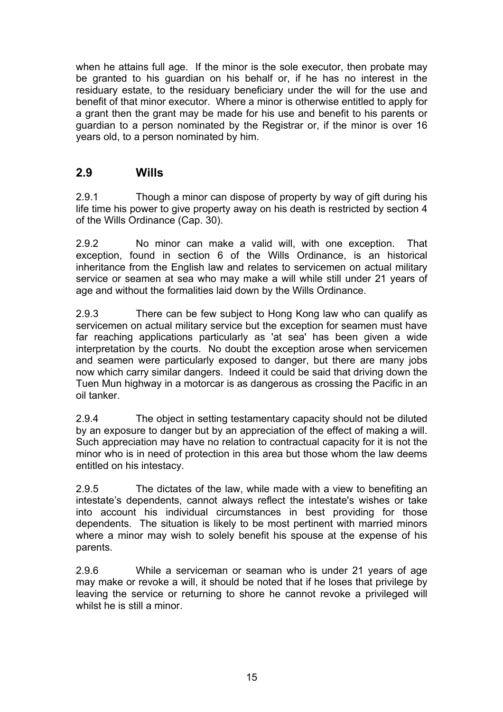when he attains full age. If the minor is the sole executor, then probate may be granted to his guardian on his behalf or, if he has no interest in the residuary estate, to the residuary beneficiary under the will for the use and benefit of that minor executor. Where a minor is otherwise entitled to apply for a grant then the grant may be made for his use and benefit to his parents or guardian to a person nominated by the Registrar or, if the minor is over 16 years old, to a person nominated by him.

## **2.9 Wills**

2.9.1 Though a minor can dispose of property by way of gift during his life time his power to give property away on his death is restricted by section 4 of the Wills Ordinance (Cap. 30).

2.9.2 No minor can make a valid will, with one exception. That exception, found in section 6 of the Wills Ordinance, is an historical inheritance from the English law and relates to servicemen on actual military service or seamen at sea who may make a will while still under 21 years of age and without the formalities laid down by the Wills Ordinance.

2.9.3 There can be few subject to Hong Kong law who can qualify as servicemen on actual military service but the exception for seamen must have far reaching applications particularly as 'at sea' has been given a wide interpretation by the courts. No doubt the exception arose when servicemen and seamen were particularly exposed to danger, but there are many jobs now which carry similar dangers. Indeed it could be said that driving down the Tuen Mun highway in a motorcar is as dangerous as crossing the Pacific in an oil tanker.

2.9.4 The object in setting testamentary capacity should not be diluted by an exposure to danger but by an appreciation of the effect of making a will. Such appreciation may have no relation to contractual capacity for it is not the minor who is in need of protection in this area but those whom the law deems entitled on his intestacy.

2.9.5 The dictates of the law, while made with a view to benefiting an intestate's dependents, cannot always reflect the intestate's wishes or take into account his individual circumstances in best providing for those dependents. The situation is likely to be most pertinent with married minors where a minor may wish to solely benefit his spouse at the expense of his parents.

2.9.6 While a serviceman or seaman who is under 21 years of age may make or revoke a will, it should be noted that if he loses that privilege by leaving the service or returning to shore he cannot revoke a privileged will whilst he is still a minor.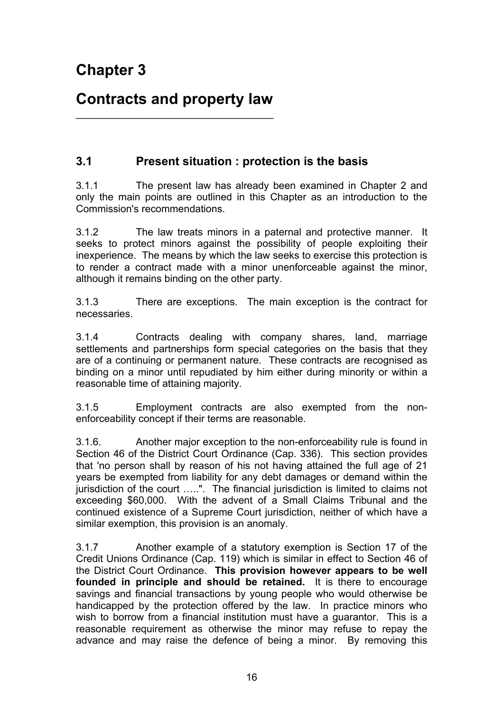## **Contracts and property law**   $\_$

## **3.1 Present situation : protection is the basis**

3.1.1 The present law has already been examined in Chapter 2 and only the main points are outlined in this Chapter as an introduction to the Commission's recommendations.

3.1.2 The law treats minors in a paternal and protective manner. It seeks to protect minors against the possibility of people exploiting their inexperience. The means by which the law seeks to exercise this protection is to render a contract made with a minor unenforceable against the minor, although it remains binding on the other party.

3.1.3 There are exceptions. The main exception is the contract for necessaries.

3.1.4 Contracts dealing with company shares, land, marriage settlements and partnerships form special categories on the basis that they are of a continuing or permanent nature. These contracts are recognised as binding on a minor until repudiated by him either during minority or within a reasonable time of attaining majority.

3.1.5 Employment contracts are also exempted from the nonenforceability concept if their terms are reasonable.

3.1.6. Another major exception to the non-enforceability rule is found in Section 46 of the District Court Ordinance (Cap. 336). This section provides that 'no person shall by reason of his not having attained the full age of 21 years be exempted from liability for any debt damages or demand within the jurisdiction of the court …..". The financial jurisdiction is limited to claims not exceeding \$60,000. With the advent of a Small Claims Tribunal and the continued existence of a Supreme Court jurisdiction, neither of which have a similar exemption, this provision is an anomaly.

3.1.7 Another example of a statutory exemption is Section 17 of the Credit Unions Ordinance (Cap. 119) which is similar in effect to Section 46 of the District Court Ordinance. **This provision however appears to be well founded in principle and should be retained.** It is there to encourage savings and financial transactions by young people who would otherwise be handicapped by the protection offered by the law. In practice minors who wish to borrow from a financial institution must have a guarantor. This is a reasonable requirement as otherwise the minor may refuse to repay the advance and may raise the defence of being a minor. By removing this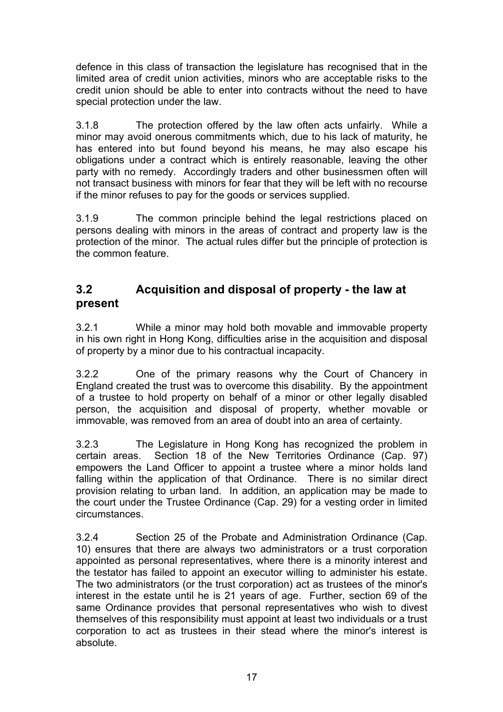defence in this class of transaction the legislature has recognised that in the limited area of credit union activities, minors who are acceptable risks to the credit union should be able to enter into contracts without the need to have special protection under the law.

3.1.8 The protection offered by the law often acts unfairly. While a minor may avoid onerous commitments which, due to his lack of maturity, he has entered into but found beyond his means, he may also escape his obligations under a contract which is entirely reasonable, leaving the other party with no remedy. Accordingly traders and other businessmen often will not transact business with minors for fear that they will be left with no recourse if the minor refuses to pay for the goods or services supplied.

3.1.9 The common principle behind the legal restrictions placed on persons dealing with minors in the areas of contract and property law is the protection of the minor. The actual rules differ but the principle of protection is the common feature.

## **3.2 Acquisition and disposal of property - the law at present**

3.2.1 While a minor may hold both movable and immovable property in his own right in Hong Kong, difficulties arise in the acquisition and disposal of property by a minor due to his contractual incapacity.

3.2.2 One of the primary reasons why the Court of Chancery in England created the trust was to overcome this disability. By the appointment of a trustee to hold property on behalf of a minor or other legally disabled person, the acquisition and disposal of property, whether movable or immovable, was removed from an area of doubt into an area of certainty.

3.2.3 The Legislature in Hong Kong has recognized the problem in certain areas. Section 18 of the New Territories Ordinance (Cap. 97) empowers the Land Officer to appoint a trustee where a minor holds land falling within the application of that Ordinance. There is no similar direct provision relating to urban land. In addition, an application may be made to the court under the Trustee Ordinance (Cap. 29) for a vesting order in limited circumstances.

3.2.4 Section 25 of the Probate and Administration Ordinance (Cap. 10) ensures that there are always two administrators or a trust corporation appointed as personal representatives, where there is a minority interest and the testator has failed to appoint an executor willing to administer his estate. The two administrators (or the trust corporation) act as trustees of the minor's interest in the estate until he is 21 years of age. Further, section 69 of the same Ordinance provides that personal representatives who wish to divest themselves of this responsibility must appoint at least two individuals or a trust corporation to act as trustees in their stead where the minor's interest is absolute.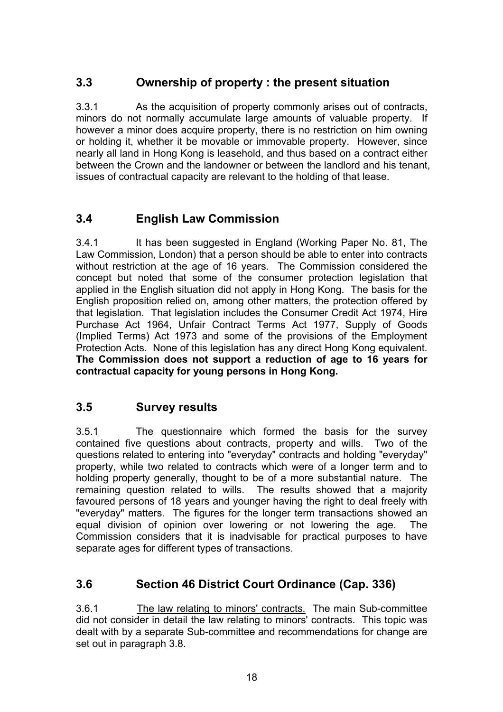## **3.3 Ownership of property : the present situation**

3.3.1 As the acquisition of property commonly arises out of contracts, minors do not normally accumulate large amounts of valuable property. If however a minor does acquire property, there is no restriction on him owning or holding it, whether it be movable or immovable property. However, since nearly all land in Hong Kong is leasehold, and thus based on a contract either between the Crown and the landowner or between the landlord and his tenant, issues of contractual capacity are relevant to the holding of that lease.

## **3.4 English Law Commission**

3.4.1 It has been suggested in England (Working Paper No. 81, The Law Commission, London) that a person should be able to enter into contracts without restriction at the age of 16 years. The Commission considered the concept but noted that some of the consumer protection legislation that applied in the English situation did not apply in Hong Kong. The basis for the English proposition relied on, among other matters, the protection offered by that legislation. That legislation includes the Consumer Credit Act 1974, Hire Purchase Act 1964, Unfair Contract Terms Act 1977, Supply of Goods (Implied Terms) Act 1973 and some of the provisions of the Employment Protection Acts. None of this legislation has any direct Hong Kong equivalent. **The Commission does not support a reduction of age to 16 years for contractual capacity for young persons in Hong Kong.**

## **3.5 Survey results**

3.5.1 The questionnaire which formed the basis for the survey contained five questions about contracts, property and wills. Two of the questions related to entering into "everyday" contracts and holding "everyday" property, while two related to contracts which were of a longer term and to holding property generally, thought to be of a more substantial nature. The remaining question related to wills. The results showed that a majority favoured persons of 18 years and younger having the right to deal freely with "everyday" matters. The figures for the longer term transactions showed an equal division of opinion over lowering or not lowering the age. The Commission considers that it is inadvisable for practical purposes to have separate ages for different types of transactions.

## **3.6 Section 46 District Court Ordinance (Cap. 336)**

3.6.1 The law relating to minors' contracts. The main Sub-committee did not consider in detail the law relating to minors' contracts. This topic was dealt with by a separate Sub-committee and recommendations for change are set out in paragraph 3.8.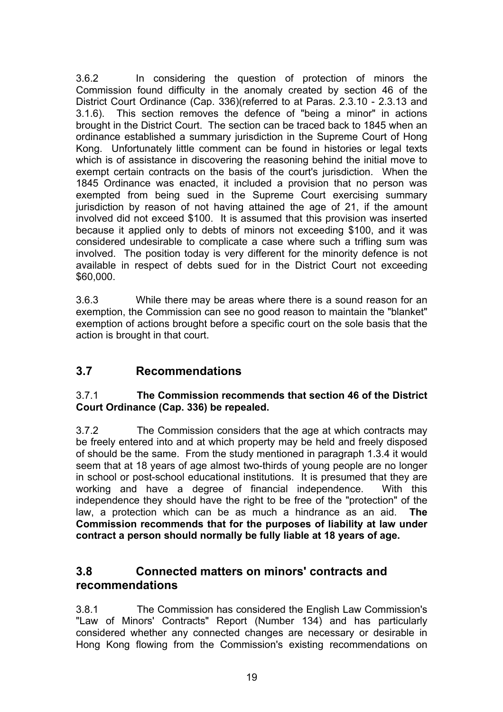3.6.2 In considering the question of protection of minors the Commission found difficulty in the anomaly created by section 46 of the District Court Ordinance (Cap. 336)(referred to at Paras. 2.3.10 - 2.3.13 and 3.1.6). This section removes the defence of "being a minor" in actions brought in the District Court. The section can be traced back to 1845 when an ordinance established a summary jurisdiction in the Supreme Court of Hong Kong. Unfortunately little comment can be found in histories or legal texts which is of assistance in discovering the reasoning behind the initial move to exempt certain contracts on the basis of the court's jurisdiction. When the 1845 Ordinance was enacted, it included a provision that no person was exempted from being sued in the Supreme Court exercising summary jurisdiction by reason of not having attained the age of 21, if the amount involved did not exceed \$100. It is assumed that this provision was inserted because it applied only to debts of minors not exceeding \$100, and it was considered undesirable to complicate a case where such a trifling sum was involved. The position today is very different for the minority defence is not available in respect of debts sued for in the District Court not exceeding \$60,000.

3.6.3 While there may be areas where there is a sound reason for an exemption, the Commission can see no good reason to maintain the "blanket" exemption of actions brought before a specific court on the sole basis that the action is brought in that court.

## **3.7 Recommendations**

#### 3.7.1 **The Commission recommends that section 46 of the District Court Ordinance (Cap. 336) be repealed.**

3.7.2 The Commission considers that the age at which contracts may be freely entered into and at which property may be held and freely disposed of should be the same. From the study mentioned in paragraph 1.3.4 it would seem that at 18 years of age almost two-thirds of young people are no longer in school or post-school educational institutions. It is presumed that they are working and have a degree of financial independence. With this independence they should have the right to be free of the "protection" of the law, a protection which can be as much a hindrance as an aid. **The Commission recommends that for the purposes of liability at law under contract a person should normally be fully liable at 18 years of age.** 

## **3.8 Connected matters on minors' contracts and recommendations**

3.8.1 The Commission has considered the English Law Commission's "Law of Minors' Contracts" Report (Number 134) and has particularly considered whether any connected changes are necessary or desirable in Hong Kong flowing from the Commission's existing recommendations on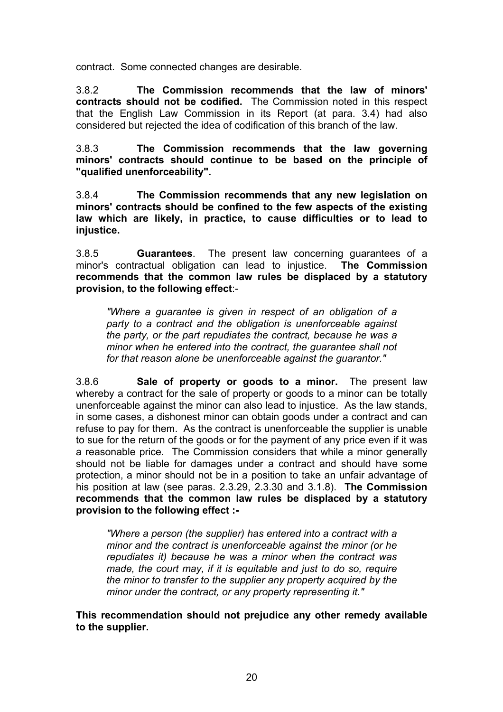contract. Some connected changes are desirable.

3.8.2 **The Commission recommends that the law of minors' contracts should not be codified.** The Commission noted in this respect that the English Law Commission in its Report (at para. 3.4) had also considered but rejected the idea of codification of this branch of the law.

3.8.3 **The Commission recommends that the law governing minors' contracts should continue to be based on the principle of "qualified unenforceability".**

3.8.4 **The Commission recommends that any new legislation on minors' contracts should be confined to the few aspects of the existing law which are likely, in practice, to cause difficulties or to lead to injustice.**

3.8.5 **Guarantees**. The present law concerning guarantees of a minor's contractual obligation can lead to injustice. **The Commission recommends that the common law rules be displaced by a statutory provision, to the following effect**:-

*"Where a guarantee is given in respect of an obligation of a party to a contract and the obligation is unenforceable against the party, or the part repudiates the contract, because he was a minor when he entered into the contract, the guarantee shall not for that reason alone be unenforceable against the guarantor."* 

3.8.6 **Sale of property or goods to a minor.** The present law whereby a contract for the sale of property or goods to a minor can be totally unenforceable against the minor can also lead to injustice. As the law stands, in some cases, a dishonest minor can obtain goods under a contract and can refuse to pay for them. As the contract is unenforceable the supplier is unable to sue for the return of the goods or for the payment of any price even if it was a reasonable price. The Commission considers that while a minor generally should not be liable for damages under a contract and should have some protection, a minor should not be in a position to take an unfair advantage of his position at law (see paras. 2.3.29, 2.3.30 and 3.1.8). **The Commission recommends that the common law rules be displaced by a statutory provision to the following effect :-**

*"Where a person (the supplier) has entered into a contract with a minor and the contract is unenforceable against the minor (or he repudiates it) because he was a minor when the contract was made, the court may, if it is equitable and just to do so, require the minor to transfer to the supplier any property acquired by the minor under the contract, or any property representing it."* 

**This recommendation should not prejudice any other remedy available to the supplier.**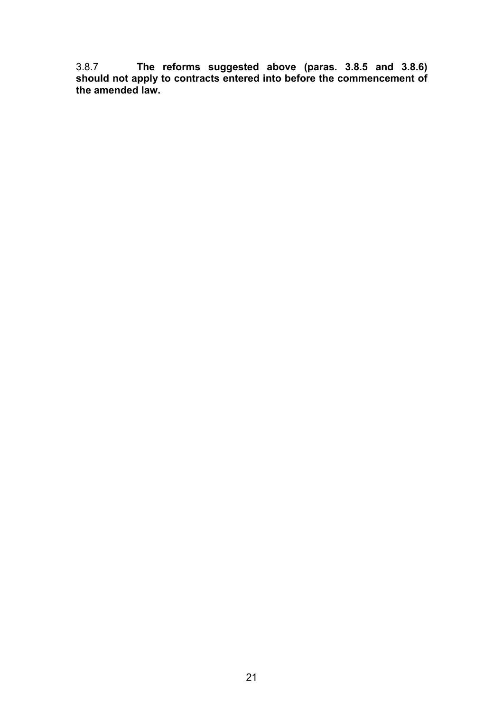3.8.7 **The reforms suggested above (paras. 3.8.5 and 3.8.6) should not apply to contracts entered into before the commencement of the amended law.**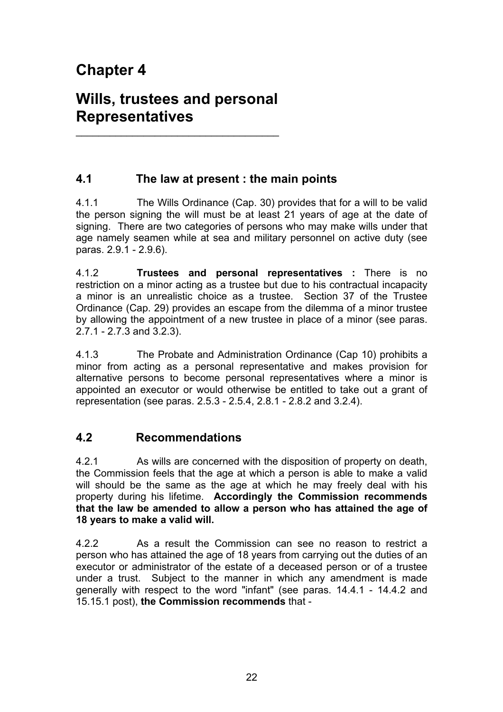# **Chapter 4**

# **Wills, trustees and personal Representatives**

\_\_\_\_\_\_\_\_\_\_\_\_\_\_\_\_\_\_\_\_\_\_\_\_\_\_\_\_\_\_\_\_\_\_\_\_

## **4.1 The law at present : the main points**

4.1.1 The Wills Ordinance (Cap. 30) provides that for a will to be valid the person signing the will must be at least 21 years of age at the date of signing. There are two categories of persons who may make wills under that age namely seamen while at sea and military personnel on active duty (see paras. 2.9.1 - 2.9.6).

4.1.2 **Trustees and personal representatives :** There is no restriction on a minor acting as a trustee but due to his contractual incapacity a minor is an unrealistic choice as a trustee. Section 37 of the Trustee Ordinance (Cap. 29) provides an escape from the dilemma of a minor trustee by allowing the appointment of a new trustee in place of a minor (see paras. 2.7.1 - 2.7.3 and 3.2.3).

4.1.3 The Probate and Administration Ordinance (Cap 10) prohibits a minor from acting as a personal representative and makes provision for alternative persons to become personal representatives where a minor is appointed an executor or would otherwise be entitled to take out a grant of representation (see paras. 2.5.3 - 2.5.4, 2.8.1 - 2.8.2 and 3.2.4).

## **4.2 Recommendations**

4.2.1 As wills are concerned with the disposition of property on death, the Commission feels that the age at which a person is able to make a valid will should be the same as the age at which he may freely deal with his property during his lifetime. **Accordingly the Commission recommends that the law be amended to allow a person who has attained the age of 18 years to make a valid will.** 

4.2.2 As a result the Commission can see no reason to restrict a person who has attained the age of 18 years from carrying out the duties of an executor or administrator of the estate of a deceased person or of a trustee under a trust. Subject to the manner in which any amendment is made generally with respect to the word "infant" (see paras. 14.4.1 - 14.4.2 and 15.15.1 post), **the Commission recommends** that -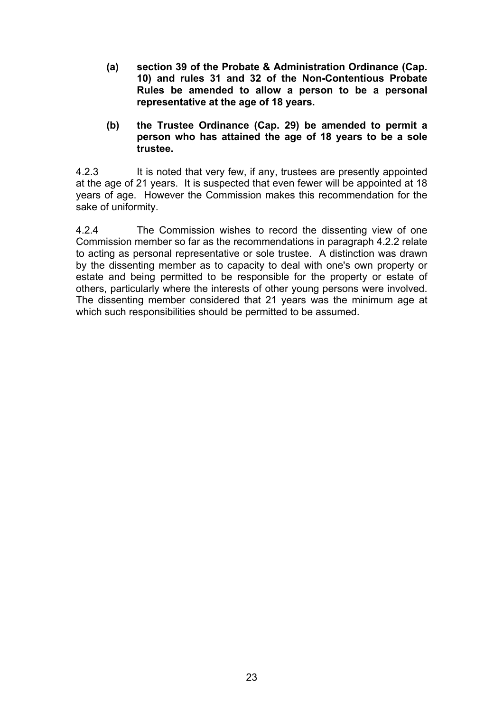- **(a) section 39 of the Probate & Administration Ordinance (Cap. 10) and rules 31 and 32 of the Non-Contentious Probate Rules be amended to allow a person to be a personal representative at the age of 18 years.**
- **(b) the Trustee Ordinance (Cap. 29) be amended to permit a person who has attained the age of 18 years to be a sole trustee.**

4.2.3 It is noted that very few, if any, trustees are presently appointed at the age of 21 years. It is suspected that even fewer will be appointed at 18 years of age. However the Commission makes this recommendation for the sake of uniformity.

4.2.4 The Commission wishes to record the dissenting view of one Commission member so far as the recommendations in paragraph 4.2.2 relate to acting as personal representative or sole trustee. A distinction was drawn by the dissenting member as to capacity to deal with one's own property or estate and being permitted to be responsible for the property or estate of others, particularly where the interests of other young persons were involved. The dissenting member considered that 21 years was the minimum age at which such responsibilities should be permitted to be assumed.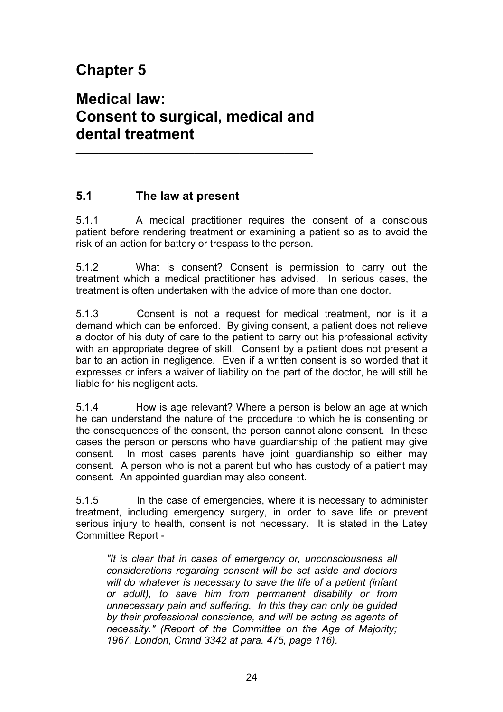# **Chapter 5**

# **Medical law: Consent to surgical, medical and dental treatment**

 $\overline{\phantom{a}}$  , and the set of the set of the set of the set of the set of the set of the set of the set of the set of the set of the set of the set of the set of the set of the set of the set of the set of the set of the s

## **5.1 The law at present**

5.1.1 A medical practitioner requires the consent of a conscious patient before rendering treatment or examining a patient so as to avoid the risk of an action for battery or trespass to the person.

5.1.2 What is consent? Consent is permission to carry out the treatment which a medical practitioner has advised. In serious cases, the treatment is often undertaken with the advice of more than one doctor.

5.1.3 Consent is not a request for medical treatment, nor is it a demand which can be enforced. By giving consent, a patient does not relieve a doctor of his duty of care to the patient to carry out his professional activity with an appropriate degree of skill. Consent by a patient does not present a bar to an action in negligence. Even if a written consent is so worded that it expresses or infers a waiver of liability on the part of the doctor, he will still be liable for his negligent acts.

5.1.4 How is age relevant? Where a person is below an age at which he can understand the nature of the procedure to which he is consenting or the consequences of the consent, the person cannot alone consent. In these cases the person or persons who have guardianship of the patient may give consent. In most cases parents have joint guardianship so either may consent. A person who is not a parent but who has custody of a patient may consent. An appointed guardian may also consent.

5.1.5 In the case of emergencies, where it is necessary to administer treatment, including emergency surgery, in order to save life or prevent serious injury to health, consent is not necessary. It is stated in the Latey Committee Report -

*"It is clear that in cases of emergency or, unconsciousness all considerations regarding consent will be set aside and doctors will do whatever is necessary to save the life of a patient (infant or adult), to save him from permanent disability or from unnecessary pain and suffering. In this they can only be guided by their professional conscience, and will be acting as agents of necessity." (Report of the Committee on the Age of Majority; 1967, London, Cmnd 3342 at para. 475, page 116).*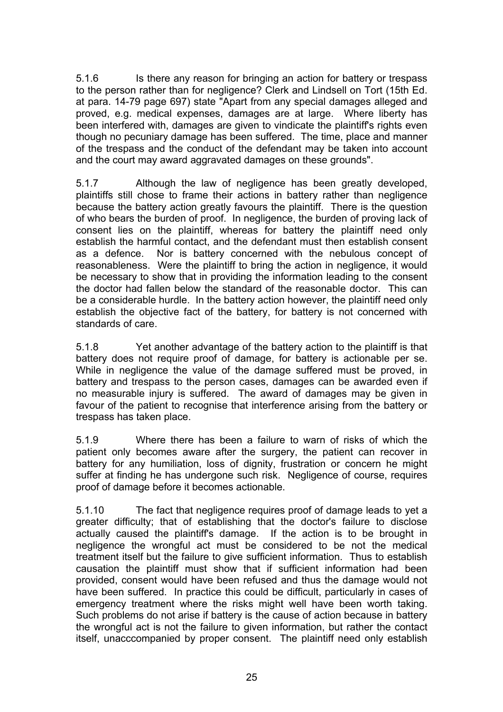5.1.6 Is there any reason for bringing an action for battery or trespass to the person rather than for negligence? Clerk and Lindsell on Tort (15th Ed. at para. 14-79 page 697) state "Apart from any special damages alleged and proved, e.g. medical expenses, damages are at large. Where liberty has been interfered with, damages are given to vindicate the plaintiff's rights even though no pecuniary damage has been suffered. The time, place and manner of the trespass and the conduct of the defendant may be taken into account and the court may award aggravated damages on these grounds".

5.1.7 Although the law of negligence has been greatly developed, plaintiffs still chose to frame their actions in battery rather than negligence because the battery action greatly favours the plaintiff. There is the question of who bears the burden of proof. In negligence, the burden of proving lack of consent lies on the plaintiff, whereas for battery the plaintiff need only establish the harmful contact, and the defendant must then establish consent as a defence. Nor is battery concerned with the nebulous concept of reasonableness. Were the plaintiff to bring the action in negligence, it would be necessary to show that in providing the information leading to the consent the doctor had fallen below the standard of the reasonable doctor. This can be a considerable hurdle. In the battery action however, the plaintiff need only establish the objective fact of the battery, for battery is not concerned with standards of care.

5.1.8 Yet another advantage of the battery action to the plaintiff is that battery does not require proof of damage, for battery is actionable per se. While in negligence the value of the damage suffered must be proved, in battery and trespass to the person cases, damages can be awarded even if no measurable injury is suffered. The award of damages may be given in favour of the patient to recognise that interference arising from the battery or trespass has taken place.

5.1.9 Where there has been a failure to warn of risks of which the patient only becomes aware after the surgery, the patient can recover in battery for any humiliation, loss of dignity, frustration or concern he might suffer at finding he has undergone such risk. Negligence of course, requires proof of damage before it becomes actionable.

5.1.10 The fact that negligence requires proof of damage leads to yet a greater difficulty; that of establishing that the doctor's failure to disclose actually caused the plaintiff's damage. If the action is to be brought in negligence the wrongful act must be considered to be not the medical treatment itself but the failure to give sufficient information. Thus to establish causation the plaintiff must show that if sufficient information had been provided, consent would have been refused and thus the damage would not have been suffered. In practice this could be difficult, particularly in cases of emergency treatment where the risks might well have been worth taking. Such problems do not arise if battery is the cause of action because in battery the wrongful act is not the failure to given information, but rather the contact itself, unacccompanied by proper consent. The plaintiff need only establish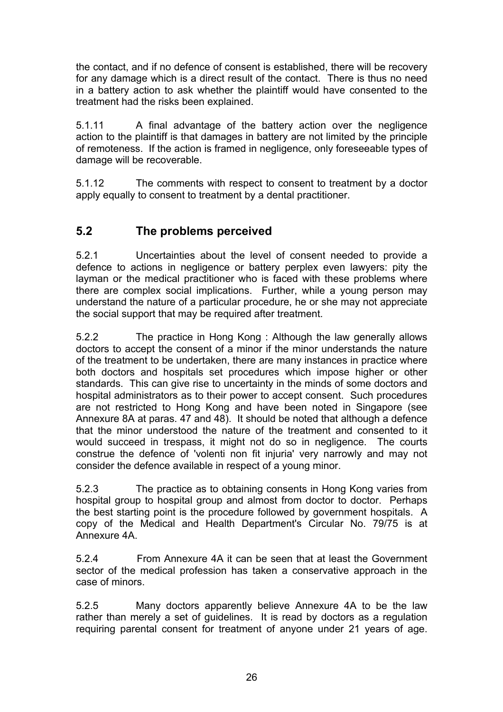the contact, and if no defence of consent is established, there will be recovery for any damage which is a direct result of the contact. There is thus no need in a battery action to ask whether the plaintiff would have consented to the treatment had the risks been explained.

5.1.11 A final advantage of the battery action over the negligence action to the plaintiff is that damages in battery are not limited by the principle of remoteness. If the action is framed in negligence, only foreseeable types of damage will be recoverable.

5.1.12 The comments with respect to consent to treatment by a doctor apply equally to consent to treatment by a dental practitioner.

## **5.2 The problems perceived**

5.2.1 Uncertainties about the level of consent needed to provide a defence to actions in negligence or battery perplex even lawyers: pity the layman or the medical practitioner who is faced with these problems where there are complex social implications. Further, while a young person may understand the nature of a particular procedure, he or she may not appreciate the social support that may be required after treatment.

5.2.2 The practice in Hong Kong : Although the law generally allows doctors to accept the consent of a minor if the minor understands the nature of the treatment to be undertaken, there are many instances in practice where both doctors and hospitals set procedures which impose higher or other standards. This can give rise to uncertainty in the minds of some doctors and hospital administrators as to their power to accept consent. Such procedures are not restricted to Hong Kong and have been noted in Singapore (see Annexure 8A at paras. 47 and 48). It should be noted that although a defence that the minor understood the nature of the treatment and consented to it would succeed in trespass, it might not do so in negligence. The courts construe the defence of 'volenti non fit injuria' very narrowly and may not consider the defence available in respect of a young minor.

5.2.3 The practice as to obtaining consents in Hong Kong varies from hospital group to hospital group and almost from doctor to doctor. Perhaps the best starting point is the procedure followed by government hospitals. A copy of the Medical and Health Department's Circular No. 79/75 is at Annexure 4A.

5.2.4 From Annexure 4A it can be seen that at least the Government sector of the medical profession has taken a conservative approach in the case of minors.

5.2.5 Many doctors apparently believe Annexure 4A to be the law rather than merely a set of guidelines. It is read by doctors as a regulation requiring parental consent for treatment of anyone under 21 years of age.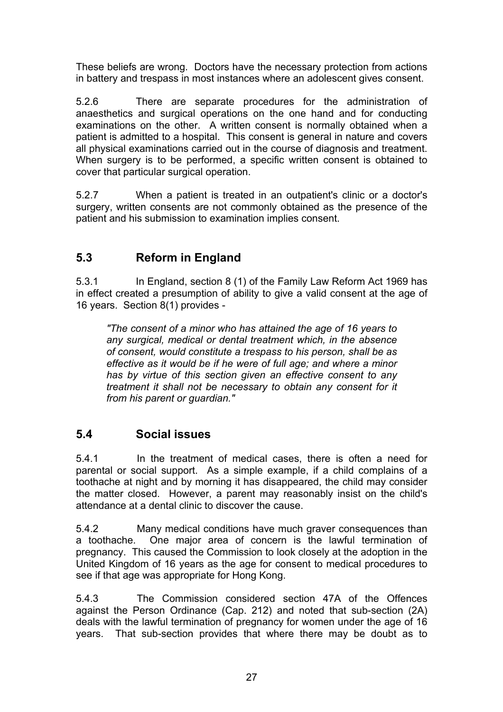These beliefs are wrong. Doctors have the necessary protection from actions in battery and trespass in most instances where an adolescent gives consent.

5.2.6 There are separate procedures for the administration of anaesthetics and surgical operations on the one hand and for conducting examinations on the other. A written consent is normally obtained when a patient is admitted to a hospital. This consent is general in nature and covers all physical examinations carried out in the course of diagnosis and treatment. When surgery is to be performed, a specific written consent is obtained to cover that particular surgical operation.

5.2.7 When a patient is treated in an outpatient's clinic or a doctor's surgery, written consents are not commonly obtained as the presence of the patient and his submission to examination implies consent.

## **5.3 Reform in England**

5.3.1 In England, section 8 (1) of the Family Law Reform Act 1969 has in effect created a presumption of ability to give a valid consent at the age of 16 years. Section 8(1) provides -

*"The consent of a minor who has attained the age of 16 years to any surgical, medical or dental treatment which, in the absence of consent, would constitute a trespass to his person, shall be as effective as it would be if he were of full age; and where a minor has by virtue of this section given an effective consent to any treatment it shall not be necessary to obtain any consent for it from his parent or guardian."* 

## **5.4 Social issues**

5.4.1 In the treatment of medical cases, there is often a need for parental or social support. As a simple example, if a child complains of a toothache at night and by morning it has disappeared, the child may consider the matter closed. However, a parent may reasonably insist on the child's attendance at a dental clinic to discover the cause.

5.4.2 Many medical conditions have much graver consequences than a toothache. One major area of concern is the lawful termination of pregnancy. This caused the Commission to look closely at the adoption in the United Kingdom of 16 years as the age for consent to medical procedures to see if that age was appropriate for Hong Kong.

5.4.3 The Commission considered section 47A of the Offences against the Person Ordinance (Cap. 212) and noted that sub-section (2A) deals with the lawful termination of pregnancy for women under the age of 16 years. That sub-section provides that where there may be doubt as to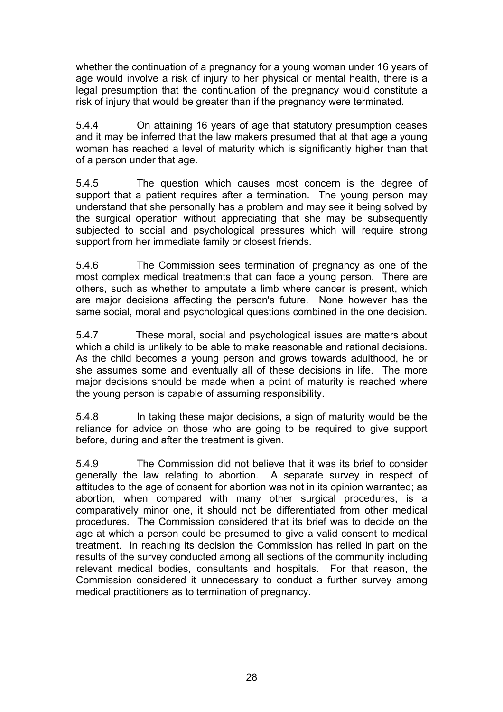whether the continuation of a pregnancy for a young woman under 16 years of age would involve a risk of injury to her physical or mental health, there is a legal presumption that the continuation of the pregnancy would constitute a risk of injury that would be greater than if the pregnancy were terminated.

5.4.4 On attaining 16 years of age that statutory presumption ceases and it may be inferred that the law makers presumed that at that age a young woman has reached a level of maturity which is significantly higher than that of a person under that age.

5.4.5 The question which causes most concern is the degree of support that a patient requires after a termination. The young person may understand that she personally has a problem and may see it being solved by the surgical operation without appreciating that she may be subsequently subjected to social and psychological pressures which will require strong support from her immediate family or closest friends.

5.4.6 The Commission sees termination of pregnancy as one of the most complex medical treatments that can face a young person. There are others, such as whether to amputate a limb where cancer is present, which are major decisions affecting the person's future. None however has the same social, moral and psychological questions combined in the one decision.

5.4.7 These moral, social and psychological issues are matters about which a child is unlikely to be able to make reasonable and rational decisions. As the child becomes a young person and grows towards adulthood, he or she assumes some and eventually all of these decisions in life. The more major decisions should be made when a point of maturity is reached where the young person is capable of assuming responsibility.

5.4.8 In taking these major decisions, a sign of maturity would be the reliance for advice on those who are going to be required to give support before, during and after the treatment is given.

5.4.9 The Commission did not believe that it was its brief to consider generally the law relating to abortion. A separate survey in respect of attitudes to the age of consent for abortion was not in its opinion warranted; as abortion, when compared with many other surgical procedures, is a comparatively minor one, it should not be differentiated from other medical procedures. The Commission considered that its brief was to decide on the age at which a person could be presumed to give a valid consent to medical treatment. In reaching its decision the Commission has relied in part on the results of the survey conducted among all sections of the community including relevant medical bodies, consultants and hospitals. For that reason, the Commission considered it unnecessary to conduct a further survey among medical practitioners as to termination of pregnancy.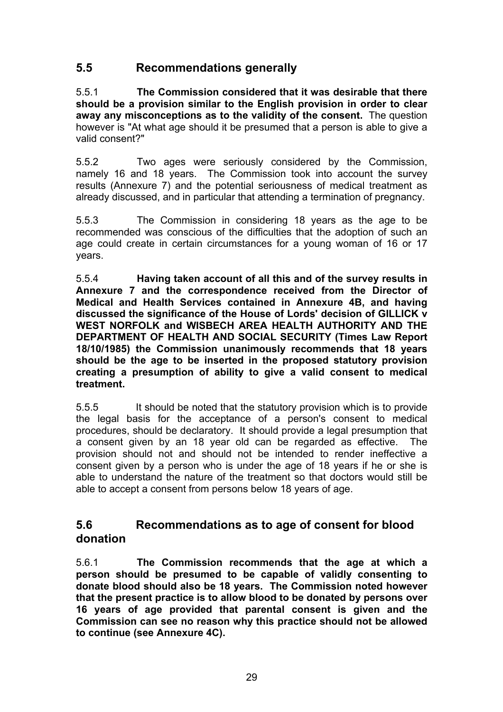## **5.5 Recommendations generally**

5.5.1 **The Commission considered that it was desirable that there should be a provision similar to the English provision in order to clear away any misconceptions as to the validity of the consent.** The question however is "At what age should it be presumed that a person is able to give a valid consent?"

5.5.2 Two ages were seriously considered by the Commission, namely 16 and 18 years. The Commission took into account the survey results (Annexure 7) and the potential seriousness of medical treatment as already discussed, and in particular that attending a termination of pregnancy.

5.5.3 The Commission in considering 18 years as the age to be recommended was conscious of the difficulties that the adoption of such an age could create in certain circumstances for a young woman of 16 or 17 years.

5.5.4 **Having taken account of all this and of the survey results in Annexure 7 and the correspondence received from the Director of Medical and Health Services contained in Annexure 4B, and having discussed the significance of the House of Lords' decision of GILLICK v WEST NORFOLK and WISBECH AREA HEALTH AUTHORITY AND THE DEPARTMENT OF HEALTH AND SOCIAL SECURITY (Times Law Report 18/10/1985) the Commission unanimously recommends that 18 years should be the age to be inserted in the proposed statutory provision creating a presumption of ability to give a valid consent to medical treatment.**

5.5.5 It should be noted that the statutory provision which is to provide the legal basis for the acceptance of a person's consent to medical procedures, should be declaratory. It should provide a legal presumption that a consent given by an 18 year old can be regarded as effective. The provision should not and should not be intended to render ineffective a consent given by a person who is under the age of 18 years if he or she is able to understand the nature of the treatment so that doctors would still be able to accept a consent from persons below 18 years of age.

### **5.6 Recommendations as to age of consent for blood donation**

5.6.1 **The Commission recommends that the age at which a person should be presumed to be capable of validly consenting to donate blood should also be 18 years. The Commission noted however that the present practice is to allow blood to be donated by persons over 16 years of age provided that parental consent is given and the Commission can see no reason why this practice should not be allowed to continue (see Annexure 4C).**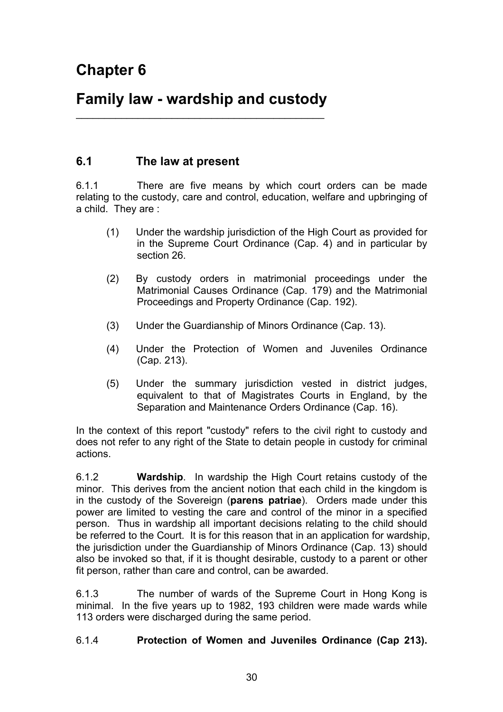# **Family law - wardship and custody**   $\overline{\phantom{a}}$  , and the contract of the contract of the contract of the contract of the contract of the contract of the contract of the contract of the contract of the contract of the contract of the contract of the contrac

### **6.1 The law at present**

6.1.1 There are five means by which court orders can be made relating to the custody, care and control, education, welfare and upbringing of a child. They are :

- (1) Under the wardship jurisdiction of the High Court as provided for in the Supreme Court Ordinance (Cap. 4) and in particular by section 26.
- (2) By custody orders in matrimonial proceedings under the Matrimonial Causes Ordinance (Cap. 179) and the Matrimonial Proceedings and Property Ordinance (Cap. 192).
- (3) Under the Guardianship of Minors Ordinance (Cap. 13).
- (4) Under the Protection of Women and Juveniles Ordinance (Cap. 213).
- (5) Under the summary jurisdiction vested in district judges, equivalent to that of Magistrates Courts in England, by the Separation and Maintenance Orders Ordinance (Cap. 16).

In the context of this report "custody" refers to the civil right to custody and does not refer to any right of the State to detain people in custody for criminal actions.

6.1.2 **Wardship**. In wardship the High Court retains custody of the minor. This derives from the ancient notion that each child in the kingdom is in the custody of the Sovereign (**parens patriae**). Orders made under this power are limited to vesting the care and control of the minor in a specified person. Thus in wardship all important decisions relating to the child should be referred to the Court. It is for this reason that in an application for wardship, the jurisdiction under the Guardianship of Minors Ordinance (Cap. 13) should also be invoked so that, if it is thought desirable, custody to a parent or other fit person, rather than care and control, can be awarded.

6.1.3 The number of wards of the Supreme Court in Hong Kong is minimal. In the five years up to 1982, 193 children were made wards while 113 orders were discharged during the same period.

#### 6.1.4 **Protection of Women and Juveniles Ordinance (Cap 213).**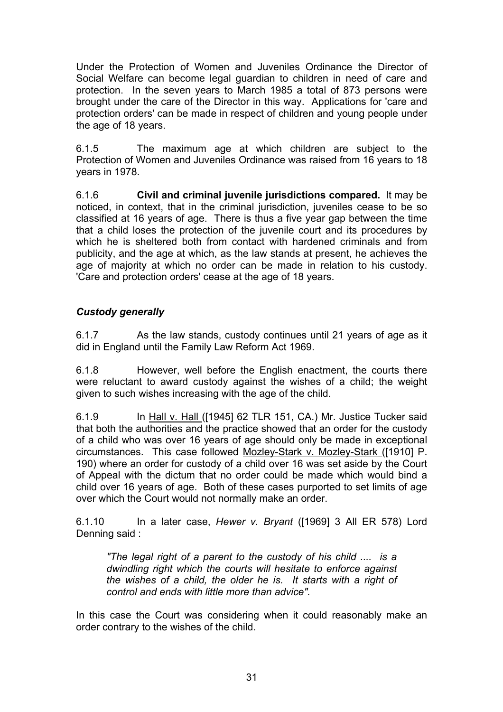Under the Protection of Women and Juveniles Ordinance the Director of Social Welfare can become legal guardian to children in need of care and protection. In the seven years to March 1985 a total of 873 persons were brought under the care of the Director in this way. Applications for 'care and protection orders' can be made in respect of children and young people under the age of 18 years.

6.1.5 The maximum age at which children are subject to the Protection of Women and Juveniles Ordinance was raised from 16 years to 18 years in 1978.

6.1.6 **Civil and criminal juvenile jurisdictions compared.** It may be noticed, in context, that in the criminal jurisdiction, juveniles cease to be so classified at 16 years of age. There is thus a five year gap between the time that a child loses the protection of the juvenile court and its procedures by which he is sheltered both from contact with hardened criminals and from publicity, and the age at which, as the law stands at present, he achieves the age of majority at which no order can be made in relation to his custody. 'Care and protection orders' cease at the age of 18 years.

### *Custody generally*

6.1.7 As the law stands, custody continues until 21 years of age as it did in England until the Family Law Reform Act 1969.

6.1.8 However, well before the English enactment, the courts there were reluctant to award custody against the wishes of a child; the weight given to such wishes increasing with the age of the child.

6.1.9 In Hall v. Hall ([1945] 62 TLR 151, CA.) Mr. Justice Tucker said that both the authorities and the practice showed that an order for the custody of a child who was over 16 years of age should only be made in exceptional circumstances. This case followed Mozley-Stark v. Mozley-Stark ([1910] P. 190) where an order for custody of a child over 16 was set aside by the Court of Appeal with the dictum that no order could be made which would bind a child over 16 years of age. Both of these cases purported to set limits of age over which the Court would not normally make an order.

6.1.10 In a later case, *Hewer v. Bryant* ([1969] 3 All ER 578) Lord Denning said :

*"The legal right of a parent to the custody of his child .... is a dwindling right which the courts will hesitate to enforce against the wishes of a child, the older he is. It starts with a right of control and ends with little more than advice".* 

In this case the Court was considering when it could reasonably make an order contrary to the wishes of the child.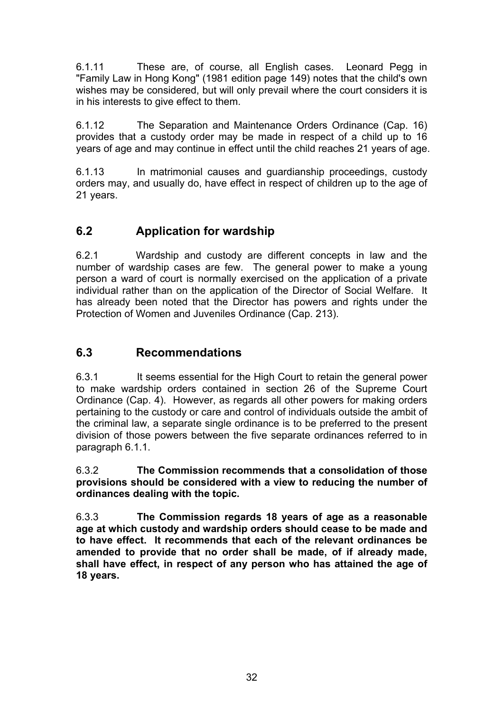6.1.11 These are, of course, all English cases. Leonard Pegg in "Family Law in Hong Kong" (1981 edition page 149) notes that the child's own wishes may be considered, but will only prevail where the court considers it is in his interests to give effect to them.

6.1.12 The Separation and Maintenance Orders Ordinance (Cap. 16) provides that a custody order may be made in respect of a child up to 16 years of age and may continue in effect until the child reaches 21 years of age.

6.1.13 In matrimonial causes and guardianship proceedings, custody orders may, and usually do, have effect in respect of children up to the age of 21 years.

## **6.2 Application for wardship**

6.2.1 Wardship and custody are different concepts in law and the number of wardship cases are few. The general power to make a young person a ward of court is normally exercised on the application of a private individual rather than on the application of the Director of Social Welfare. It has already been noted that the Director has powers and rights under the Protection of Women and Juveniles Ordinance (Cap. 213).

# **6.3 Recommendations**

6.3.1 It seems essential for the High Court to retain the general power to make wardship orders contained in section 26 of the Supreme Court Ordinance (Cap. 4). However, as regards all other powers for making orders pertaining to the custody or care and control of individuals outside the ambit of the criminal law, a separate single ordinance is to be preferred to the present division of those powers between the five separate ordinances referred to in paragraph 6.1.1.

6.3.2 **The Commission recommends that a consolidation of those provisions should be considered with a view to reducing the number of ordinances dealing with the topic.**

6.3.3 **The Commission regards 18 years of age as a reasonable age at which custody and wardship orders should cease to be made and to have effect. It recommends that each of the relevant ordinances be amended to provide that no order shall be made, of if already made, shall have effect, in respect of any person who has attained the age of 18 years.**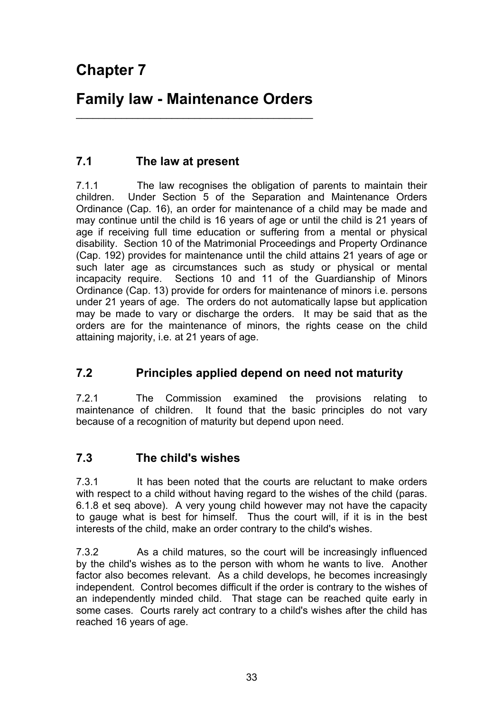# **Family law - Maintenance Orders**   $\frac{1}{2}$  ,  $\frac{1}{2}$  ,  $\frac{1}{2}$  ,  $\frac{1}{2}$  ,  $\frac{1}{2}$  ,  $\frac{1}{2}$  ,  $\frac{1}{2}$  ,  $\frac{1}{2}$  ,  $\frac{1}{2}$  ,  $\frac{1}{2}$  ,  $\frac{1}{2}$  ,  $\frac{1}{2}$  ,  $\frac{1}{2}$  ,  $\frac{1}{2}$  ,  $\frac{1}{2}$  ,  $\frac{1}{2}$  ,  $\frac{1}{2}$  ,  $\frac{1}{2}$  ,  $\frac{1$

# **7.1 The law at present**

7.1.1 The law recognises the obligation of parents to maintain their children. Under Section 5 of the Separation and Maintenance Orders Ordinance (Cap. 16), an order for maintenance of a child may be made and may continue until the child is 16 years of age or until the child is 21 years of age if receiving full time education or suffering from a mental or physical disability. Section 10 of the Matrimonial Proceedings and Property Ordinance (Cap. 192) provides for maintenance until the child attains 21 years of age or such later age as circumstances such as study or physical or mental incapacity require. Sections 10 and 11 of the Guardianship of Minors Ordinance (Cap. 13) provide for orders for maintenance of minors i.e. persons under 21 years of age. The orders do not automatically lapse but application may be made to vary or discharge the orders. It may be said that as the orders are for the maintenance of minors, the rights cease on the child attaining majority, i.e. at 21 years of age.

# **7.2 Principles applied depend on need not maturity**

7.2.1 The Commission examined the provisions relating to maintenance of children. It found that the basic principles do not vary because of a recognition of maturity but depend upon need.

# **7.3 The child's wishes**

7.3.1 It has been noted that the courts are reluctant to make orders with respect to a child without having regard to the wishes of the child (paras. 6.1.8 et seq above). A very young child however may not have the capacity to gauge what is best for himself. Thus the court will, if it is in the best interests of the child, make an order contrary to the child's wishes.

7.3.2 As a child matures, so the court will be increasingly influenced by the child's wishes as to the person with whom he wants to live. Another factor also becomes relevant. As a child develops, he becomes increasingly independent. Control becomes difficult if the order is contrary to the wishes of an independently minded child. That stage can be reached quite early in some cases. Courts rarely act contrary to a child's wishes after the child has reached 16 years of age.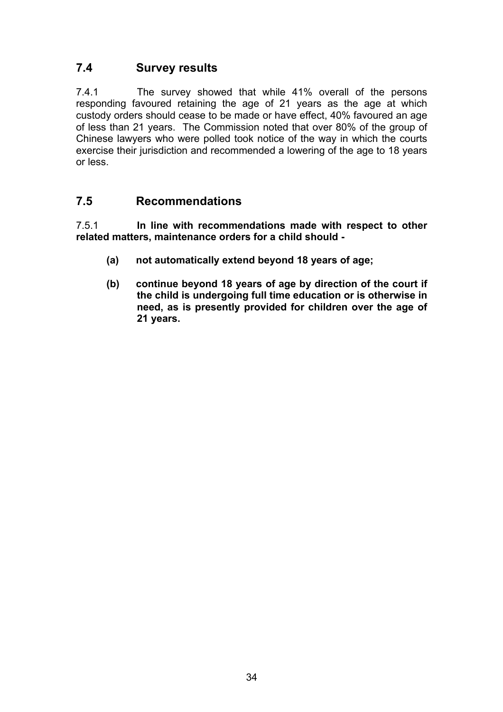# **7.4 Survey results**

7.4.1 The survey showed that while 41% overall of the persons responding favoured retaining the age of 21 years as the age at which custody orders should cease to be made or have effect, 40% favoured an age of less than 21 years. The Commission noted that over 80% of the group of Chinese lawyers who were polled took notice of the way in which the courts exercise their jurisdiction and recommended a lowering of the age to 18 years or less.

## **7.5 Recommendations**

7.5.1 **In line with recommendations made with respect to other related matters, maintenance orders for a child should -** 

- **(a) not automatically extend beyond 18 years of age;**
- **(b) continue beyond 18 years of age by direction of the court if the child is undergoing full time education or is otherwise in need, as is presently provided for children over the age of 21 years.**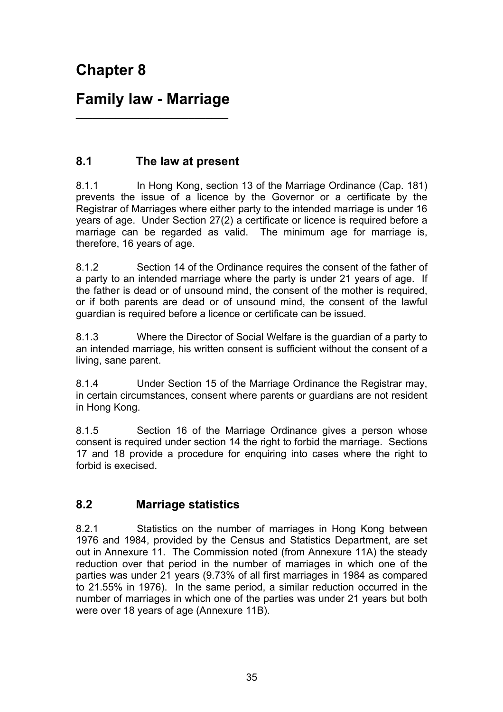# **Family law - Marriage**   $\overline{\phantom{a}}$  , where  $\overline{\phantom{a}}$  , where  $\overline{\phantom{a}}$  , where  $\overline{\phantom{a}}$  , where  $\overline{\phantom{a}}$

# **8.1 The law at present**

8.1.1 In Hong Kong, section 13 of the Marriage Ordinance (Cap. 181) prevents the issue of a licence by the Governor or a certificate by the Registrar of Marriages where either party to the intended marriage is under 16 years of age. Under Section 27(2) a certificate or licence is required before a marriage can be regarded as valid. The minimum age for marriage is, therefore, 16 years of age.

8.1.2 Section 14 of the Ordinance requires the consent of the father of a party to an intended marriage where the party is under 21 years of age. If the father is dead or of unsound mind, the consent of the mother is required, or if both parents are dead or of unsound mind, the consent of the lawful guardian is required before a licence or certificate can be issued.

8.1.3 Where the Director of Social Welfare is the guardian of a party to an intended marriage, his written consent is sufficient without the consent of a living, sane parent.

8.1.4 Under Section 15 of the Marriage Ordinance the Registrar may, in certain circumstances, consent where parents or guardians are not resident in Hong Kong.

8.1.5 Section 16 of the Marriage Ordinance gives a person whose consent is required under section 14 the right to forbid the marriage. Sections 17 and 18 provide a procedure for enquiring into cases where the right to forbid is execised.

## **8.2 Marriage statistics**

8.2.1 Statistics on the number of marriages in Hong Kong between 1976 and 1984, provided by the Census and Statistics Department, are set out in Annexure 11. The Commission noted (from Annexure 11A) the steady reduction over that period in the number of marriages in which one of the parties was under 21 years (9.73% of all first marriages in 1984 as compared to 21.55% in 1976). In the same period, a similar reduction occurred in the number of marriages in which one of the parties was under 21 years but both were over 18 years of age (Annexure 11B).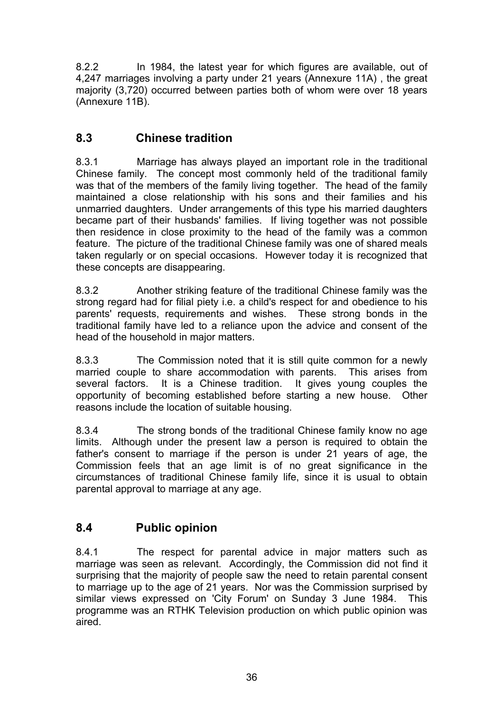8.2.2 In 1984, the latest year for which figures are available, out of 4,247 marriages involving a party under 21 years (Annexure 11A) , the great majority (3,720) occurred between parties both of whom were over 18 years (Annexure 11B).

# **8.3 Chinese tradition**

8.3.1 Marriage has always played an important role in the traditional Chinese family. The concept most commonly held of the traditional family was that of the members of the family living together. The head of the family maintained a close relationship with his sons and their families and his unmarried daughters. Under arrangements of this type his married daughters became part of their husbands' families. If living together was not possible then residence in close proximity to the head of the family was a common feature. The picture of the traditional Chinese family was one of shared meals taken regularly or on special occasions. However today it is recognized that these concepts are disappearing.

8.3.2 Another striking feature of the traditional Chinese family was the strong regard had for filial piety i.e. a child's respect for and obedience to his parents' requests, requirements and wishes. These strong bonds in the traditional family have led to a reliance upon the advice and consent of the head of the household in major matters.

8.3.3 The Commission noted that it is still quite common for a newly married couple to share accommodation with parents. This arises from several factors. It is a Chinese tradition. It gives young couples the opportunity of becoming established before starting a new house. Other reasons include the location of suitable housing.

8.3.4 The strong bonds of the traditional Chinese family know no age limits. Although under the present law a person is required to obtain the father's consent to marriage if the person is under 21 years of age, the Commission feels that an age limit is of no great significance in the circumstances of traditional Chinese family life, since it is usual to obtain parental approval to marriage at any age.

# **8.4 Public opinion**

8.4.1 The respect for parental advice in major matters such as marriage was seen as relevant. Accordingly, the Commission did not find it surprising that the majority of people saw the need to retain parental consent to marriage up to the age of 21 years. Nor was the Commission surprised by similar views expressed on 'City Forum' on Sunday 3 June 1984. This programme was an RTHK Television production on which public opinion was aired.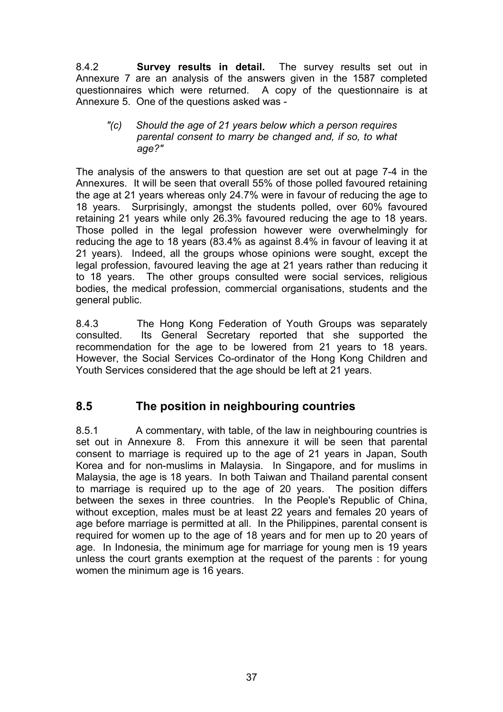8.4.2 **Survey results in detail.** The survey results set out in Annexure 7 are an analysis of the answers given in the 1587 completed questionnaires which were returned. A copy of the questionnaire is at Annexure 5. One of the questions asked was -

#### *"(c) Should the age of 21 years below which a person requires parental consent to marry be changed and, if so, to what age?"*

The analysis of the answers to that question are set out at page 7-4 in the Annexures. It will be seen that overall 55% of those polled favoured retaining the age at 21 years whereas only 24.7% were in favour of reducing the age to 18 years. Surprisingly, amongst the students polled, over 60% favoured retaining 21 years while only 26.3% favoured reducing the age to 18 years. Those polled in the legal profession however were overwhelmingly for reducing the age to 18 years (83.4% as against 8.4% in favour of leaving it at 21 years). Indeed, all the groups whose opinions were sought, except the legal profession, favoured leaving the age at 21 years rather than reducing it to 18 years. The other groups consulted were social services, religious bodies, the medical profession, commercial organisations, students and the general public.

8.4.3 The Hong Kong Federation of Youth Groups was separately consulted. Its General Secretary reported that she supported the recommendation for the age to be lowered from 21 years to 18 years. However, the Social Services Co-ordinator of the Hong Kong Children and Youth Services considered that the age should be left at 21 years.

## **8.5 The position in neighbouring countries**

8.5.1 A commentary, with table, of the law in neighbouring countries is set out in Annexure 8. From this annexure it will be seen that parental consent to marriage is required up to the age of 21 years in Japan, South Korea and for non-muslims in Malaysia. In Singapore, and for muslims in Malaysia, the age is 18 years. In both Taiwan and Thailand parental consent to marriage is required up to the age of 20 years. The position differs between the sexes in three countries. In the People's Republic of China, without exception, males must be at least 22 years and females 20 years of age before marriage is permitted at all. In the Philippines, parental consent is required for women up to the age of 18 years and for men up to 20 years of age. In Indonesia, the minimum age for marriage for young men is 19 years unless the court grants exemption at the request of the parents : for young women the minimum age is 16 years.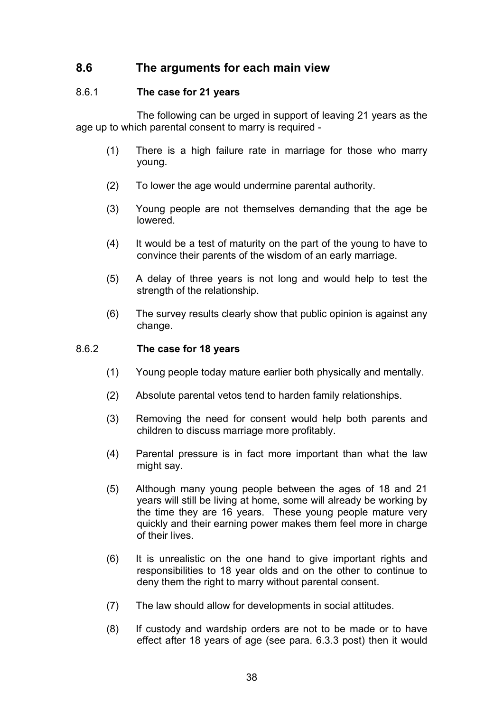### **8.6 The arguments for each main view**

#### 8.6.1 **The case for 21 years**

The following can be urged in support of leaving 21 years as the age up to which parental consent to marry is required -

- (1) There is a high failure rate in marriage for those who marry young.
- (2) To lower the age would undermine parental authority.
- (3) Young people are not themselves demanding that the age be lowered.
- (4) It would be a test of maturity on the part of the young to have to convince their parents of the wisdom of an early marriage.
- (5) A delay of three years is not long and would help to test the strength of the relationship.
- (6) The survey results clearly show that public opinion is against any change.

#### 8.6.2 **The case for 18 years**

- (1) Young people today mature earlier both physically and mentally.
- (2) Absolute parental vetos tend to harden family relationships.
- (3) Removing the need for consent would help both parents and children to discuss marriage more profitably.
- (4) Parental pressure is in fact more important than what the law might say.
- (5) Although many young people between the ages of 18 and 21 years will still be living at home, some will already be working by the time they are 16 years. These young people mature very quickly and their earning power makes them feel more in charge of their lives.
- (6) It is unrealistic on the one hand to give important rights and responsibilities to 18 year olds and on the other to continue to deny them the right to marry without parental consent.
- (7) The law should allow for developments in social attitudes.
- (8) If custody and wardship orders are not to be made or to have effect after 18 years of age (see para. 6.3.3 post) then it would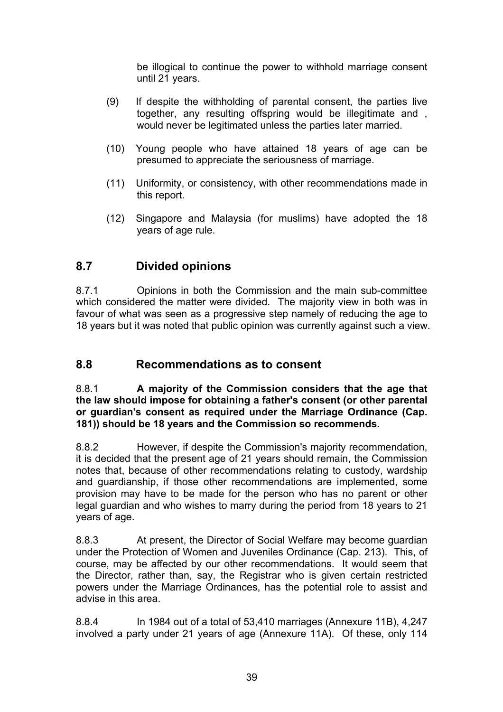be illogical to continue the power to withhold marriage consent until 21 years.

- (9) If despite the withholding of parental consent, the parties live together, any resulting offspring would be illegitimate and , would never be legitimated unless the parties later married.
- (10) Young people who have attained 18 years of age can be presumed to appreciate the seriousness of marriage.
- (11) Uniformity, or consistency, with other recommendations made in this report.
- (12) Singapore and Malaysia (for muslims) have adopted the 18 years of age rule.

## **8.7 Divided opinions**

8.7.1 Opinions in both the Commission and the main sub-committee which considered the matter were divided. The majority view in both was in favour of what was seen as a progressive step namely of reducing the age to 18 years but it was noted that public opinion was currently against such a view.

### **8.8 Recommendations as to consent**

8.8.1 **A majority of the Commission considers that the age that the law should impose for obtaining a father's consent (or other parental or guardian's consent as required under the Marriage Ordinance (Cap. 181)) should be 18 years and the Commission so recommends.**

8.8.2 However, if despite the Commission's majority recommendation, it is decided that the present age of 21 years should remain, the Commission notes that, because of other recommendations relating to custody, wardship and guardianship, if those other recommendations are implemented, some provision may have to be made for the person who has no parent or other legal guardian and who wishes to marry during the period from 18 years to 21 years of age.

8.8.3 At present, the Director of Social Welfare may become guardian under the Protection of Women and Juveniles Ordinance (Cap. 213). This, of course, may be affected by our other recommendations. It would seem that the Director, rather than, say, the Registrar who is given certain restricted powers under the Marriage Ordinances, has the potential role to assist and advise in this area.

8.8.4 In 1984 out of a total of 53,410 marriages (Annexure 11B), 4,247 involved a party under 21 years of age (Annexure 11A). Of these, only 114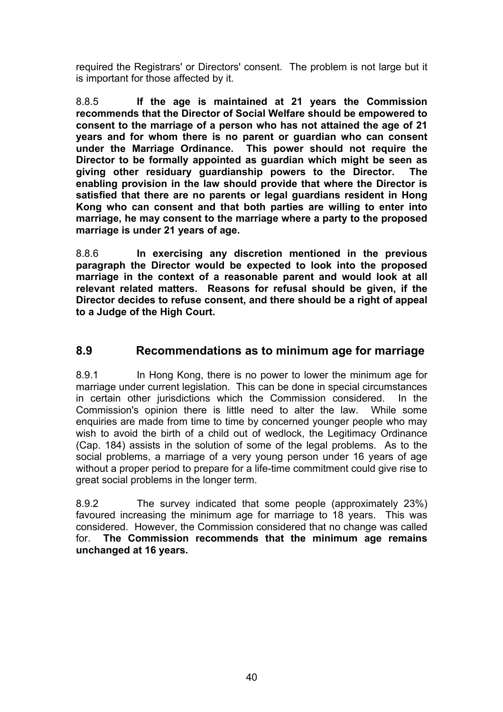required the Registrars' or Directors' consent. The problem is not large but it is important for those affected by it.

8.8.5 **If the age is maintained at 21 years the Commission recommends that the Director of Social Welfare should be empowered to consent to the marriage of a person who has not attained the age of 21 years and for whom there is no parent or guardian who can consent under the Marriage Ordinance. This power should not require the Director to be formally appointed as guardian which might be seen as giving other residuary guardianship powers to the Director. The enabling provision in the law should provide that where the Director is satisfied that there are no parents or legal guardians resident in Hong Kong who can consent and that both parties are willing to enter into marriage, he may consent to the marriage where a party to the proposed marriage is under 21 years of age.**

8.8.6 **In exercising any discretion mentioned in the previous paragraph the Director would be expected to look into the proposed marriage in the context of a reasonable parent and would look at all relevant related matters. Reasons for refusal should be given, if the Director decides to refuse consent, and there should be a right of appeal to a Judge of the High Court.**

### **8.9 Recommendations as to minimum age for marriage**

8.9.1 In Hong Kong, there is no power to lower the minimum age for marriage under current legislation. This can be done in special circumstances in certain other jurisdictions which the Commission considered. In the Commission's opinion there is little need to alter the law. While some enquiries are made from time to time by concerned younger people who may wish to avoid the birth of a child out of wedlock, the Legitimacy Ordinance (Cap. 184) assists in the solution of some of the legal problems. As to the social problems, a marriage of a very young person under 16 years of age without a proper period to prepare for a life-time commitment could give rise to great social problems in the longer term.

8.9.2 The survey indicated that some people (approximately 23%) favoured increasing the minimum age for marriage to 18 years. This was considered. However, the Commission considered that no change was called for. **The Commission recommends that the minimum age remains unchanged at 16 years.**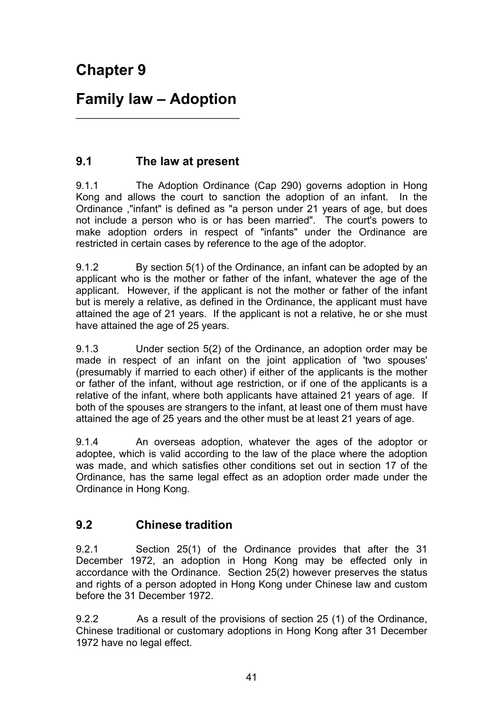# **Family law – Adoption**   $\_$

# **9.1 The law at present**

9.1.1 The Adoption Ordinance (Cap 290) governs adoption in Hong Kong and allows the court to sanction the adoption of an infant. In the Ordinance ,"infant" is defined as "a person under 21 years of age, but does not include a person who is or has been married". The court's powers to make adoption orders in respect of "infants" under the Ordinance are restricted in certain cases by reference to the age of the adoptor.

9.1.2 By section 5(1) of the Ordinance, an infant can be adopted by an applicant who is the mother or father of the infant, whatever the age of the applicant. However, if the applicant is not the mother or father of the infant but is merely a relative, as defined in the Ordinance, the applicant must have attained the age of 21 years. If the applicant is not a relative, he or she must have attained the age of 25 years.

9.1.3 Under section 5(2) of the Ordinance, an adoption order may be made in respect of an infant on the joint application of 'two spouses' (presumably if married to each other) if either of the applicants is the mother or father of the infant, without age restriction, or if one of the applicants is a relative of the infant, where both applicants have attained 21 years of age. If both of the spouses are strangers to the infant, at least one of them must have attained the age of 25 years and the other must be at least 21 years of age.

9.1.4 An overseas adoption, whatever the ages of the adoptor or adoptee, which is valid according to the law of the place where the adoption was made, and which satisfies other conditions set out in section 17 of the Ordinance, has the same legal effect as an adoption order made under the Ordinance in Hong Kong.

# **9.2 Chinese tradition**

9.2.1 Section 25(1) of the Ordinance provides that after the 31 December 1972, an adoption in Hong Kong may be effected only in accordance with the Ordinance. Section 25(2) however preserves the status and rights of a person adopted in Hong Kong under Chinese law and custom before the 31 December 1972.

9.2.2 As a result of the provisions of section 25 (1) of the Ordinance, Chinese traditional or customary adoptions in Hong Kong after 31 December 1972 have no legal effect.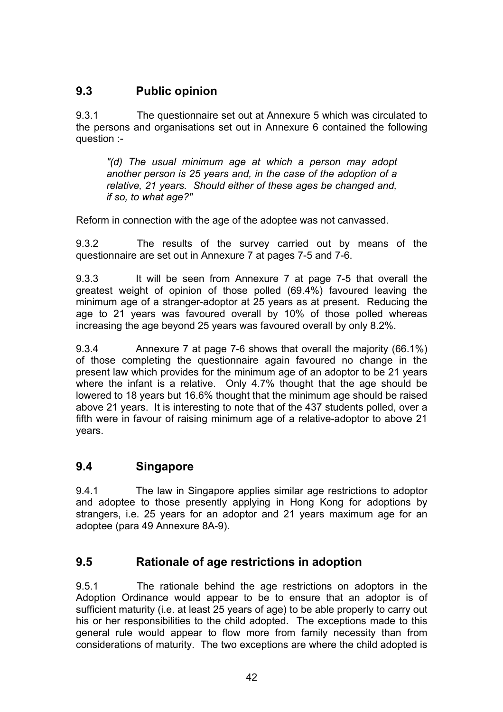# **9.3 Public opinion**

9.3.1 The questionnaire set out at Annexure 5 which was circulated to the persons and organisations set out in Annexure 6 contained the following question :-

*"(d) The usual minimum age at which a person may adopt another person is 25 years and, in the case of the adoption of a relative, 21 years. Should either of these ages be changed and, if so, to what age?"* 

Reform in connection with the age of the adoptee was not canvassed.

9.3.2 The results of the survey carried out by means of the questionnaire are set out in Annexure 7 at pages 7-5 and 7-6.

9.3.3 It will be seen from Annexure 7 at page 7-5 that overall the greatest weight of opinion of those polled (69.4%) favoured leaving the minimum age of a stranger-adoptor at 25 years as at present. Reducing the age to 21 years was favoured overall by 10% of those polled whereas increasing the age beyond 25 years was favoured overall by only 8.2%.

9.3.4 Annexure 7 at page 7-6 shows that overall the majority (66.1%) of those completing the questionnaire again favoured no change in the present law which provides for the minimum age of an adoptor to be 21 years where the infant is a relative. Only 4.7% thought that the age should be lowered to 18 years but 16.6% thought that the minimum age should be raised above 21 years. It is interesting to note that of the 437 students polled, over a fifth were in favour of raising minimum age of a relative-adoptor to above 21 years.

### **9.4 Singapore**

9.4.1 The law in Singapore applies similar age restrictions to adoptor and adoptee to those presently applying in Hong Kong for adoptions by strangers, i.e. 25 years for an adoptor and 21 years maximum age for an adoptee (para 49 Annexure 8A-9).

## **9.5 Rationale of age restrictions in adoption**

9.5.1 The rationale behind the age restrictions on adoptors in the Adoption Ordinance would appear to be to ensure that an adoptor is of sufficient maturity (i.e. at least 25 years of age) to be able properly to carry out his or her responsibilities to the child adopted. The exceptions made to this general rule would appear to flow more from family necessity than from considerations of maturity. The two exceptions are where the child adopted is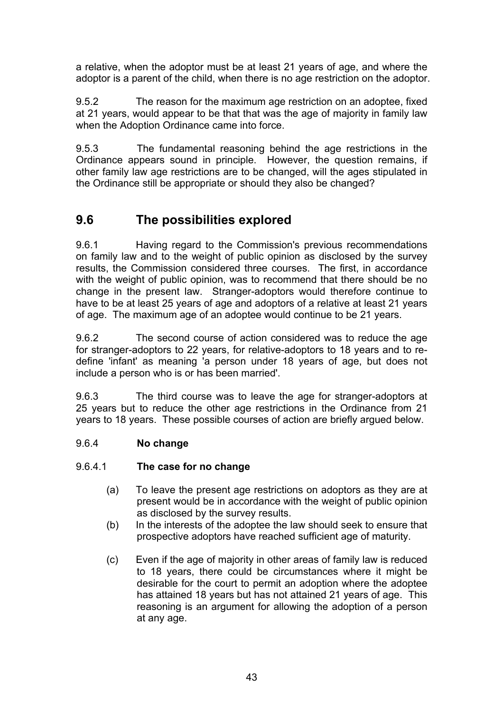a relative, when the adoptor must be at least 21 years of age, and where the adoptor is a parent of the child, when there is no age restriction on the adoptor.

9.5.2 The reason for the maximum age restriction on an adoptee, fixed at 21 years, would appear to be that that was the age of majority in family law when the Adoption Ordinance came into force.

9.5.3 The fundamental reasoning behind the age restrictions in the Ordinance appears sound in principle. However, the question remains, if other family law age restrictions are to be changed, will the ages stipulated in the Ordinance still be appropriate or should they also be changed?

# **9.6 The possibilities explored**

9.6.1 Having regard to the Commission's previous recommendations on family law and to the weight of public opinion as disclosed by the survey results, the Commission considered three courses. The first, in accordance with the weight of public opinion, was to recommend that there should be no change in the present law. Stranger-adoptors would therefore continue to have to be at least 25 years of age and adoptors of a relative at least 21 years of age. The maximum age of an adoptee would continue to be 21 years.

9.6.2 The second course of action considered was to reduce the age for stranger-adoptors to 22 years, for relative-adoptors to 18 years and to redefine 'infant' as meaning 'a person under 18 years of age, but does not include a person who is or has been married'.

9.6.3 The third course was to leave the age for stranger-adoptors at 25 years but to reduce the other age restrictions in the Ordinance from 21 years to 18 years. These possible courses of action are briefly argued below.

#### 9.6.4 **No change**

#### 9.6.4.1 **The case for no change**

- (a) To leave the present age restrictions on adoptors as they are at present would be in accordance with the weight of public opinion as disclosed by the survey results.
- (b) In the interests of the adoptee the law should seek to ensure that prospective adoptors have reached sufficient age of maturity.
- (c) Even if the age of majority in other areas of family law is reduced to 18 years, there could be circumstances where it might be desirable for the court to permit an adoption where the adoptee has attained 18 years but has not attained 21 years of age. This reasoning is an argument for allowing the adoption of a person at any age.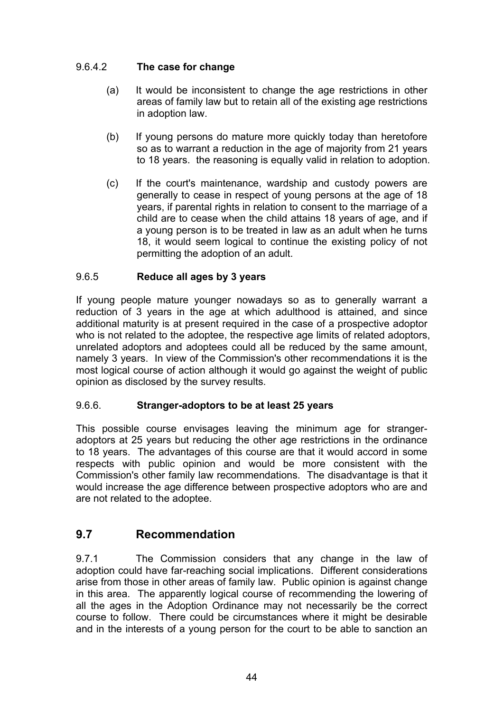### 9.6.4.2 **The case for change**

- (a) It would be inconsistent to change the age restrictions in other areas of family law but to retain all of the existing age restrictions in adoption law.
- (b) If young persons do mature more quickly today than heretofore so as to warrant a reduction in the age of majority from 21 years to 18 years. the reasoning is equally valid in relation to adoption.
- (c) If the court's maintenance, wardship and custody powers are generally to cease in respect of young persons at the age of 18 years, if parental rights in relation to consent to the marriage of a child are to cease when the child attains 18 years of age, and if a young person is to be treated in law as an adult when he turns 18, it would seem logical to continue the existing policy of not permitting the adoption of an adult.

### 9.6.5 **Reduce all ages by 3 years**

If young people mature younger nowadays so as to generally warrant a reduction of 3 years in the age at which adulthood is attained, and since additional maturity is at present required in the case of a prospective adoptor who is not related to the adoptee, the respective age limits of related adoptors, unrelated adoptors and adoptees could all be reduced by the same amount, namely 3 years. In view of the Commission's other recommendations it is the most logical course of action although it would go against the weight of public opinion as disclosed by the survey results.

### 9.6.6. **Stranger-adoptors to be at least 25 years**

This possible course envisages leaving the minimum age for strangeradoptors at 25 years but reducing the other age restrictions in the ordinance to 18 years. The advantages of this course are that it would accord in some respects with public opinion and would be more consistent with the Commission's other family law recommendations. The disadvantage is that it would increase the age difference between prospective adoptors who are and are not related to the adoptee.

## **9.7 Recommendation**

9.7.1 The Commission considers that any change in the law of adoption could have far-reaching social implications. Different considerations arise from those in other areas of family law. Public opinion is against change in this area. The apparently logical course of recommending the lowering of all the ages in the Adoption Ordinance may not necessarily be the correct course to follow. There could be circumstances where it might be desirable and in the interests of a young person for the court to be able to sanction an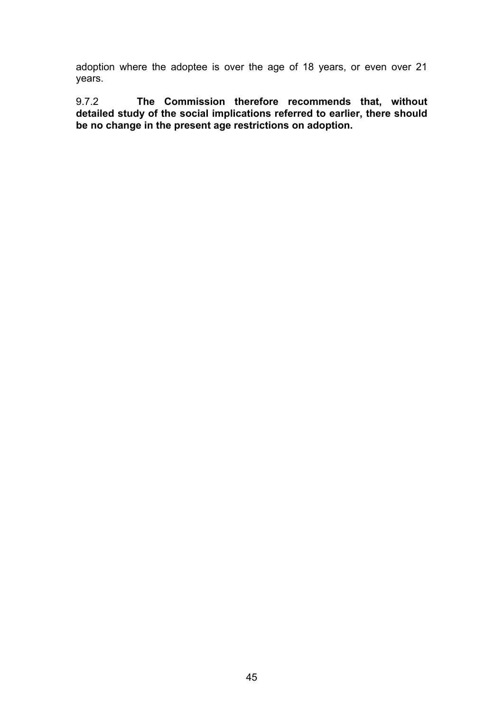adoption where the adoptee is over the age of 18 years, or even over 21 years.

9.7.2 **The Commission therefore recommends that, without detailed study of the social implications referred to earlier, there should be no change in the present age restrictions on adoption.**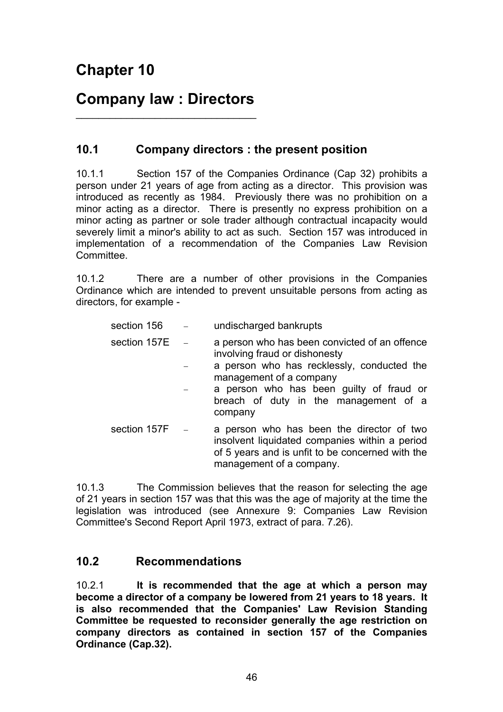# **Company law : Directors**   $\overline{\phantom{a}}$  , where  $\overline{\phantom{a}}$  , where  $\overline{\phantom{a}}$  ,  $\overline{\phantom{a}}$  ,  $\overline{\phantom{a}}$  ,  $\overline{\phantom{a}}$  ,  $\overline{\phantom{a}}$  ,  $\overline{\phantom{a}}$  ,  $\overline{\phantom{a}}$  ,  $\overline{\phantom{a}}$  ,  $\overline{\phantom{a}}$  ,  $\overline{\phantom{a}}$  ,  $\overline{\phantom{a}}$  ,  $\overline{\phantom{a}}$  ,  $\overline{\phantom{a}}$  ,

## **10.1 Company directors : the present position**

10.1.1 Section 157 of the Companies Ordinance (Cap 32) prohibits a person under 21 years of age from acting as a director. This provision was introduced as recently as 1984. Previously there was no prohibition on a minor acting as a director. There is presently no express prohibition on a minor acting as partner or sole trader although contractual incapacity would severely limit a minor's ability to act as such. Section 157 was introduced in implementation of a recommendation of the Companies Law Revision Committee.

10.1.2 There are a number of other provisions in the Companies Ordinance which are intended to prevent unsuitable persons from acting as directors, for example -

| section 156      | undischarged bankrupts                                                                                                                                                                                                                                  |
|------------------|---------------------------------------------------------------------------------------------------------------------------------------------------------------------------------------------------------------------------------------------------------|
| section 157E     | a person who has been convicted of an offence<br>involving fraud or dishonesty<br>a person who has recklessly, conducted the<br>management of a company<br>a person who has been guilty of fraud or<br>breach of duty in the management of a<br>company |
| section $157F -$ | a person who has been the director of two<br>insolvent liquidated companies within a period<br>of 5 years and is unfit to be concerned with the<br>management of a company.                                                                             |

10.1.3 The Commission believes that the reason for selecting the age of 21 years in section 157 was that this was the age of majority at the time the legislation was introduced (see Annexure 9: Companies Law Revision Committee's Second Report April 1973, extract of para. 7.26).

## **10.2 Recommendations**

10.2.1 **It is recommended that the age at which a person may become a director of a company be lowered from 21 years to 18 years. It is also recommended that the Companies' Law Revision Standing Committee be requested to reconsider generally the age restriction on company directors as contained in section 157 of the Companies Ordinance (Cap.32).**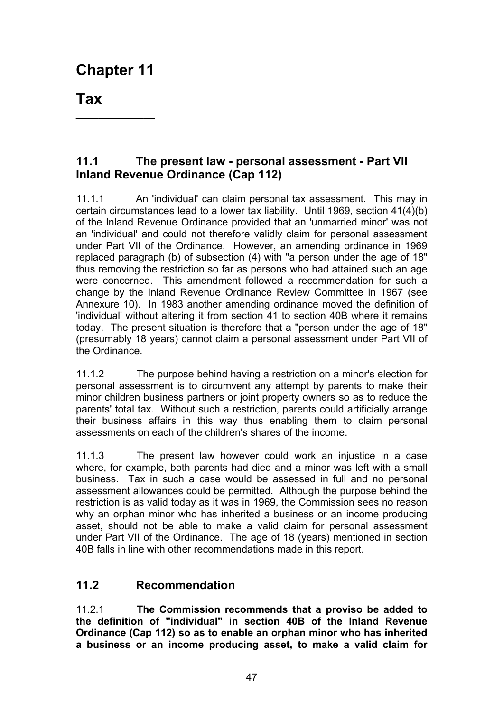\_\_\_\_\_\_\_\_\_\_\_\_\_\_

**Tax** 

# **11.1 The present law - personal assessment - Part VII Inland Revenue Ordinance (Cap 112)**

11.1.1 An 'individual' can claim personal tax assessment. This may in certain circumstances lead to a lower tax liability. Until 1969, section 41(4)(b) of the Inland Revenue Ordinance provided that an 'unmarried minor' was not an 'individual' and could not therefore validly claim for personal assessment under Part VII of the Ordinance. However, an amending ordinance in 1969 replaced paragraph (b) of subsection (4) with "a person under the age of 18" thus removing the restriction so far as persons who had attained such an age were concerned. This amendment followed a recommendation for such a change by the Inland Revenue Ordinance Review Committee in 1967 (see Annexure 10). In 1983 another amending ordinance moved the definition of 'individual' without altering it from section 41 to section 40B where it remains today. The present situation is therefore that a "person under the age of 18" (presumably 18 years) cannot claim a personal assessment under Part VII of the Ordinance.

11.1.2 The purpose behind having a restriction on a minor's election for personal assessment is to circumvent any attempt by parents to make their minor children business partners or joint property owners so as to reduce the parents' total tax. Without such a restriction, parents could artificially arrange their business affairs in this way thus enabling them to claim personal assessments on each of the children's shares of the income.

11.1.3 The present law however could work an injustice in a case where, for example, both parents had died and a minor was left with a small business. Tax in such a case would be assessed in full and no personal assessment allowances could be permitted. Although the purpose behind the restriction is as valid today as it was in 1969, the Commission sees no reason why an orphan minor who has inherited a business or an income producing asset, should not be able to make a valid claim for personal assessment under Part VII of the Ordinance. The age of 18 (years) mentioned in section 40B falls in line with other recommendations made in this report.

# **11.2 Recommendation**

11.2.1 **The Commission recommends that a proviso be added to the definition of "individual" in section 40B of the Inland Revenue Ordinance (Cap 112) so as to enable an orphan minor who has inherited a business or an income producing asset, to make a valid claim for**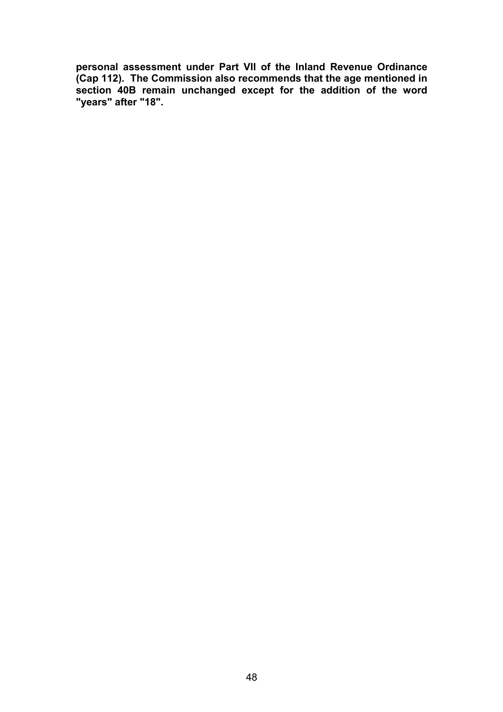**personal assessment under Part VII of the Inland Revenue Ordinance (Cap 112). The Commission also recommends that the age mentioned in section 40B remain unchanged except for the addition of the word "years" after "18".**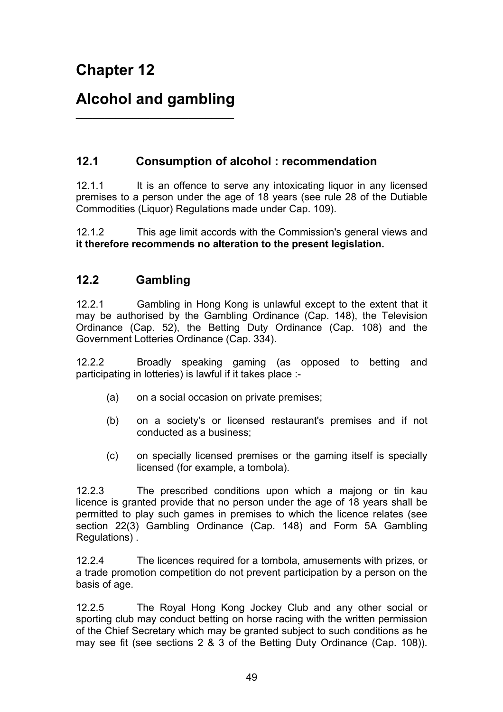# **Alcohol and gambling**

 $\frac{1}{2}$  ,  $\frac{1}{2}$  ,  $\frac{1}{2}$  ,  $\frac{1}{2}$  ,  $\frac{1}{2}$  ,  $\frac{1}{2}$  ,  $\frac{1}{2}$  ,  $\frac{1}{2}$  ,  $\frac{1}{2}$  ,  $\frac{1}{2}$  ,  $\frac{1}{2}$  ,  $\frac{1}{2}$  ,  $\frac{1}{2}$  ,  $\frac{1}{2}$  ,  $\frac{1}{2}$  ,  $\frac{1}{2}$  ,  $\frac{1}{2}$  ,  $\frac{1}{2}$  ,  $\frac{1$ 

# **12.1 Consumption of alcohol : recommendation**

12.1.1 It is an offence to serve any intoxicating liquor in any licensed premises to a person under the age of 18 years (see rule 28 of the Dutiable Commodities (Liquor) Regulations made under Cap. 109).

12.1.2 This age limit accords with the Commission's general views and **it therefore recommends no alteration to the present legislation.**

# **12.2 Gambling**

12.2.1 Gambling in Hong Kong is unlawful except to the extent that it may be authorised by the Gambling Ordinance (Cap. 148), the Television Ordinance (Cap. 52), the Betting Duty Ordinance (Cap. 108) and the Government Lotteries Ordinance (Cap. 334).

12.2.2 Broadly speaking gaming (as opposed to betting and participating in lotteries) is lawful if it takes place :-

- (a) on a social occasion on private premises;
- (b) on a society's or licensed restaurant's premises and if not conducted as a business;
- (c) on specially licensed premises or the gaming itself is specially licensed (for example, a tombola).

12.2.3 The prescribed conditions upon which a majong or tin kau licence is granted provide that no person under the age of 18 years shall be permitted to play such games in premises to which the licence relates (see section 22(3) Gambling Ordinance (Cap. 148) and Form 5A Gambling Regulations).

12.2.4 The licences required for a tombola, amusements with prizes, or a trade promotion competition do not prevent participation by a person on the basis of age.

12.2.5 The Royal Hong Kong Jockey Club and any other social or sporting club may conduct betting on horse racing with the written permission of the Chief Secretary which may be granted subject to such conditions as he may see fit (see sections 2 & 3 of the Betting Duty Ordinance (Cap. 108)).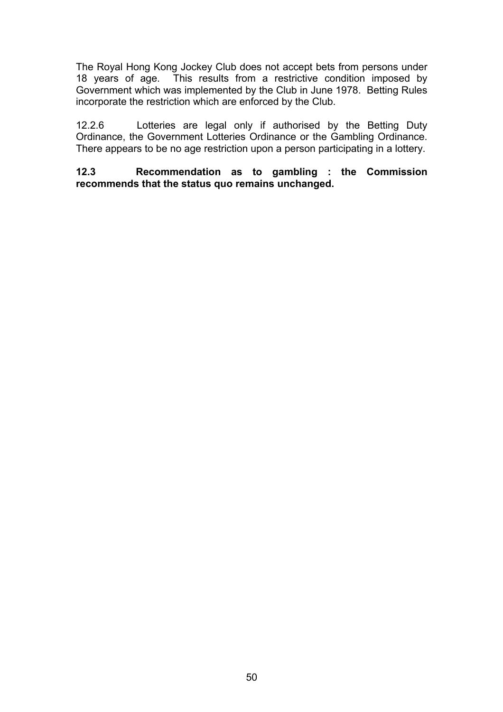The Royal Hong Kong Jockey Club does not accept bets from persons under 18 years of age. This results from a restrictive condition imposed by Government which was implemented by the Club in June 1978. Betting Rules incorporate the restriction which are enforced by the Club.

12.2.6 Lotteries are legal only if authorised by the Betting Duty Ordinance, the Government Lotteries Ordinance or the Gambling Ordinance. There appears to be no age restriction upon a person participating in a lottery.

**12.3 Recommendation as to gambling : the Commission recommends that the status quo remains unchanged.**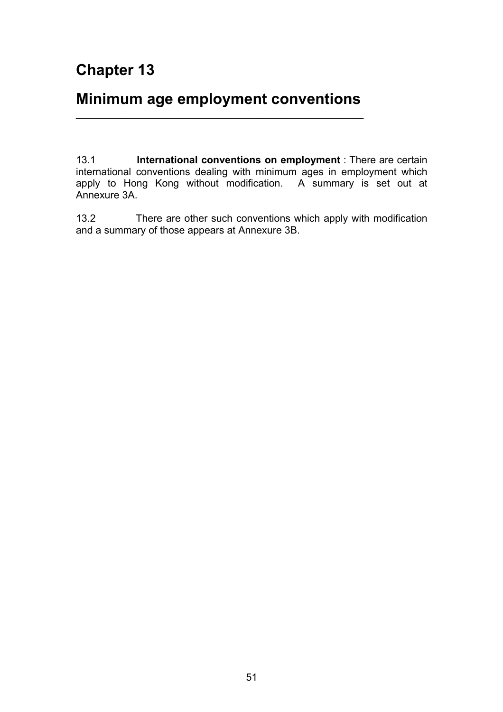# **Minimum age employment conventions**   $\overline{\phantom{a}}$  , and the contract of the contract of the contract of the contract of the contract of the contract of the contract of the contract of the contract of the contract of the contract of the contract of the contrac

13.1 **International conventions on employment** : There are certain international conventions dealing with minimum ages in employment which apply to Hong Kong without modification. A summary is set out at Annexure 3A.

13.2 There are other such conventions which apply with modification and a summary of those appears at Annexure 3B.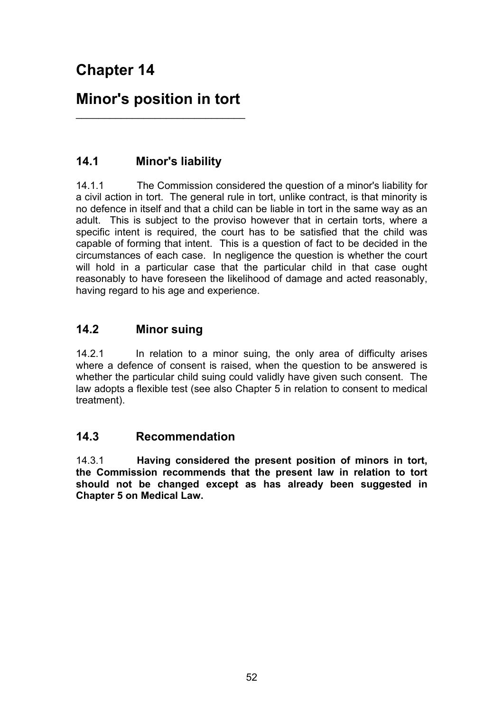# **Minor's position in tort**   $\_$

# **14.1 Minor's liability**

14.1.1 The Commission considered the question of a minor's liability for a civil action in tort. The general rule in tort, unlike contract, is that minority is no defence in itself and that a child can be liable in tort in the same way as an adult. This is subject to the proviso however that in certain torts, where a specific intent is required, the court has to be satisfied that the child was capable of forming that intent. This is a question of fact to be decided in the circumstances of each case. In negligence the question is whether the court will hold in a particular case that the particular child in that case ought reasonably to have foreseen the likelihood of damage and acted reasonably, having regard to his age and experience.

## **14.2 Minor suing**

14.2.1 In relation to a minor suing, the only area of difficulty arises where a defence of consent is raised, when the question to be answered is whether the particular child suing could validly have given such consent. The law adopts a flexible test (see also Chapter 5 in relation to consent to medical treatment).

## **14.3 Recommendation**

14.3.1 **Having considered the present position of minors in tort, the Commission recommends that the present law in relation to tort should not be changed except as has already been suggested in Chapter 5 on Medical Law.**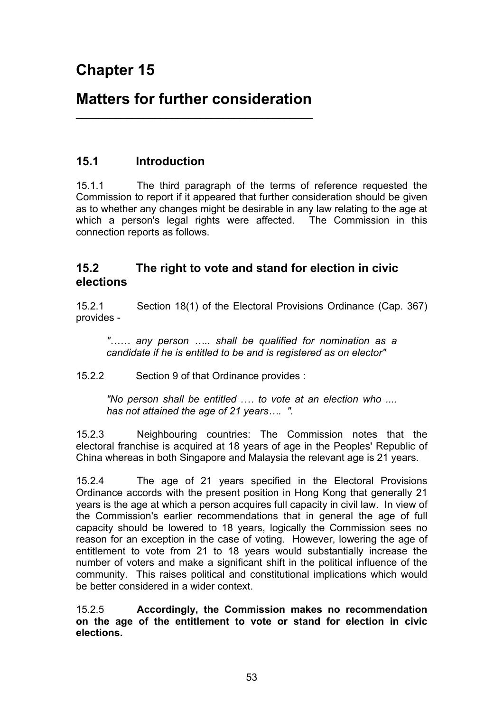# **Matters for further consideration**   $\overline{\phantom{a}}$  , and the set of the set of the set of the set of the set of the set of the set of the set of the set of the set of the set of the set of the set of the set of the set of the set of the set of the set of the s

### **15.1 Introduction**

15.1.1 The third paragraph of the terms of reference requested the Commission to report if it appeared that further consideration should be given as to whether any changes might be desirable in any law relating to the age at which a person's legal rights were affected. The Commission in this connection reports as follows.

### **15.2 The right to vote and stand for election in civic elections**

15.2.1 Section 18(1) of the Electoral Provisions Ordinance (Cap. 367) provides -

*"…… any person ….. shall be qualified for nomination as a candidate if he is entitled to be and is registered as on elector"* 

15.2.2 Section 9 of that Ordinance provides :

*"No person shall be entitled .… to vote at an election who .... has not attained the age of 21 years…. ".* 

15.2.3 Neighbouring countries: The Commission notes that the electoral franchise is acquired at 18 years of age in the Peoples' Republic of China whereas in both Singapore and Malaysia the relevant age is 21 years.

15.2.4 The age of 21 years specified in the Electoral Provisions Ordinance accords with the present position in Hong Kong that generally 21 years is the age at which a person acquires full capacity in civil law. In view of the Commission's earlier recommendations that in general the age of full capacity should be lowered to 18 years, logically the Commission sees no reason for an exception in the case of voting. However, lowering the age of entitlement to vote from 21 to 18 years would substantially increase the number of voters and make a significant shift in the political influence of the community. This raises political and constitutional implications which would be better considered in a wider context.

15.2.5 **Accordingly, the Commission makes no recommendation on the age of the entitlement to vote or stand for election in civic elections.**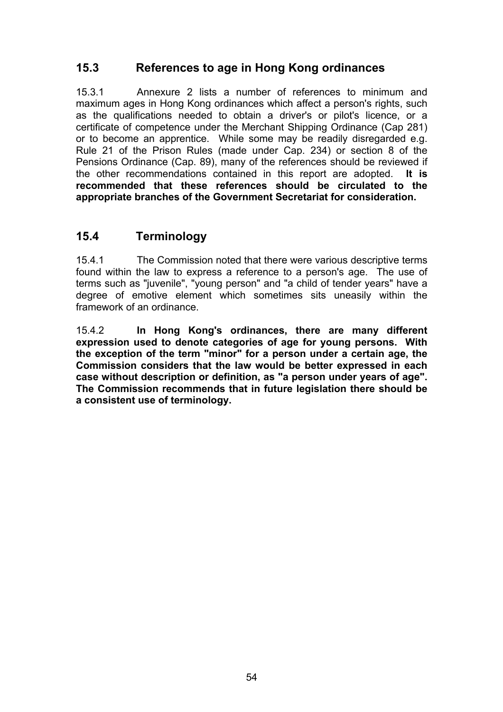# **15.3 References to age in Hong Kong ordinances**

15.3.1 Annexure 2 lists a number of references to minimum and maximum ages in Hong Kong ordinances which affect a person's rights, such as the qualifications needed to obtain a driver's or pilot's licence, or a certificate of competence under the Merchant Shipping Ordinance (Cap 281) or to become an apprentice. While some may be readily disregarded e.g. Rule 21 of the Prison Rules (made under Cap. 234) or section 8 of the Pensions Ordinance (Cap. 89), many of the references should be reviewed if the other recommendations contained in this report are adopted. **It is recommended that these references should be circulated to the appropriate branches of the Government Secretariat for consideration.**

### **15.4 Terminology**

15.4.1 The Commission noted that there were various descriptive terms found within the law to express a reference to a person's age. The use of terms such as "juvenile", "young person" and "a child of tender years" have a degree of emotive element which sometimes sits uneasily within the framework of an ordinance.

15.4.2 **In Hong Kong's ordinances, there are many different expression used to denote categories of age for young persons. With the exception of the term "minor" for a person under a certain age, the Commission considers that the law would be better expressed in each case without description or definition, as "a person under years of age". The Commission recommends that in future legislation there should be a consistent use of terminology.**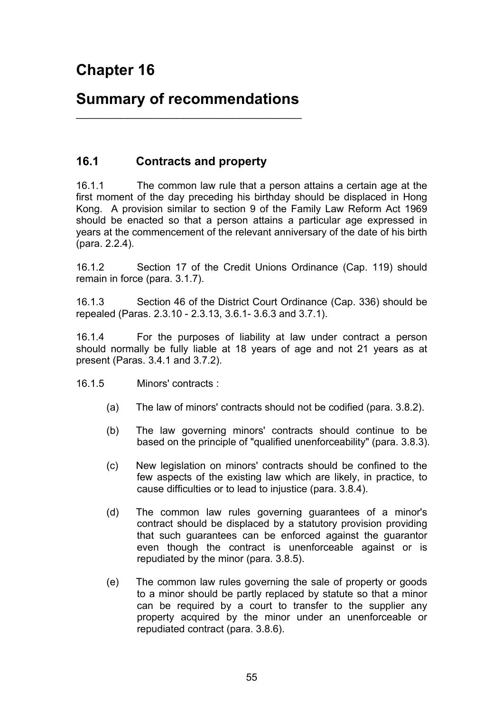# **Summary of recommendations**   $\overline{\phantom{a}}$  , and the set of the set of the set of the set of the set of the set of the set of the set of the set of the set of the set of the set of the set of the set of the set of the set of the set of the set of the s

# **16.1 Contracts and property**

16.1.1 The common law rule that a person attains a certain age at the first moment of the day preceding his birthday should be displaced in Hong Kong. A provision similar to section 9 of the Family Law Reform Act 1969 should be enacted so that a person attains a particular age expressed in years at the commencement of the relevant anniversary of the date of his birth (para. 2.2.4).

16.1.2 Section 17 of the Credit Unions Ordinance (Cap. 119) should remain in force (para. 3.1.7).

16.1.3 Section 46 of the District Court Ordinance (Cap. 336) should be repealed (Paras. 2.3.10 - 2.3.13, 3.6.1- 3.6.3 and 3.7.1).

16.1.4 For the purposes of liability at law under contract a person should normally be fully liable at 18 years of age and not 21 years as at present (Paras. 3.4.1 and 3.7.2).

16.1.5 Minors' contracts :

- (a) The law of minors' contracts should not be codified (para. 3.8.2).
- (b) The law governing minors' contracts should continue to be based on the principle of "qualified unenforceability" (para. 3.8.3).
- (c) New legislation on minors' contracts should be confined to the few aspects of the existing law which are likely, in practice, to cause difficulties or to lead to injustice (para. 3.8.4).
- (d) The common law rules governing guarantees of a minor's contract should be displaced by a statutory provision providing that such guarantees can be enforced against the guarantor even though the contract is unenforceable against or is repudiated by the minor (para. 3.8.5).
- (e) The common law rules governing the sale of property or goods to a minor should be partly replaced by statute so that a minor can be required by a court to transfer to the supplier any property acquired by the minor under an unenforceable or repudiated contract (para. 3.8.6).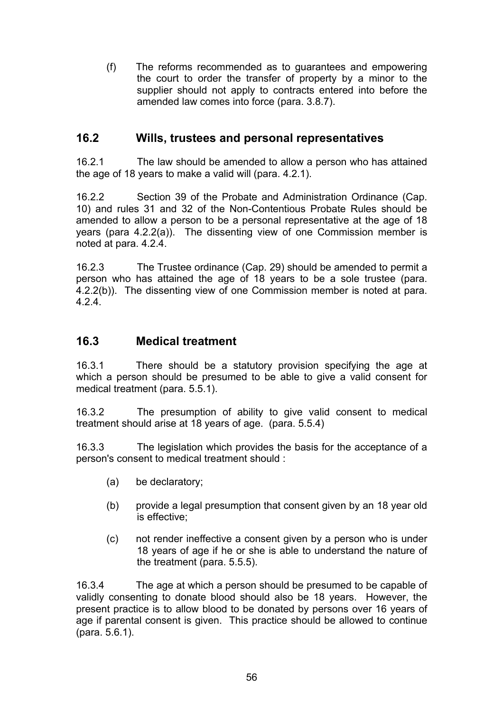(f) The reforms recommended as to guarantees and empowering the court to order the transfer of property by a minor to the supplier should not apply to contracts entered into before the amended law comes into force (para. 3.8.7).

### **16.2 Wills, trustees and personal representatives**

16.2.1 The law should be amended to allow a person who has attained the age of 18 years to make a valid will (para. 4.2.1).

16.2.2 Section 39 of the Probate and Administration Ordinance (Cap. 10) and rules 31 and 32 of the Non-Contentious Probate Rules should be amended to allow a person to be a personal representative at the age of 18 years (para 4.2.2(a)). The dissenting view of one Commission member is noted at para. 4.2.4.

16.2.3 The Trustee ordinance (Cap. 29) should be amended to permit a person who has attained the age of 18 years to be a sole trustee (para. 4.2.2(b)). The dissenting view of one Commission member is noted at para. 4.2.4.

### **16.3 Medical treatment**

16.3.1 There should be a statutory provision specifying the age at which a person should be presumed to be able to give a valid consent for medical treatment (para. 5.5.1).

16.3.2 The presumption of ability to give valid consent to medical treatment should arise at 18 years of age. (para. 5.5.4)

16.3.3 The legislation which provides the basis for the acceptance of a person's consent to medical treatment should :

- (a) be declaratory;
- (b) provide a legal presumption that consent given by an 18 year old is effective;
- (c) not render ineffective a consent given by a person who is under 18 years of age if he or she is able to understand the nature of the treatment (para. 5.5.5).

16.3.4 The age at which a person should be presumed to be capable of validly consenting to donate blood should also be 18 years. However, the present practice is to allow blood to be donated by persons over 16 years of age if parental consent is given. This practice should be allowed to continue (para. 5.6.1).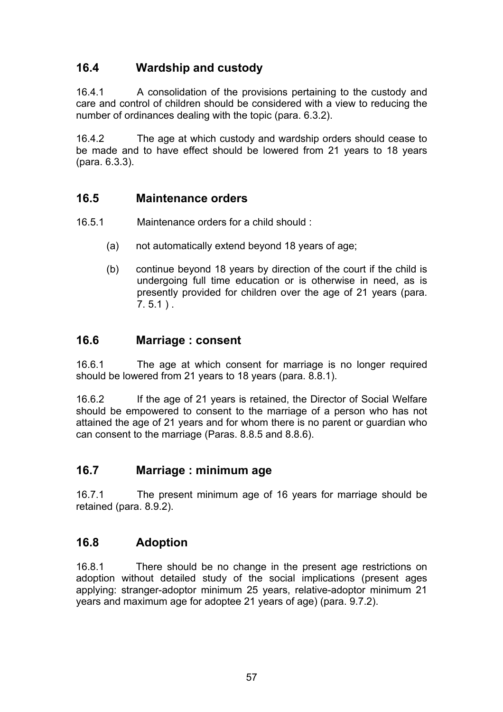# **16.4 Wardship and custody**

16.4.1 A consolidation of the provisions pertaining to the custody and care and control of children should be considered with a view to reducing the number of ordinances dealing with the topic (para. 6.3.2).

16.4.2 The age at which custody and wardship orders should cease to be made and to have effect should be lowered from 21 years to 18 years (para. 6.3.3).

## **16.5 Maintenance orders**

- 16.5.1 Maintenance orders for a child should :
	- (a) not automatically extend beyond 18 years of age;
	- (b) continue beyond 18 years by direction of the court if the child is undergoing full time education or is otherwise in need, as is presently provided for children over the age of 21 years (para.  $7.5.1$  ).

### **16.6 Marriage : consent**

16.6.1 The age at which consent for marriage is no longer required should be lowered from 21 years to 18 years (para. 8.8.1).

16.6.2 If the age of 21 years is retained, the Director of Social Welfare should be empowered to consent to the marriage of a person who has not attained the age of 21 years and for whom there is no parent or guardian who can consent to the marriage (Paras. 8.8.5 and 8.8.6).

## **16.7 Marriage : minimum age**

16.7.1 The present minimum age of 16 years for marriage should be retained (para. 8.9.2).

## **16.8 Adoption**

16.8.1 There should be no change in the present age restrictions on adoption without detailed study of the social implications (present ages applying: stranger-adoptor minimum 25 years, relative-adoptor minimum 21 years and maximum age for adoptee 21 years of age) (para. 9.7.2).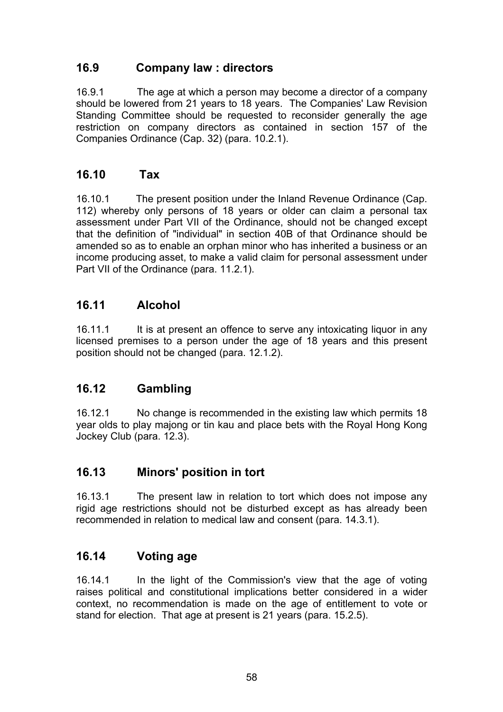## **16.9 Company law : directors**

16.9.1 The age at which a person may become a director of a company should be lowered from 21 years to 18 years. The Companies' Law Revision Standing Committee should be requested to reconsider generally the age restriction on company directors as contained in section 157 of the Companies Ordinance (Cap. 32) (para. 10.2.1).

## **16.10 Tax**

16.10.1 The present position under the Inland Revenue Ordinance (Cap. 112) whereby only persons of 18 years or older can claim a personal tax assessment under Part VII of the Ordinance, should not be changed except that the definition of "individual" in section 40B of that Ordinance should be amended so as to enable an orphan minor who has inherited a business or an income producing asset, to make a valid claim for personal assessment under Part VII of the Ordinance (para. 11.2.1).

# **16.11 Alcohol**

16.11.1 It is at present an offence to serve any intoxicating liquor in any licensed premises to a person under the age of 18 years and this present position should not be changed (para. 12.1.2).

## **16.12 Gambling**

16.12.1 No change is recommended in the existing law which permits 18 year olds to play majong or tin kau and place bets with the Royal Hong Kong Jockey Club (para. 12.3).

## **16.13 Minors' position in tort**

16.13.1 The present law in relation to tort which does not impose any rigid age restrictions should not be disturbed except as has already been recommended in relation to medical law and consent (para. 14.3.1).

## **16.14 Voting age**

16.14.1 In the light of the Commission's view that the age of voting raises political and constitutional implications better considered in a wider context, no recommendation is made on the age of entitlement to vote or stand for election. That age at present is 21 years (para. 15.2.5).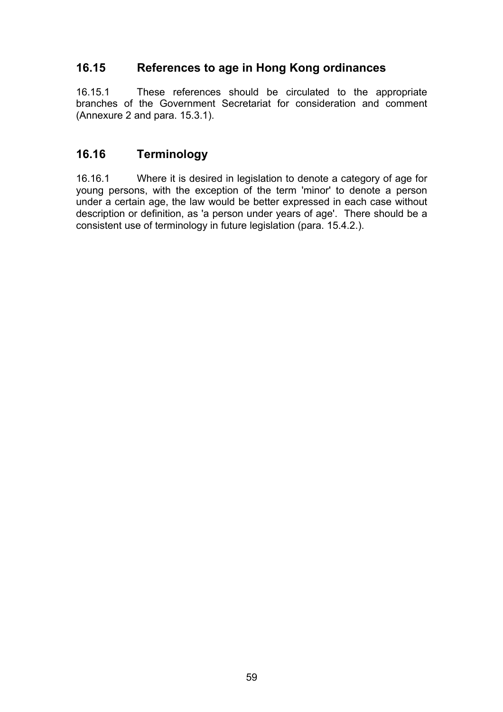# **16.15 References to age in Hong Kong ordinances**

16.15.1 These references should be circulated to the appropriate branches of the Government Secretariat for consideration and comment (Annexure 2 and para. 15.3.1).

## **16.16 Terminology**

16.16.1 Where it is desired in legislation to denote a category of age for young persons, with the exception of the term 'minor' to denote a person under a certain age, the law would be better expressed in each case without description or definition, as 'a person under years of age'. There should be a consistent use of terminology in future legislation (para. 15.4.2.).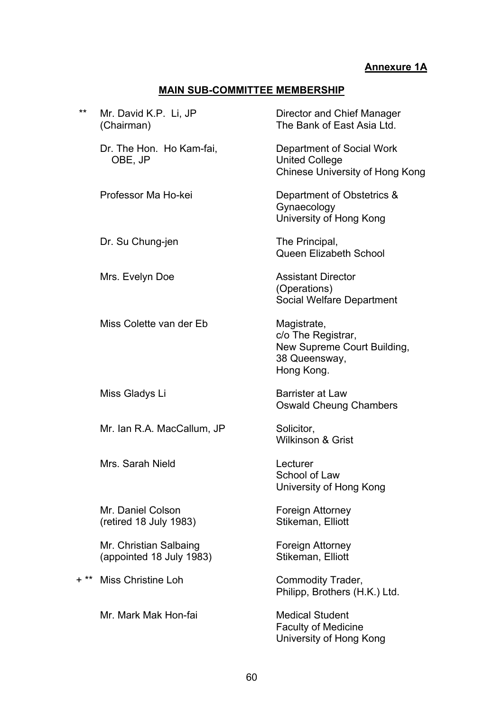### **Annexure 1A**

## **MAIN SUB-COMMITTEE MEMBERSHIP**

| **     | Mr. David K.P. Li, JP<br>(Chairman)                | Director and Chief Manager<br>The Bank of East Asia Ltd.                                        |
|--------|----------------------------------------------------|-------------------------------------------------------------------------------------------------|
|        | Dr. The Hon. Ho Kam-fai,<br>OBE, JP                | Department of Social Work<br><b>United College</b><br><b>Chinese University of Hong Kong</b>    |
|        | Professor Ma Ho-kei                                | Department of Obstetrics &<br>Gynaecology<br>University of Hong Kong                            |
|        | Dr. Su Chung-jen                                   | The Principal,<br>Queen Elizabeth School                                                        |
|        | Mrs. Evelyn Doe                                    | <b>Assistant Director</b><br>(Operations)<br><b>Social Welfare Department</b>                   |
|        | Miss Colette van der Eb                            | Magistrate,<br>c/o The Registrar,<br>New Supreme Court Building,<br>38 Queensway,<br>Hong Kong. |
|        | Miss Gladys Li                                     | <b>Barrister at Law</b><br><b>Oswald Cheung Chambers</b>                                        |
|        | Mr. Ian R.A. MacCallum, JP                         | Solicitor,<br><b>Wilkinson &amp; Grist</b>                                                      |
|        | Mrs. Sarah Nield                                   | Lecturer<br>School of Law<br>University of Hong Kong                                            |
|        | Mr. Daniel Colson<br>(retired 18 July 1983)        | Foreign Attorney<br>Stikeman, Elliott                                                           |
|        | Mr. Christian Salbaing<br>(appointed 18 July 1983) | Foreign Attorney<br>Stikeman, Elliott                                                           |
| $+$ ** | Miss Christine Loh                                 | Commodity Trader,<br>Philipp, Brothers (H.K.) Ltd.                                              |
|        | Mr. Mark Mak Hon-fai                               | <b>Medical Student</b><br><b>Faculty of Medicine</b><br>University of Hong Kong                 |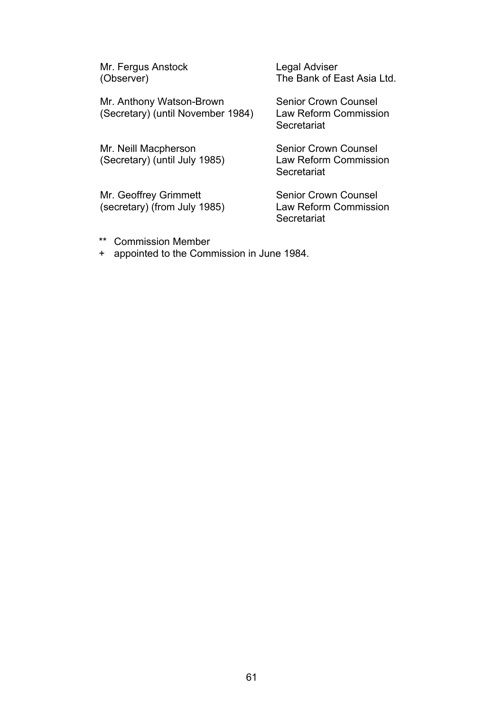Mr. Fergus Anstock (Observer)

Mr. Anthony Watson-Brown (Secretary) (until November 1984)

Mr. Neill Macpherson (Secretary) (until July 1985)

Mr. Geoffrey Grimmett (secretary) (from July 1985) Legal Adviser The Bank of East Asia Ltd.

Senior Crown Counsel Law Reform Commission **Secretariat** 

Senior Crown Counsel Law Reform Commission **Secretariat** 

Senior Crown Counsel Law Reform Commission **Secretariat** 

- \*\* Commission Member
- + appointed to the Commission in June 1984.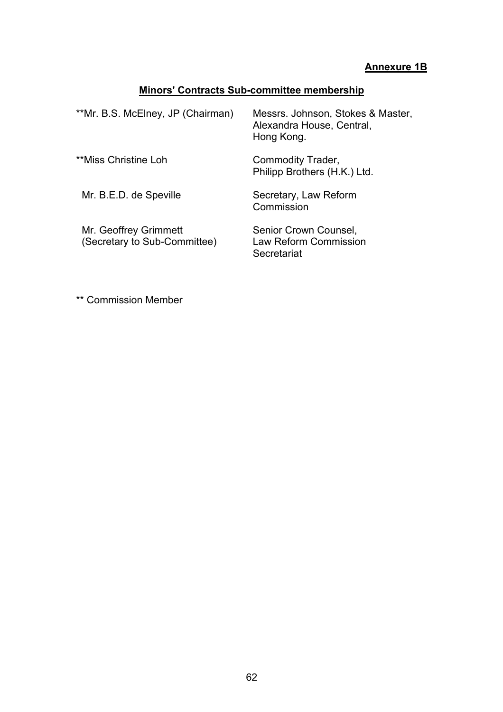## **Annexure 1B**

## **Minors' Contracts Sub-committee membership**

| **Mr. B.S. McElney, JP (Chairman)                     | Messrs. Johnson, Stokes & Master,<br>Alexandra House, Central,<br>Hong Kong. |
|-------------------------------------------------------|------------------------------------------------------------------------------|
| **Miss Christine Loh                                  | Commodity Trader,<br>Philipp Brothers (H.K.) Ltd.                            |
| Mr. B.E.D. de Speville                                | Secretary, Law Reform<br>Commission                                          |
| Mr. Geoffrey Grimmett<br>(Secretary to Sub-Committee) | Senior Crown Counsel,<br>Law Reform Commission<br>Secretariat                |

\*\* Commission Member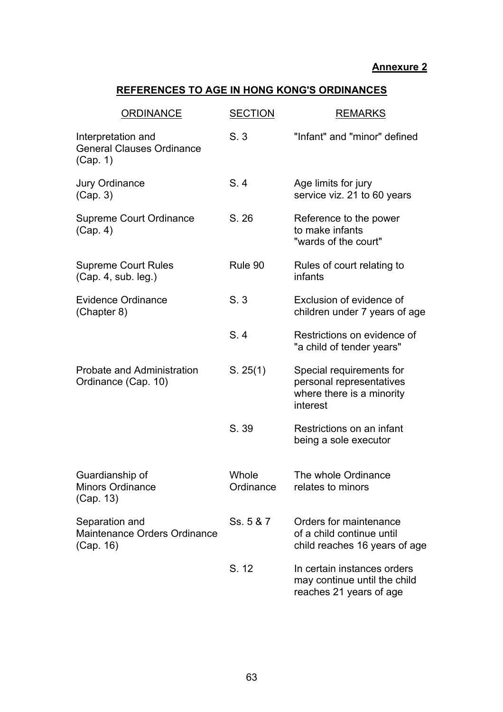### **Annexure 2**

## **REFERENCES TO AGE IN HONG KONG'S ORDINANCES**

| <b>ORDINANCE</b>                                                   | <b>SECTION</b>     | <b>REMARKS</b>                                                                                |
|--------------------------------------------------------------------|--------------------|-----------------------------------------------------------------------------------------------|
| Interpretation and<br><b>General Clauses Ordinance</b><br>(Cap. 1) | S.3                | "Infant" and "minor" defined                                                                  |
| <b>Jury Ordinance</b><br>(Cap. 3)                                  | S.4                | Age limits for jury<br>service viz. 21 to 60 years                                            |
| <b>Supreme Court Ordinance</b><br>(Cap. 4)                         | S. 26              | Reference to the power<br>to make infants<br>"wards of the court"                             |
| <b>Supreme Court Rules</b><br>(Cap. 4, sub. leg.)                  | Rule 90            | Rules of court relating to<br>infants                                                         |
| <b>Evidence Ordinance</b><br>(Chapter 8)                           | S.3                | Exclusion of evidence of<br>children under 7 years of age                                     |
|                                                                    | S.4                | Restrictions on evidence of<br>"a child of tender years"                                      |
| Probate and Administration<br>Ordinance (Cap. 10)                  | S. 25(1)           | Special requirements for<br>personal representatives<br>where there is a minority<br>interest |
|                                                                    | S. 39              | Restrictions on an infant<br>being a sole executor                                            |
| Guardianship of<br><b>Minors Ordinance</b><br>(Cap. 13)            | Whole<br>Ordinance | The whole Ordinance<br>relates to minors                                                      |
| Separation and<br>Maintenance Orders Ordinance<br>(Cap. 16)        | Ss. 5 & 7          | Orders for maintenance<br>of a child continue until<br>child reaches 16 years of age          |
|                                                                    | S. 12              | In certain instances orders<br>may continue until the child<br>reaches 21 years of age        |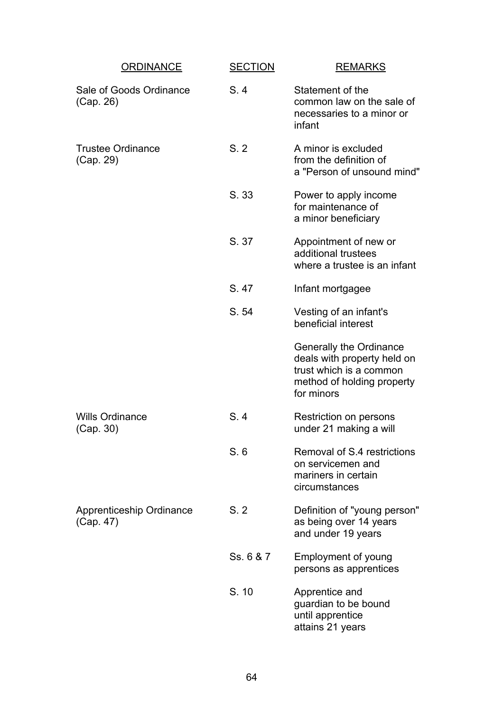| <b>ORDINANCE</b>                      | <b>SECTION</b> | <b>REMARKS</b>                                                                                                                |
|---------------------------------------|----------------|-------------------------------------------------------------------------------------------------------------------------------|
| Sale of Goods Ordinance<br>(Cap. 26)  | S.4            | Statement of the<br>common law on the sale of<br>necessaries to a minor or<br>infant                                          |
| <b>Trustee Ordinance</b><br>(Cap. 29) | S.2            | A minor is excluded<br>from the definition of<br>a "Person of unsound mind"                                                   |
|                                       | S. 33          | Power to apply income<br>for maintenance of<br>a minor beneficiary                                                            |
|                                       | S. 37          | Appointment of new or<br>additional trustees<br>where a trustee is an infant                                                  |
|                                       | S. 47          | Infant mortgagee                                                                                                              |
|                                       | S. 54          | Vesting of an infant's<br>beneficial interest                                                                                 |
|                                       |                | Generally the Ordinance<br>deals with property held on<br>trust which is a common<br>method of holding property<br>for minors |
| <b>Wills Ordinance</b><br>(Cap. 30)   | S.4            | Restriction on persons<br>under 21 making a will                                                                              |
|                                       | S.6            | Removal of S.4 restrictions<br>on servicemen and<br>mariners in certain<br>circumstances                                      |
| Apprenticeship Ordinance<br>(Cap. 47) | S.2            | Definition of "young person"<br>as being over 14 years<br>and under 19 years                                                  |
|                                       | Ss. 6 & 7      | Employment of young<br>persons as apprentices                                                                                 |
|                                       | S. 10          | Apprentice and<br>guardian to be bound<br>until apprentice<br>attains 21 years                                                |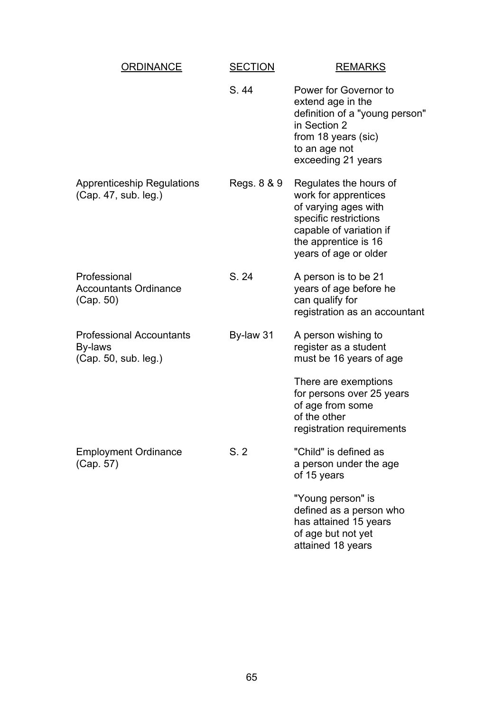| ORDINANCE                                                          | <b>SECTION</b> | <b>REMARKS</b>                                                                                                                                                              |
|--------------------------------------------------------------------|----------------|-----------------------------------------------------------------------------------------------------------------------------------------------------------------------------|
|                                                                    | S. 44          | Power for Governor to<br>extend age in the<br>definition of a "young person"<br>in Section 2<br>from 18 years (sic)<br>to an age not<br>exceeding 21 years                  |
| <b>Apprenticeship Regulations</b><br>(Cap. 47, sub. leg.)          | Regs. 8 & 9    | Regulates the hours of<br>work for apprentices<br>of varying ages with<br>specific restrictions<br>capable of variation if<br>the apprentice is 16<br>years of age or older |
| Professional<br><b>Accountants Ordinance</b><br>(Cap. 50)          | S. 24          | A person is to be 21<br>years of age before he<br>can qualify for<br>registration as an accountant                                                                          |
| <b>Professional Accountants</b><br>By-laws<br>(Cap. 50, sub. leg.) | By-law 31      | A person wishing to<br>register as a student<br>must be 16 years of age                                                                                                     |
|                                                                    |                | There are exemptions<br>for persons over 25 years<br>of age from some<br>of the other<br>registration requirements                                                          |
| <b>Employment Ordinance</b><br>(Cap. 57)                           | S.2            | "Child" is defined as<br>a person under the age<br>of 15 years                                                                                                              |
|                                                                    |                | "Young person" is<br>defined as a person who<br>has attained 15 years<br>of age but not yet<br>attained 18 years                                                            |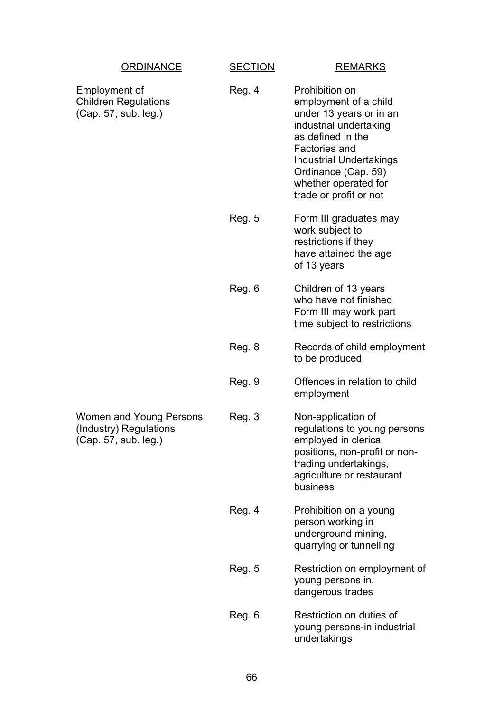| <b>ORDINANCE</b>                                                          | <b>SECTION</b> | <b>REMARKS</b>                                                                                                                                                                                                                                |
|---------------------------------------------------------------------------|----------------|-----------------------------------------------------------------------------------------------------------------------------------------------------------------------------------------------------------------------------------------------|
| Employment of<br><b>Children Regulations</b><br>(Cap. 57, sub. leg.)      | Reg. 4         | Prohibition on<br>employment of a child<br>under 13 years or in an<br>industrial undertaking<br>as defined in the<br>Factories and<br><b>Industrial Undertakings</b><br>Ordinance (Cap. 59)<br>whether operated for<br>trade or profit or not |
|                                                                           | <b>Reg. 5</b>  | Form III graduates may<br>work subject to<br>restrictions if they<br>have attained the age<br>of 13 years                                                                                                                                     |
|                                                                           | Reg. 6         | Children of 13 years<br>who have not finished<br>Form III may work part<br>time subject to restrictions                                                                                                                                       |
|                                                                           | Reg. 8         | Records of child employment<br>to be produced                                                                                                                                                                                                 |
|                                                                           | Reg. 9         | Offences in relation to child<br>employment                                                                                                                                                                                                   |
| Women and Young Persons<br>(Industry) Regulations<br>(Cap. 57, sub. leg.) | Reg. 3         | Non-application of<br>regulations to young persons<br>employed in clerical<br>positions, non-profit or non-<br>trading undertakings,<br>agriculture or restaurant<br>business                                                                 |
|                                                                           | Reg. 4         | Prohibition on a young<br>person working in<br>underground mining,<br>quarrying or tunnelling                                                                                                                                                 |
|                                                                           | <b>Reg. 5</b>  | Restriction on employment of<br>young persons in.<br>dangerous trades                                                                                                                                                                         |
|                                                                           | Reg. 6         | Restriction on duties of<br>young persons-in industrial<br>undertakings                                                                                                                                                                       |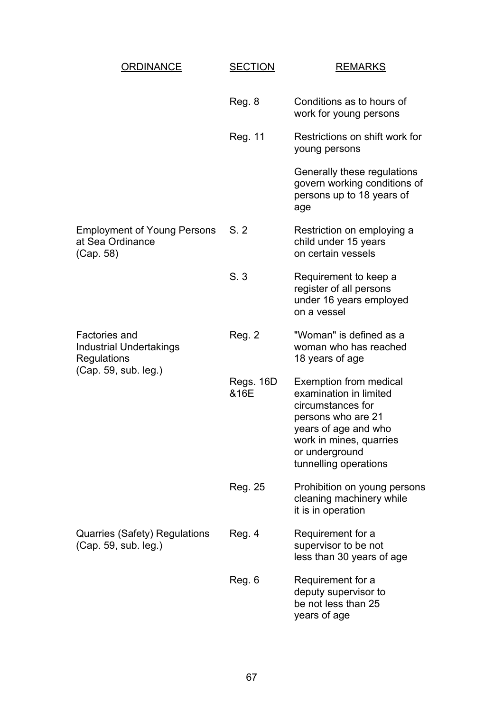| <b>ORDINANCE</b>                                                                              | <b>SECTION</b>    | <b>REMARKS</b>                                                                                                                                                                                   |
|-----------------------------------------------------------------------------------------------|-------------------|--------------------------------------------------------------------------------------------------------------------------------------------------------------------------------------------------|
|                                                                                               | Reg. 8            | Conditions as to hours of<br>work for young persons                                                                                                                                              |
|                                                                                               | Reg. 11           | Restrictions on shift work for<br>young persons                                                                                                                                                  |
|                                                                                               |                   | Generally these regulations<br>govern working conditions of<br>persons up to 18 years of<br>age                                                                                                  |
| <b>Employment of Young Persons</b><br>at Sea Ordinance<br>(Cap. 58)                           | S.2               | Restriction on employing a<br>child under 15 years<br>on certain vessels                                                                                                                         |
|                                                                                               | S.3               | Requirement to keep a<br>register of all persons<br>under 16 years employed<br>on a vessel                                                                                                       |
| Factories and<br><b>Industrial Undertakings</b><br><b>Regulations</b><br>(Cap. 59, sub. leg.) | <b>Reg. 2</b>     | "Woman" is defined as a<br>woman who has reached<br>18 years of age                                                                                                                              |
|                                                                                               | Regs. 16D<br>&16E | <b>Exemption from medical</b><br>examination in limited<br>circumstances for<br>persons who are 21<br>years of age and who<br>work in mines, quarries<br>or underground<br>tunnelling operations |
|                                                                                               | Reg. 25           | Prohibition on young persons<br>cleaning machinery while<br>it is in operation                                                                                                                   |
| Quarries (Safety) Regulations<br>(Cap. 59, sub. leg.)                                         | Reg. 4            | Requirement for a<br>supervisor to be not<br>less than 30 years of age                                                                                                                           |
|                                                                                               | Reg. 6            | Requirement for a<br>deputy supervisor to<br>be not less than 25<br>years of age                                                                                                                 |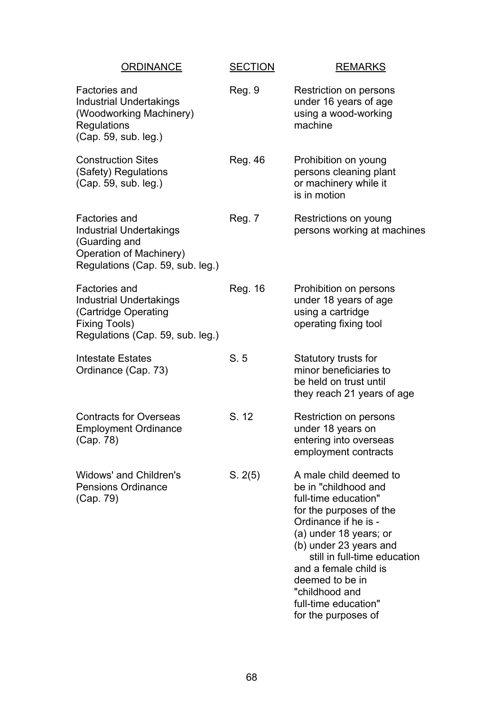|                                       | <b>ORDINANCE</b>                                                                              | <b>SECTION</b> | <b>REMARKS</b>                                                                                                                                                                                                                                                                                                             |
|---------------------------------------|-----------------------------------------------------------------------------------------------|----------------|----------------------------------------------------------------------------------------------------------------------------------------------------------------------------------------------------------------------------------------------------------------------------------------------------------------------------|
| Factories and<br>Regulations          | <b>Industrial Undertakings</b><br>(Woodworking Machinery)<br>(Cap. 59, sub. leg.)             | Reg. 9         | Restriction on persons<br>under 16 years of age<br>using a wood-working<br>machine                                                                                                                                                                                                                                         |
|                                       | <b>Construction Sites</b><br>(Safety) Regulations<br>(Cap. 59, sub. leg.)                     | <b>Reg. 46</b> | Prohibition on young<br>persons cleaning plant<br>or machinery while it<br>is in motion                                                                                                                                                                                                                                    |
| Factories and<br>(Guarding and        | <b>Industrial Undertakings</b><br>Operation of Machinery)<br>Regulations (Cap. 59, sub. leg.) | Reg. 7         | Restrictions on young<br>persons working at machines                                                                                                                                                                                                                                                                       |
| Factories and<br><b>Fixing Tools)</b> | <b>Industrial Undertakings</b><br>(Cartridge Operating<br>Regulations (Cap. 59, sub. leg.)    | Reg. 16        | Prohibition on persons<br>under 18 years of age<br>using a cartridge<br>operating fixing tool                                                                                                                                                                                                                              |
| <b>Intestate Estates</b>              | Ordinance (Cap. 73)                                                                           | S.5            | Statutory trusts for<br>minor beneficiaries to<br>be held on trust until<br>they reach 21 years of age                                                                                                                                                                                                                     |
| (Cap. 78)                             | <b>Contracts for Overseas</b><br><b>Employment Ordinance</b>                                  | S. 12          | Restriction on persons<br>under 18 years on<br>entering into overseas<br>employment contracts                                                                                                                                                                                                                              |
| (Cap. 79)                             | Widows' and Children's<br><b>Pensions Ordinance</b>                                           | S. 2(5)        | A male child deemed to<br>be in "childhood and<br>full-time education"<br>for the purposes of the<br>Ordinance if he is -<br>(a) under 18 years; or<br>(b) under 23 years and<br>still in full-time education<br>and a female child is<br>deemed to be in<br>"childhood and<br>full-time education"<br>for the purposes of |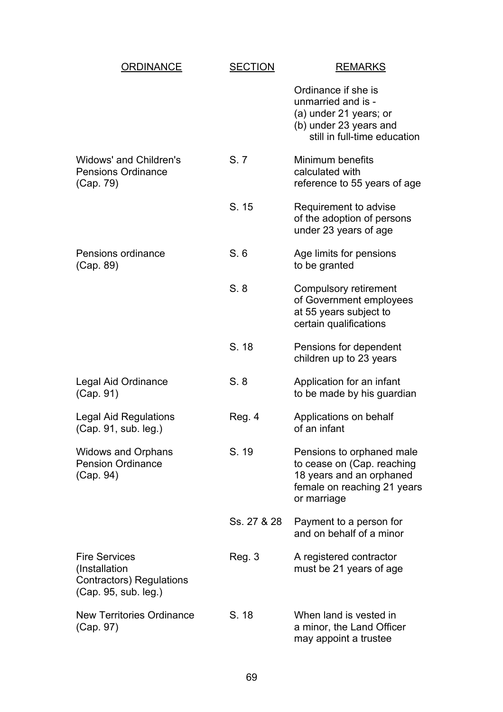| <b>ORDINANCE</b>                                                                           | <b>SECTION</b> | <b>REMARKS</b>                                                                                                                    |
|--------------------------------------------------------------------------------------------|----------------|-----------------------------------------------------------------------------------------------------------------------------------|
|                                                                                            |                | Ordinance if she is<br>unmarried and is -<br>(a) under 21 years; or<br>(b) under 23 years and<br>still in full-time education     |
| Widows' and Children's<br><b>Pensions Ordinance</b><br>(Cap. 79)                           | S.7            | Minimum benefits<br>calculated with<br>reference to 55 years of age                                                               |
|                                                                                            | S. 15          | Requirement to advise<br>of the adoption of persons<br>under 23 years of age                                                      |
| Pensions ordinance<br>(Cap. 89)                                                            | S.6            | Age limits for pensions<br>to be granted                                                                                          |
|                                                                                            | S.8            | Compulsory retirement<br>of Government employees<br>at 55 years subject to<br>certain qualifications                              |
|                                                                                            | S. 18          | Pensions for dependent<br>children up to 23 years                                                                                 |
| Legal Aid Ordinance<br>(Cap. 91)                                                           | S.8            | Application for an infant<br>to be made by his guardian                                                                           |
| <b>Legal Aid Regulations</b><br>(Cap. 91, sub. leg.)                                       | Reg. 4         | Applications on behalf<br>of an infant                                                                                            |
| <b>Widows and Orphans</b><br><b>Pension Ordinance</b><br>(Cap. 94)                         | S. 19          | Pensions to orphaned male<br>to cease on (Cap. reaching<br>18 years and an orphaned<br>female on reaching 21 years<br>or marriage |
|                                                                                            | Ss. 27 & 28    | Payment to a person for<br>and on behalf of a minor                                                                               |
| <b>Fire Services</b><br>(Installation)<br>Contractors) Regulations<br>(Cap. 95, sub. leg.) | Reg. 3         | A registered contractor<br>must be 21 years of age                                                                                |
| <b>New Territories Ordinance</b><br>(Cap. 97)                                              | S. 18          | When land is vested in<br>a minor, the Land Officer<br>may appoint a trustee                                                      |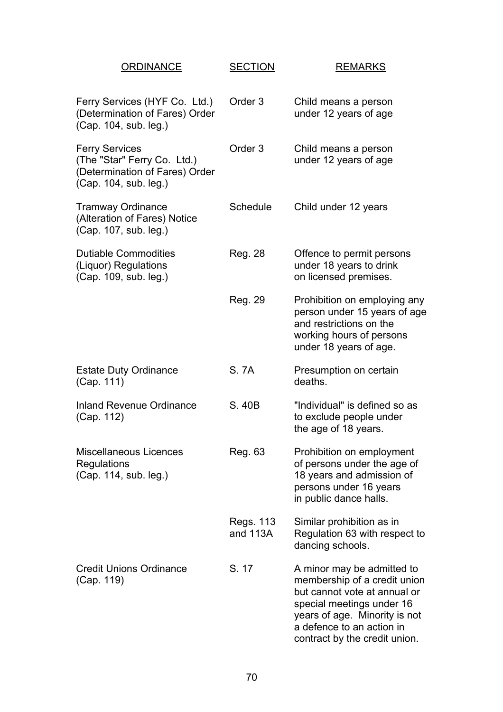| <b>ORDINANCE</b>                                                                                                | <b>SECTION</b>          | <b>REMARKS</b>                                                                                                                                                                                                         |
|-----------------------------------------------------------------------------------------------------------------|-------------------------|------------------------------------------------------------------------------------------------------------------------------------------------------------------------------------------------------------------------|
| Ferry Services (HYF Co. Ltd.)<br>(Determination of Fares) Order<br>(Cap. 104, sub. leg.)                        | Order <sub>3</sub>      | Child means a person<br>under 12 years of age                                                                                                                                                                          |
| <b>Ferry Services</b><br>(The "Star" Ferry Co. Ltd.)<br>(Determination of Fares) Order<br>(Cap. 104, sub. leg.) | Order <sub>3</sub>      | Child means a person<br>under 12 years of age                                                                                                                                                                          |
| <b>Tramway Ordinance</b><br>(Alteration of Fares) Notice<br>(Cap. 107, sub. leg.)                               | Schedule                | Child under 12 years                                                                                                                                                                                                   |
| <b>Dutiable Commodities</b><br>(Liquor) Regulations<br>(Cap. 109, sub. leg.)                                    | Reg. 28                 | Offence to permit persons<br>under 18 years to drink<br>on licensed premises.                                                                                                                                          |
|                                                                                                                 | Reg. 29                 | Prohibition on employing any<br>person under 15 years of age<br>and restrictions on the<br>working hours of persons<br>under 18 years of age.                                                                          |
| <b>Estate Duty Ordinance</b><br>(Cap. 111)                                                                      | S. 7A                   | Presumption on certain<br>deaths.                                                                                                                                                                                      |
| <b>Inland Revenue Ordinance</b><br>(Cap. 112)                                                                   | S. 40B                  | "Individual" is defined so as<br>to exclude people under<br>the age of 18 years.                                                                                                                                       |
| Miscellaneous Licences<br>Regulations<br>(Cap. 114, sub. leg.)                                                  | Reg. 63                 | Prohibition on employment<br>of persons under the age of<br>18 years and admission of<br>persons under 16 years<br>in public dance halls.                                                                              |
|                                                                                                                 | Regs. 113<br>and $113A$ | Similar prohibition as in<br>Regulation 63 with respect to<br>dancing schools.                                                                                                                                         |
| <b>Credit Unions Ordinance</b><br>(Cap. 119)                                                                    | S. 17                   | A minor may be admitted to<br>membership of a credit union<br>but cannot vote at annual or<br>special meetings under 16<br>years of age. Minority is not<br>a defence to an action in<br>contract by the credit union. |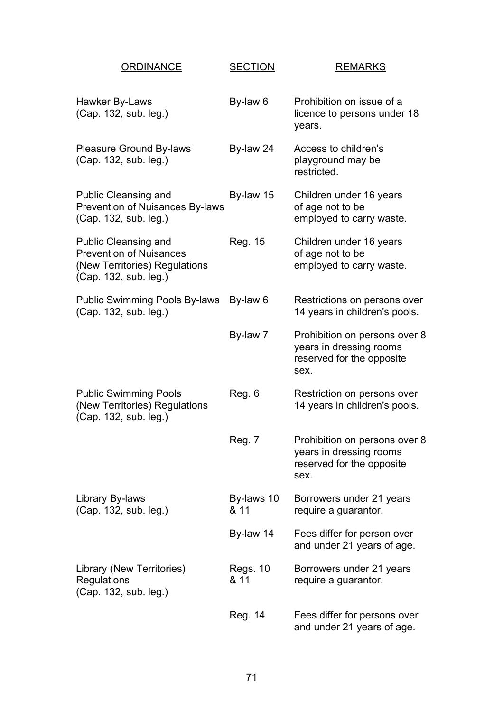| <b>ORDINANCE</b>                                                                                                        | <b>SECTION</b>          | <b>REMARKS</b>                                                                                |
|-------------------------------------------------------------------------------------------------------------------------|-------------------------|-----------------------------------------------------------------------------------------------|
| Hawker By-Laws<br>(Cap. 132, sub. leg.)                                                                                 | By-law 6                | Prohibition on issue of a<br>licence to persons under 18<br>years.                            |
| <b>Pleasure Ground By-laws</b><br>(Cap. 132, sub. leg.)                                                                 | By-law 24               | Access to children's<br>playground may be<br>restricted.                                      |
| <b>Public Cleansing and</b><br><b>Prevention of Nuisances By-laws</b><br>(Cap. 132, sub. leg.)                          | By-law 15               | Children under 16 years<br>of age not to be<br>employed to carry waste.                       |
| <b>Public Cleansing and</b><br><b>Prevention of Nuisances</b><br>(New Territories) Regulations<br>(Cap. 132, sub. leg.) | Reg. 15                 | Children under 16 years<br>of age not to be<br>employed to carry waste.                       |
| <b>Public Swimming Pools By-laws</b><br>(Cap. 132, sub. leg.)                                                           | By-law 6                | Restrictions on persons over<br>14 years in children's pools.                                 |
|                                                                                                                         | By-law 7                | Prohibition on persons over 8<br>years in dressing rooms<br>reserved for the opposite<br>sex. |
| <b>Public Swimming Pools</b><br>(New Territories) Regulations<br>(Cap. 132, sub. leg.)                                  | Reg. 6                  | Restriction on persons over<br>14 years in children's pools.                                  |
|                                                                                                                         | <b>Reg. 7</b>           | Prohibition on persons over 8<br>years in dressing rooms<br>reserved for the opposite<br>sex. |
| Library By-laws<br>(Cap. 132, sub. leg.)                                                                                | By-laws 10<br>& 11      | Borrowers under 21 years<br>require a guarantor.                                              |
|                                                                                                                         | By-law 14               | Fees differ for person over<br>and under 21 years of age.                                     |
| Library (New Territories)<br>Regulations<br>(Cap. 132, sub. leg.)                                                       | <b>Regs. 10</b><br>& 11 | Borrowers under 21 years<br>require a guarantor.                                              |
|                                                                                                                         | Reg. 14                 | Fees differ for persons over<br>and under 21 years of age.                                    |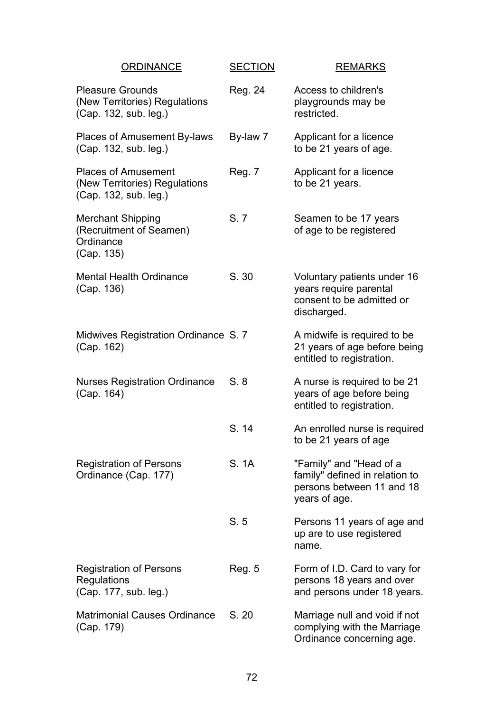| <b>ORDINANCE</b>                                                                     | <b>SECTION</b> | <b>REMARKS</b>                                                                                          |
|--------------------------------------------------------------------------------------|----------------|---------------------------------------------------------------------------------------------------------|
| <b>Pleasure Grounds</b><br>(New Territories) Regulations<br>(Cap. 132, sub. leg.)    | Reg. 24        | Access to children's<br>playgrounds may be<br>restricted.                                               |
| Places of Amusement By-laws<br>(Cap. 132, sub. leg.)                                 | By-law 7       | Applicant for a licence<br>to be 21 years of age.                                                       |
| <b>Places of Amusement</b><br>(New Territories) Regulations<br>(Cap. 132, sub. leg.) | Reg. 7         | Applicant for a licence<br>to be 21 years.                                                              |
| <b>Merchant Shipping</b><br>(Recruitment of Seamen)<br>Ordinance<br>(Cap. 135)       | S. 7           | Seamen to be 17 years<br>of age to be registered                                                        |
| <b>Mental Health Ordinance</b><br>(Cap. 136)                                         | S. 30          | Voluntary patients under 16<br>years require parental<br>consent to be admitted or<br>discharged.       |
| Midwives Registration Ordinance S. 7<br>(Cap. 162)                                   |                | A midwife is required to be<br>21 years of age before being<br>entitled to registration.                |
| <b>Nurses Registration Ordinance</b><br>(Cap. 164)                                   | S.8            | A nurse is required to be 21<br>years of age before being<br>entitled to registration.                  |
|                                                                                      | S. 14          | An enrolled nurse is required<br>to be 21 years of age                                                  |
| <b>Registration of Persons</b><br>Ordinance (Cap. 177)                               | S. 1A          | "Family" and "Head of a<br>family" defined in relation to<br>persons between 11 and 18<br>years of age. |
|                                                                                      | S.5            | Persons 11 years of age and<br>up are to use registered<br>name.                                        |
| <b>Registration of Persons</b><br><b>Regulations</b><br>(Cap. 177, sub. leg.)        | Reg. 5         | Form of I.D. Card to vary for<br>persons 18 years and over<br>and persons under 18 years.               |
| <b>Matrimonial Causes Ordinance</b><br>(Cap. 179)                                    | S. 20          | Marriage null and void if not<br>complying with the Marriage<br>Ordinance concerning age.               |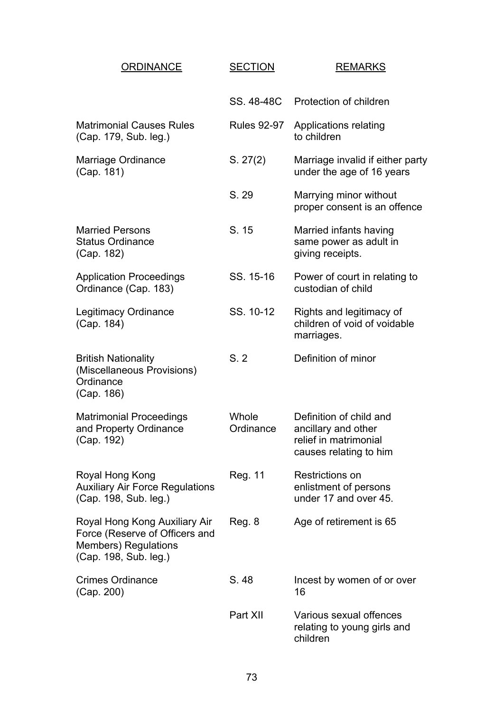| <b>ORDINANCE</b>                                                                                                        | <b>SECTION</b>     | <b>REMARKS</b>                                                                                    |
|-------------------------------------------------------------------------------------------------------------------------|--------------------|---------------------------------------------------------------------------------------------------|
|                                                                                                                         | SS. 48-48C         | Protection of children                                                                            |
| <b>Matrimonial Causes Rules</b><br>(Cap. 179, Sub. leg.)                                                                | <b>Rules 92-97</b> | Applications relating<br>to children                                                              |
| Marriage Ordinance<br>(Cap. 181)                                                                                        | S. 27(2)           | Marriage invalid if either party<br>under the age of 16 years                                     |
|                                                                                                                         | S. 29              | Marrying minor without<br>proper consent is an offence                                            |
| <b>Married Persons</b><br><b>Status Ordinance</b><br>(Cap. 182)                                                         | S. 15              | Married infants having<br>same power as adult in<br>giving receipts.                              |
| <b>Application Proceedings</b><br>Ordinance (Cap. 183)                                                                  | SS. 15-16          | Power of court in relating to<br>custodian of child                                               |
| <b>Legitimacy Ordinance</b><br>(Cap. 184)                                                                               | SS. 10-12          | Rights and legitimacy of<br>children of void of voidable<br>marriages.                            |
| <b>British Nationality</b><br>(Miscellaneous Provisions)<br>Ordinance<br>(Cap. 186)                                     | S.2                | Definition of minor                                                                               |
| <b>Matrimonial Proceedings</b><br>and Property Ordinance<br>(Cap. 192)                                                  | Whole<br>Ordinance | Definition of child and<br>ancillary and other<br>relief in matrimonial<br>causes relating to him |
| Royal Hong Kong<br><b>Auxiliary Air Force Regulations</b><br>(Cap. 198, Sub. leg.)                                      | Reg. 11            | Restrictions on<br>enlistment of persons<br>under 17 and over 45.                                 |
| Royal Hong Kong Auxiliary Air<br>Force (Reserve of Officers and<br><b>Members) Regulations</b><br>(Cap. 198, Sub. leg.) | Reg. 8             | Age of retirement is 65                                                                           |
| <b>Crimes Ordinance</b><br>(Cap. 200)                                                                                   | S. 48              | Incest by women of or over<br>16                                                                  |
|                                                                                                                         | Part XII           | Various sexual offences<br>relating to young girls and<br>children                                |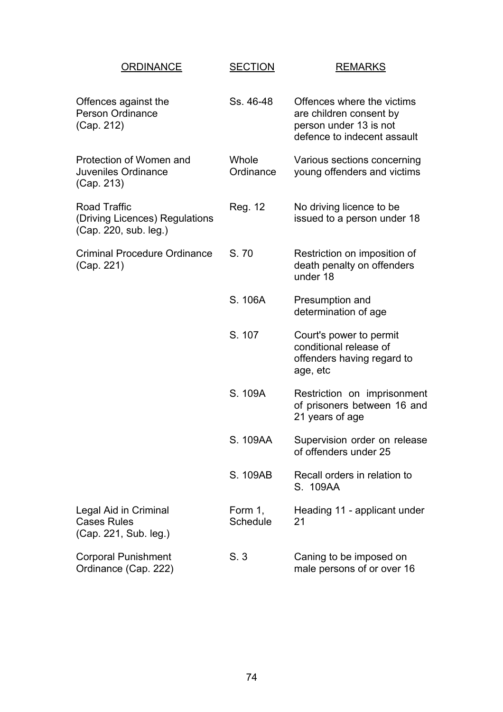| <b>ORDINANCE</b>                                                               | <b>SECTION</b>             | <b>REMARKS</b>                                                                                                 |
|--------------------------------------------------------------------------------|----------------------------|----------------------------------------------------------------------------------------------------------------|
| Offences against the<br><b>Person Ordinance</b><br>(Cap. 212)                  | Ss. 46-48                  | Offences where the victims<br>are children consent by<br>person under 13 is not<br>defence to indecent assault |
| Protection of Women and<br>Juveniles Ordinance<br>(Cap. 213)                   | Whole<br>Ordinance         | Various sections concerning<br>young offenders and victims                                                     |
| <b>Road Traffic</b><br>(Driving Licences) Regulations<br>(Cap. 220, sub. leg.) | Reg. 12                    | No driving licence to be<br>issued to a person under 18                                                        |
| <b>Criminal Procedure Ordinance</b><br>(Cap. 221)                              | S.70                       | Restriction on imposition of<br>death penalty on offenders<br>under 18                                         |
|                                                                                | S. 106A                    | Presumption and<br>determination of age                                                                        |
|                                                                                | S. 107                     | Court's power to permit<br>conditional release of<br>offenders having regard to<br>age, etc                    |
|                                                                                | S. 109A                    | Restriction on imprisonment<br>of prisoners between 16 and<br>21 years of age                                  |
|                                                                                | S. 109AA                   | Supervision order on release<br>of offenders under 25                                                          |
|                                                                                | S. 109AB                   | Recall orders in relation to<br>S. 109AA                                                                       |
| Legal Aid in Criminal<br><b>Cases Rules</b><br>(Cap. 221, Sub. leg.)           | Form 1,<br><b>Schedule</b> | Heading 11 - applicant under<br>21                                                                             |
| <b>Corporal Punishment</b><br>Ordinance (Cap. 222)                             | S.3                        | Caning to be imposed on<br>male persons of or over 16                                                          |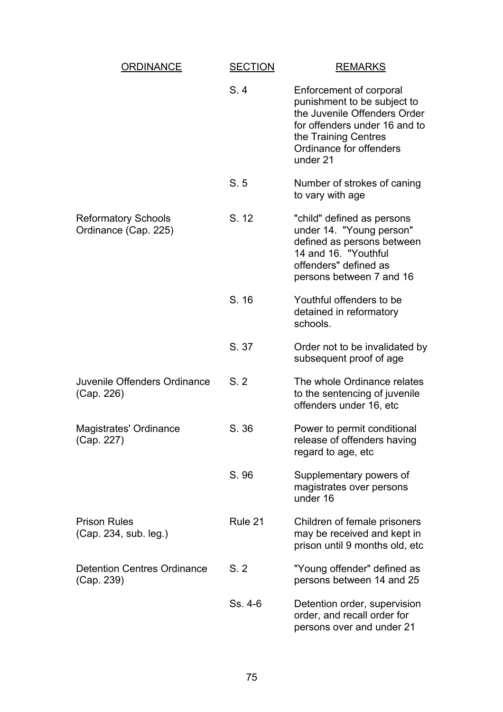| ORDINANCE                                          | <b>SECTION</b> | <b>REMARKS</b>                                                                                                                                                                         |
|----------------------------------------------------|----------------|----------------------------------------------------------------------------------------------------------------------------------------------------------------------------------------|
|                                                    | S.4            | Enforcement of corporal<br>punishment to be subject to<br>the Juvenile Offenders Order<br>for offenders under 16 and to<br>the Training Centres<br>Ordinance for offenders<br>under 21 |
|                                                    | S.5            | Number of strokes of caning<br>to vary with age                                                                                                                                        |
| <b>Reformatory Schools</b><br>Ordinance (Cap. 225) | S. 12          | "child" defined as persons<br>under 14. "Young person"<br>defined as persons between<br>14 and 16. "Youthful<br>offenders" defined as<br>persons between 7 and 16                      |
|                                                    | S. 16          | Youthful offenders to be<br>detained in reformatory<br>schools.                                                                                                                        |
|                                                    | S. 37          | Order not to be invalidated by<br>subsequent proof of age                                                                                                                              |
| Juvenile Offenders Ordinance<br>(Cap. 226)         | S.2            | The whole Ordinance relates<br>to the sentencing of juvenile<br>offenders under 16, etc                                                                                                |
| Magistrates' Ordinance<br>(Cap. 227)               | S. 36          | Power to permit conditional<br>release of offenders having<br>regard to age, etc                                                                                                       |
|                                                    | S. 96          | Supplementary powers of<br>magistrates over persons<br>under 16                                                                                                                        |
| <b>Prison Rules</b><br>(Cap. 234, sub. leg.)       | Rule 21        | Children of female prisoners<br>may be received and kept in<br>prison until 9 months old, etc                                                                                          |
| <b>Detention Centres Ordinance</b><br>(Cap. 239)   | S.2            | "Young offender" defined as<br>persons between 14 and 25                                                                                                                               |
|                                                    | Ss. 4-6        | Detention order, supervision<br>order, and recall order for<br>persons over and under 21                                                                                               |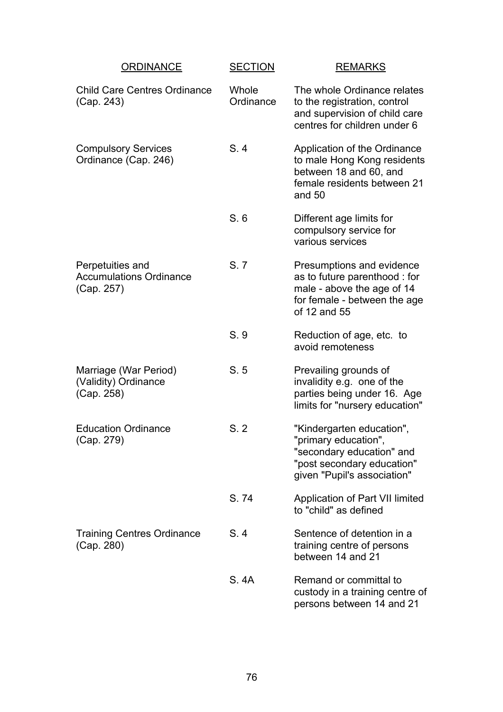| <b>ORDINANCE</b>                                                 | <b>SECTION</b>     | <b>REMARKS</b>                                                                                                                              |
|------------------------------------------------------------------|--------------------|---------------------------------------------------------------------------------------------------------------------------------------------|
| <b>Child Care Centres Ordinance</b><br>(Cap. 243)                | Whole<br>Ordinance | The whole Ordinance relates<br>to the registration, control<br>and supervision of child care<br>centres for children under 6                |
| <b>Compulsory Services</b><br>Ordinance (Cap. 246)               | S.4                | Application of the Ordinance<br>to male Hong Kong residents<br>between 18 and 60, and<br>female residents between 21<br>and 50              |
|                                                                  | S.6                | Different age limits for<br>compulsory service for<br>various services                                                                      |
| Perpetuities and<br><b>Accumulations Ordinance</b><br>(Cap. 257) | S. 7               | Presumptions and evidence<br>as to future parenthood : for<br>male - above the age of 14<br>for female - between the age<br>of 12 and 55    |
|                                                                  | S. 9               | Reduction of age, etc. to<br>avoid remoteness                                                                                               |
| Marriage (War Period)<br>(Validity) Ordinance<br>(Cap. 258)      | S.5                | Prevailing grounds of<br>invalidity e.g. one of the<br>parties being under 16. Age<br>limits for "nursery education"                        |
| <b>Education Ordinance</b><br>(Cap. 279)                         | S.2                | "Kindergarten education",<br>"primary education",<br>"secondary education" and<br>"post secondary education"<br>given "Pupil's association" |
|                                                                  | S.74               | Application of Part VII limited<br>to "child" as defined                                                                                    |
| <b>Training Centres Ordinance</b><br>(Cap. 280)                  | S.4                | Sentence of detention in a<br>training centre of persons<br>between 14 and 21                                                               |
|                                                                  | S. 4A              | Remand or committal to<br>custody in a training centre of<br>persons between 14 and 21                                                      |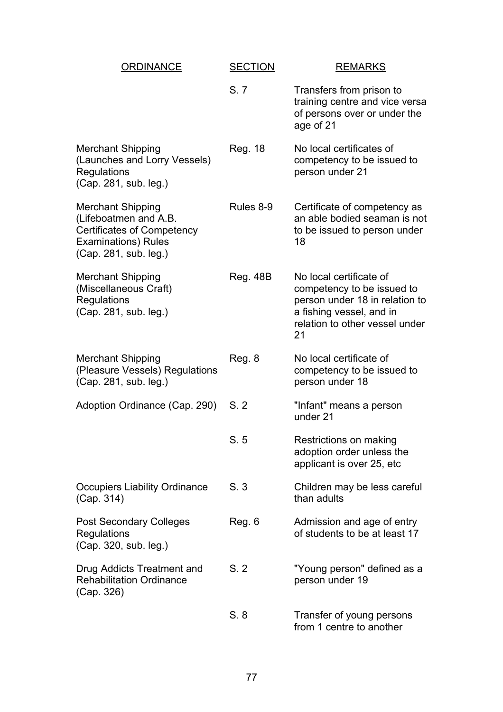| <b>ORDINANCE</b>                                                                                                                              | <b>SECTION</b>  | <b>REMARKS</b>                                                                                                                                              |
|-----------------------------------------------------------------------------------------------------------------------------------------------|-----------------|-------------------------------------------------------------------------------------------------------------------------------------------------------------|
|                                                                                                                                               | S.7             | Transfers from prison to<br>training centre and vice versa<br>of persons over or under the<br>age of 21                                                     |
| <b>Merchant Shipping</b><br>(Launches and Lorry Vessels)<br>Regulations<br>(Cap. 281, sub. leg.)                                              | Reg. 18         | No local certificates of<br>competency to be issued to<br>person under 21                                                                                   |
| <b>Merchant Shipping</b><br>(Lifeboatmen and A.B.<br><b>Certificates of Competency</b><br><b>Examinations) Rules</b><br>(Cap. 281, sub. leg.) | Rules 8-9       | Certificate of competency as<br>an able bodied seaman is not<br>to be issued to person under<br>18                                                          |
| <b>Merchant Shipping</b><br>(Miscellaneous Craft)<br>Regulations<br>(Cap. 281, sub. leg.)                                                     | <b>Reg. 48B</b> | No local certificate of<br>competency to be issued to<br>person under 18 in relation to<br>a fishing vessel, and in<br>relation to other vessel under<br>21 |
| <b>Merchant Shipping</b><br>(Pleasure Vessels) Regulations<br>(Cap. 281, sub. leg.)                                                           | Reg. 8          | No local certificate of<br>competency to be issued to<br>person under 18                                                                                    |
| Adoption Ordinance (Cap. 290)                                                                                                                 | S.2             | "Infant" means a person<br>under 21                                                                                                                         |
|                                                                                                                                               | S.5             | Restrictions on making<br>adoption order unless the<br>applicant is over 25, etc                                                                            |
| <b>Occupiers Liability Ordinance</b><br>(Cap. 314)                                                                                            | S.3             | Children may be less careful<br>than adults                                                                                                                 |
| <b>Post Secondary Colleges</b><br>Regulations<br>(Cap. 320, sub. leg.)                                                                        | Reg. 6          | Admission and age of entry<br>of students to be at least 17                                                                                                 |
| Drug Addicts Treatment and<br><b>Rehabilitation Ordinance</b><br>(Cap. 326)                                                                   | S.2             | "Young person" defined as a<br>person under 19                                                                                                              |
|                                                                                                                                               | S.8             | Transfer of young persons<br>from 1 centre to another                                                                                                       |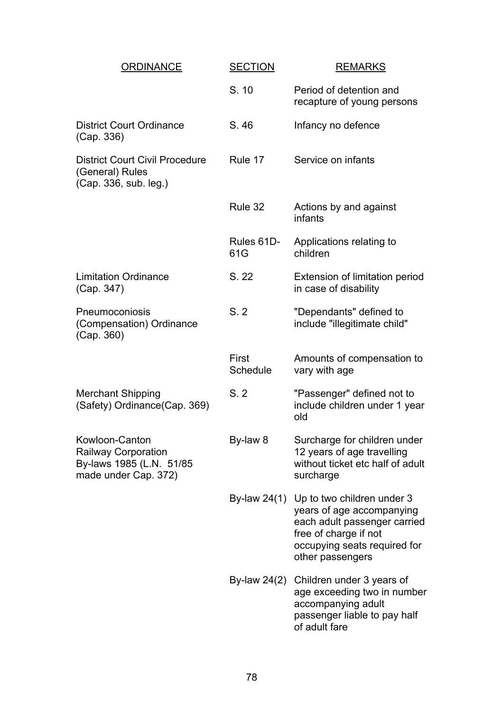| ORDINANCE                                                                                         | <b>SECTION</b>    | <b>REMARKS</b>                                                                                                                                                       |
|---------------------------------------------------------------------------------------------------|-------------------|----------------------------------------------------------------------------------------------------------------------------------------------------------------------|
|                                                                                                   | S. 10             | Period of detention and<br>recapture of young persons                                                                                                                |
| <b>District Court Ordinance</b><br>(Cap. 336)                                                     | S.46              | Infancy no defence                                                                                                                                                   |
| <b>District Court Civil Procedure</b><br>(General) Rules<br>(Cap. 336, sub. leg.)                 | Rule 17           | Service on infants                                                                                                                                                   |
|                                                                                                   | Rule 32           | Actions by and against<br>infants                                                                                                                                    |
|                                                                                                   | Rules 61D-<br>61G | Applications relating to<br>children                                                                                                                                 |
| <b>Limitation Ordinance</b><br>(Cap. 347)                                                         | S. 22             | Extension of limitation period<br>in case of disability                                                                                                              |
| Pneumoconiosis<br>(Compensation) Ordinance<br>(Cap. 360)                                          | S.2               | "Dependants" defined to<br>include "illegitimate child"                                                                                                              |
|                                                                                                   | First<br>Schedule | Amounts of compensation to<br>vary with age                                                                                                                          |
| <b>Merchant Shipping</b><br>(Safety) Ordinance (Cap. 369)                                         | S.2               | "Passenger" defined not to<br>include children under 1 year<br>old                                                                                                   |
| Kowloon-Canton<br><b>Railway Corporation</b><br>By-laws 1985 (L.N. 51/85)<br>made under Cap. 372) | By-law 8          | Surcharge for children under<br>12 years of age travelling<br>without ticket etc half of adult<br>surcharge                                                          |
|                                                                                                   | By-law $24(1)$    | Up to two children under 3<br>years of age accompanying<br>each adult passenger carried<br>free of charge if not<br>occupying seats required for<br>other passengers |
|                                                                                                   | By-law $24(2)$    | Children under 3 years of<br>age exceeding two in number<br>accompanying adult<br>passenger liable to pay half<br>of adult fare                                      |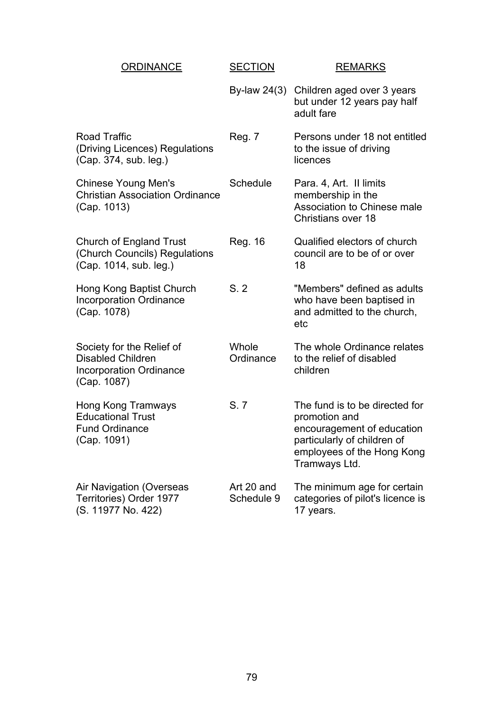| <b>ORDINANCE</b>                                                                                       | <b>SECTION</b>           | <b>REMARKS</b>                                                                                                                                              |
|--------------------------------------------------------------------------------------------------------|--------------------------|-------------------------------------------------------------------------------------------------------------------------------------------------------------|
|                                                                                                        | By-law $24(3)$           | Children aged over 3 years<br>but under 12 years pay half<br>adult fare                                                                                     |
| <b>Road Traffic</b><br>(Driving Licences) Regulations<br>(Cap. 374, sub. leg.)                         | <b>Reg. 7</b>            | Persons under 18 not entitled<br>to the issue of driving<br>licences                                                                                        |
| <b>Chinese Young Men's</b><br><b>Christian Association Ordinance</b><br>(Cap. 1013)                    | Schedule                 | Para. 4, Art. Il limits<br>membership in the<br>Association to Chinese male<br><b>Christians over 18</b>                                                    |
| <b>Church of England Trust</b><br>(Church Councils) Regulations<br>(Cap. 1014, sub. leg.)              | Reg. 16                  | Qualified electors of church<br>council are to be of or over<br>18                                                                                          |
| Hong Kong Baptist Church<br><b>Incorporation Ordinance</b><br>(Cap. 1078)                              | S.2                      | "Members" defined as adults<br>who have been baptised in<br>and admitted to the church,<br>etc                                                              |
| Society for the Relief of<br><b>Disabled Children</b><br><b>Incorporation Ordinance</b><br>(Cap. 1087) | Whole<br>Ordinance       | The whole Ordinance relates<br>to the relief of disabled<br>children                                                                                        |
| Hong Kong Tramways<br><b>Educational Trust</b><br><b>Fund Ordinance</b><br>(Cap. 1091)                 | S.7                      | The fund is to be directed for<br>promotion and<br>encouragement of education<br>particularly of children of<br>employees of the Hong Kong<br>Tramways Ltd. |
| Air Navigation (Overseas<br>Territories) Order 1977<br>(S. 11977 No. 422)                              | Art 20 and<br>Schedule 9 | The minimum age for certain<br>categories of pilot's licence is<br>17 years.                                                                                |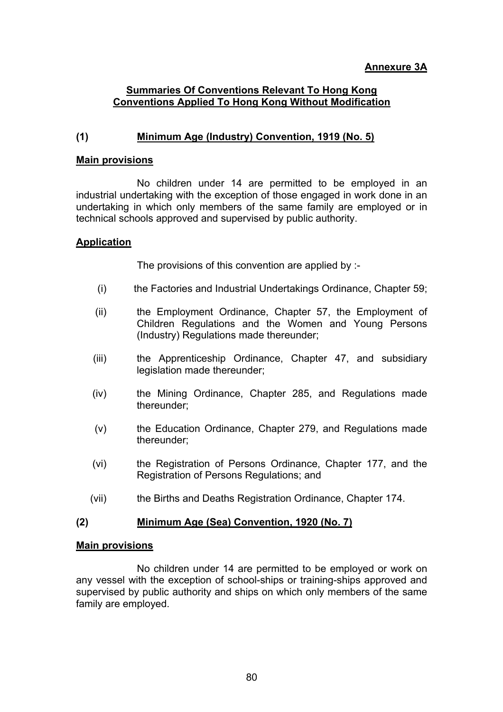# **Annexure 3A**

## **Summaries Of Conventions Relevant To Hong Kong Conventions Applied To Hong Kong Without Modification**

# **(1) Minimum Age (Industry) Convention, 1919 (No. 5)**

#### **Main provisions**

No children under 14 are permitted to be employed in an industrial undertaking with the exception of those engaged in work done in an undertaking in which only members of the same family are employed or in technical schools approved and supervised by public authority.

#### **Application**

The provisions of this convention are applied by :-

- (i) the Factories and Industrial Undertakings Ordinance, Chapter 59;
- (ii) the Employment Ordinance, Chapter 57, the Employment of Children Regulations and the Women and Young Persons (Industry) Regulations made thereunder;
- (iii) the Apprenticeship Ordinance, Chapter 47, and subsidiary legislation made thereunder;
- (iv) the Mining Ordinance, Chapter 285, and Regulations made thereunder;
- (v) the Education Ordinance, Chapter 279, and Regulations made thereunder;
- (vi) the Registration of Persons Ordinance, Chapter 177, and the Registration of Persons Regulations; and
- (vii) the Births and Deaths Registration Ordinance, Chapter 174.

#### **(2) Minimum Age (Sea) Convention, 1920 (No. 7)**

#### **Main provisions**

No children under 14 are permitted to be employed or work on any vessel with the exception of school-ships or training-ships approved and supervised by public authority and ships on which only members of the same family are employed.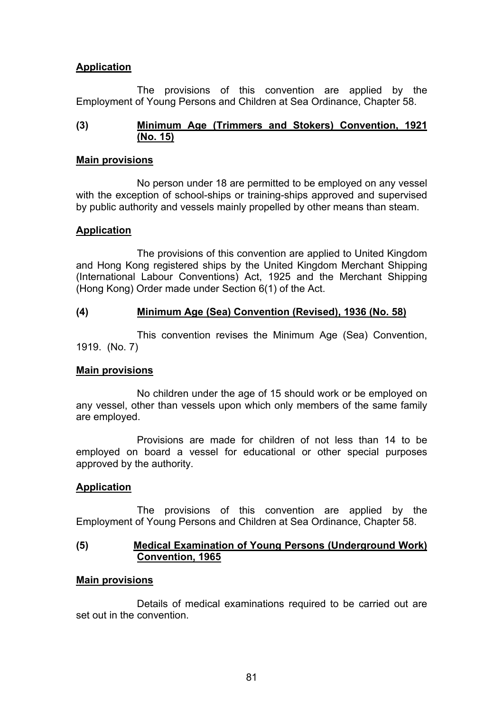# **Application**

The provisions of this convention are applied by the Employment of Young Persons and Children at Sea Ordinance, Chapter 58.

### **(3) Minimum Age (Trimmers and Stokers) Convention, 1921 (No. 15)**

#### **Main provisions**

No person under 18 are permitted to be employed on any vessel with the exception of school-ships or training-ships approved and supervised by public authority and vessels mainly propelled by other means than steam.

#### **Application**

The provisions of this convention are applied to United Kingdom and Hong Kong registered ships by the United Kingdom Merchant Shipping (International Labour Conventions) Act, 1925 and the Merchant Shipping (Hong Kong) Order made under Section 6(1) of the Act.

## **(4) Minimum Age (Sea) Convention (Revised), 1936 (No. 58)**

This convention revises the Minimum Age (Sea) Convention, 1919. (No. 7)

#### **Main provisions**

No children under the age of 15 should work or be employed on any vessel, other than vessels upon which only members of the same family are employed.

Provisions are made for children of not less than 14 to be employed on board a vessel for educational or other special purposes approved by the authority.

# **Application**

The provisions of this convention are applied by the Employment of Young Persons and Children at Sea Ordinance, Chapter 58.

#### **(5) Medical Examination of Young Persons (Underground Work) Convention, 1965**

# **Main provisions**

Details of medical examinations required to be carried out are set out in the convention.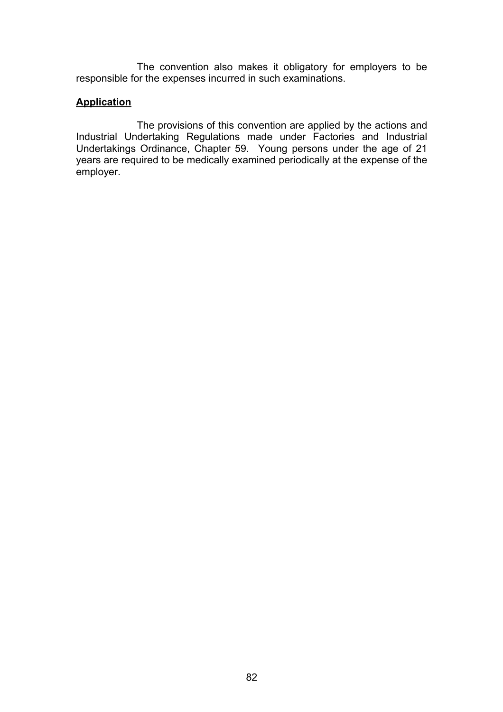The convention also makes it obligatory for employers to be responsible for the expenses incurred in such examinations.

# **Application**

The provisions of this convention are applied by the actions and Industrial Undertaking Regulations made under Factories and Industrial Undertakings Ordinance, Chapter 59. Young persons under the age of 21 years are required to be medically examined periodically at the expense of the employer.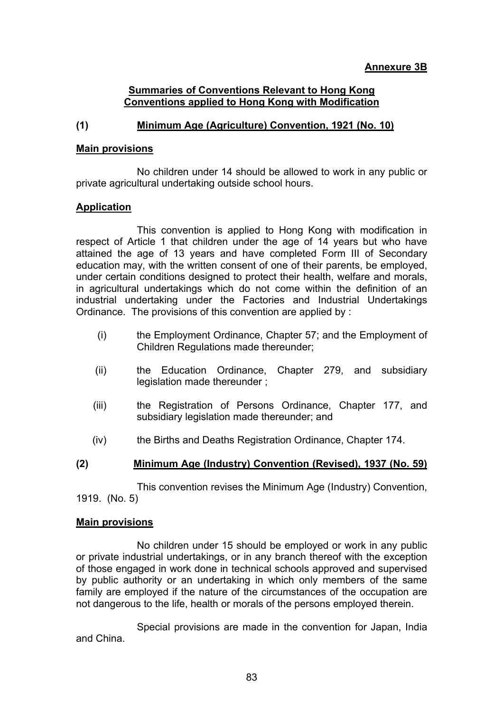### **Summaries of Conventions Relevant to Hong Kong Conventions applied to Hong Kong with Modification**

# **(1) Minimum Age (Agriculture) Convention, 1921 (No. 10)**

#### **Main provisions**

No children under 14 should be allowed to work in any public or private agricultural undertaking outside school hours.

#### **Application**

This convention is applied to Hong Kong with modification in respect of Article 1 that children under the age of 14 years but who have attained the age of 13 years and have completed Form III of Secondary education may, with the written consent of one of their parents, be employed, under certain conditions designed to protect their health, welfare and morals, in agricultural undertakings which do not come within the definition of an industrial undertaking under the Factories and Industrial Undertakings Ordinance. The provisions of this convention are applied by :

- (i) the Employment Ordinance, Chapter 57; and the Employment of Children Regulations made thereunder;
- (ii) the Education Ordinance, Chapter 279, and subsidiary legislation made thereunder ;
- (iii) the Registration of Persons Ordinance, Chapter 177, and subsidiary legislation made thereunder; and
- (iv) the Births and Deaths Registration Ordinance, Chapter 174.

#### **(2) Minimum Age (Industry) Convention (Revised), 1937 (No. 59)**

This convention revises the Minimum Age (Industry) Convention, 1919. (No. 5)

#### **Main provisions**

No children under 15 should be employed or work in any public or private industrial undertakings, or in any branch thereof with the exception of those engaged in work done in technical schools approved and supervised by public authority or an undertaking in which only members of the same family are employed if the nature of the circumstances of the occupation are not dangerous to the life, health or morals of the persons employed therein.

Special provisions are made in the convention for Japan, India and China.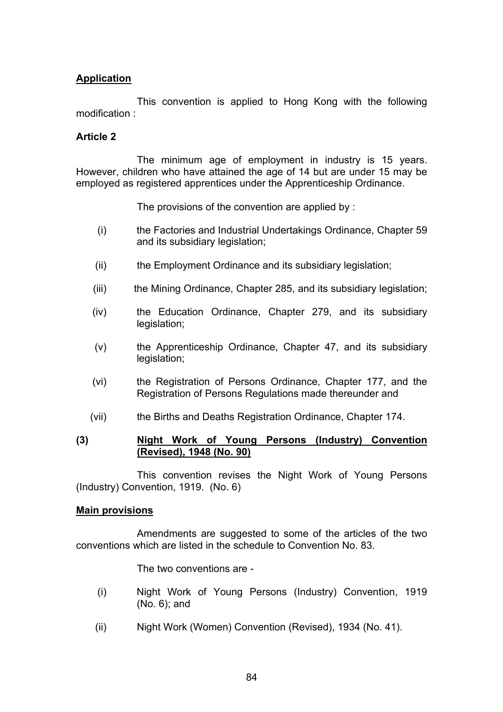# **Application**

This convention is applied to Hong Kong with the following modification :

#### **Article 2**

The minimum age of employment in industry is 15 years. However, children who have attained the age of 14 but are under 15 may be employed as registered apprentices under the Apprenticeship Ordinance.

The provisions of the convention are applied by :

- (i) the Factories and Industrial Undertakings Ordinance, Chapter 59 and its subsidiary legislation;
- (ii) the Employment Ordinance and its subsidiary legislation;
- (iii) the Mining Ordinance, Chapter 285, and its subsidiary legislation;
- (iv) the Education Ordinance, Chapter 279, and its subsidiary legislation;
- (v) the Apprenticeship Ordinance, Chapter 47, and its subsidiary legislation;
- (vi) the Registration of Persons Ordinance, Chapter 177, and the Registration of Persons Regulations made thereunder and
- (vii) the Births and Deaths Registration Ordinance, Chapter 174.

#### **(3) Night Work of Young Persons (Industry) Convention (Revised), 1948 (No. 90)**

This convention revises the Night Work of Young Persons (Industry) Convention, 1919. (No. 6)

#### **Main provisions**

Amendments are suggested to some of the articles of the two conventions which are listed in the schedule to Convention No. 83.

The two conventions are -

- (i) Night Work of Young Persons (Industry) Convention, 1919 (No. 6); and
- (ii) Night Work (Women) Convention (Revised), 1934 (No. 41).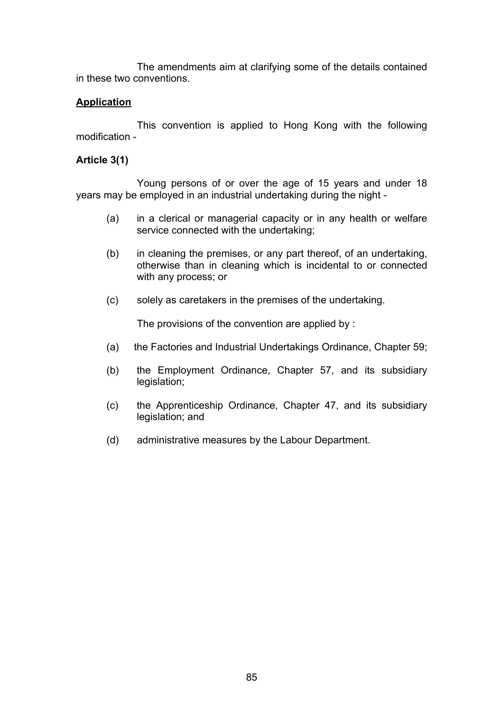The amendments aim at clarifying some of the details contained in these two conventions.

# **Application**

This convention is applied to Hong Kong with the following modification -

### **Article 3(1)**

Young persons of or over the age of 15 years and under 18 years may be employed in an industrial undertaking during the night -

- (a) in a clerical or managerial capacity or in any health or welfare service connected with the undertaking;
- (b) in cleaning the premises, or any part thereof, of an undertaking, otherwise than in cleaning which is incidental to or connected with any process; or
- (c) solely as caretakers in the premises of the undertaking.

The provisions of the convention are applied by :

- (a) the Factories and Industrial Undertakings Ordinance, Chapter 59;
- (b) the Employment Ordinance, Chapter 57, and its subsidiary legislation;
- (c) the Apprenticeship Ordinance, Chapter 47, and its subsidiary legislation; and
- (d) administrative measures by the Labour Department.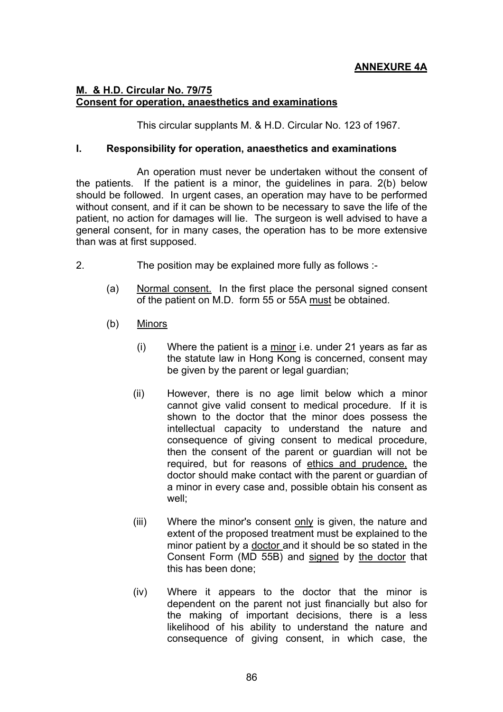# **ANNEXURE 4A**

# **M. & H.D. Circular No. 79/75 Consent for operation, anaesthetics and examinations**

This circular supplants M. & H.D. Circular No. 123 of 1967.

#### **I. Responsibility for operation, anaesthetics and examinations**

An operation must never be undertaken without the consent of the patients. If the patient is a minor, the guidelines in para. 2(b) below should be followed. In urgent cases, an operation may have to be performed without consent, and if it can be shown to be necessary to save the life of the patient, no action for damages will lie. The surgeon is well advised to have a general consent, for in many cases, the operation has to be more extensive than was at first supposed.

- 2. The position may be explained more fully as follows :-
	- (a) Normal consent. In the first place the personal signed consent of the patient on M.D. form 55 or 55A must be obtained.
	- (b) Minors
		- (i) Where the patient is a minor i.e. under 21 years as far as the statute law in Hong Kong is concerned, consent may be given by the parent or legal guardian;
		- (ii) However, there is no age limit below which a minor cannot give valid consent to medical procedure. If it is shown to the doctor that the minor does possess the intellectual capacity to understand the nature and consequence of giving consent to medical procedure, then the consent of the parent or guardian will not be required, but for reasons of ethics and prudence, the doctor should make contact with the parent or guardian of a minor in every case and, possible obtain his consent as well;
		- (iii) Where the minor's consent only is given, the nature and extent of the proposed treatment must be explained to the minor patient by a doctor and it should be so stated in the Consent Form (MD 55B) and signed by the doctor that this has been done;
		- (iv) Where it appears to the doctor that the minor is dependent on the parent not just financially but also for the making of important decisions, there is a less likelihood of his ability to understand the nature and consequence of giving consent, in which case, the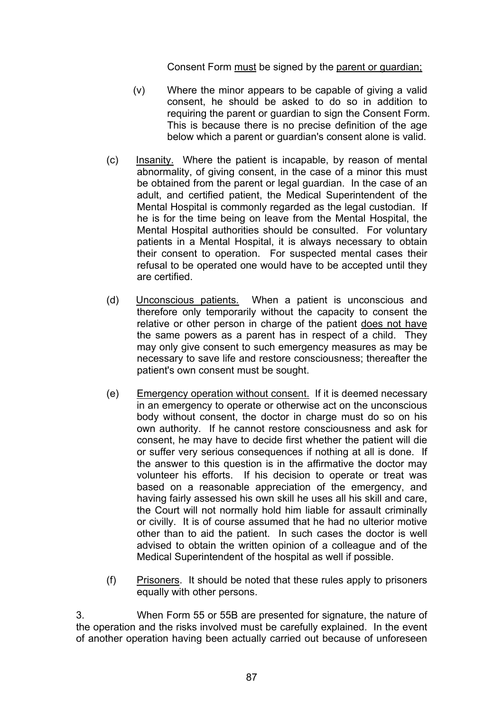Consent Form must be signed by the parent or guardian;

- (v) Where the minor appears to be capable of giving a valid consent, he should be asked to do so in addition to requiring the parent or guardian to sign the Consent Form. This is because there is no precise definition of the age below which a parent or guardian's consent alone is valid.
- (c) Insanity. Where the patient is incapable, by reason of mental abnormality, of giving consent, in the case of a minor this must be obtained from the parent or legal guardian. In the case of an adult, and certified patient, the Medical Superintendent of the Mental Hospital is commonly regarded as the legal custodian. If he is for the time being on leave from the Mental Hospital, the Mental Hospital authorities should be consulted. For voluntary patients in a Mental Hospital, it is always necessary to obtain their consent to operation. For suspected mental cases their refusal to be operated one would have to be accepted until they are certified.
- (d) Unconscious patients. When a patient is unconscious and therefore only temporarily without the capacity to consent the relative or other person in charge of the patient does not have the same powers as a parent has in respect of a child. They may only give consent to such emergency measures as may be necessary to save life and restore consciousness; thereafter the patient's own consent must be sought.
- (e) Emergency operation without consent. If it is deemed necessary in an emergency to operate or otherwise act on the unconscious body without consent, the doctor in charge must do so on his own authority. If he cannot restore consciousness and ask for consent, he may have to decide first whether the patient will die or suffer very serious consequences if nothing at all is done. If the answer to this question is in the affirmative the doctor may volunteer his efforts. If his decision to operate or treat was based on a reasonable appreciation of the emergency, and having fairly assessed his own skill he uses all his skill and care, the Court will not normally hold him liable for assault criminally or civilly. It is of course assumed that he had no ulterior motive other than to aid the patient. In such cases the doctor is well advised to obtain the written opinion of a colleague and of the Medical Superintendent of the hospital as well if possible.
- (f) Prisoners. It should be noted that these rules apply to prisoners equally with other persons.

3. When Form 55 or 55B are presented for signature, the nature of the operation and the risks involved must be carefully explained. In the event of another operation having been actually carried out because of unforeseen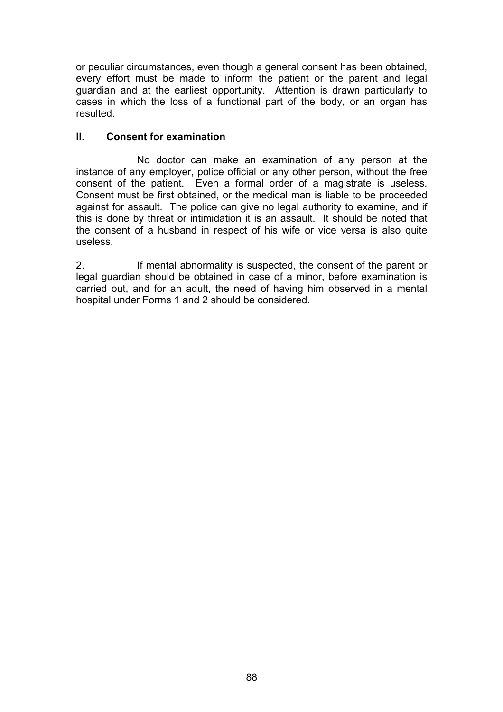or peculiar circumstances, even though a general consent has been obtained, every effort must be made to inform the patient or the parent and legal guardian and at the earliest opportunity. Attention is drawn particularly to cases in which the loss of a functional part of the body, or an organ has resulted.

# **II. Consent for examination**

No doctor can make an examination of any person at the instance of any employer, police official or any other person, without the free consent of the patient. Even a formal order of a magistrate is useless. Consent must be first obtained, or the medical man is liable to be proceeded against for assault. The police can give no legal authority to examine, and if this is done by threat or intimidation it is an assault. It should be noted that the consent of a husband in respect of his wife or vice versa is also quite useless.

2. If mental abnormality is suspected, the consent of the parent or legal guardian should be obtained in case of a minor, before examination is carried out, and for an adult, the need of having him observed in a mental hospital under Forms 1 and 2 should be considered.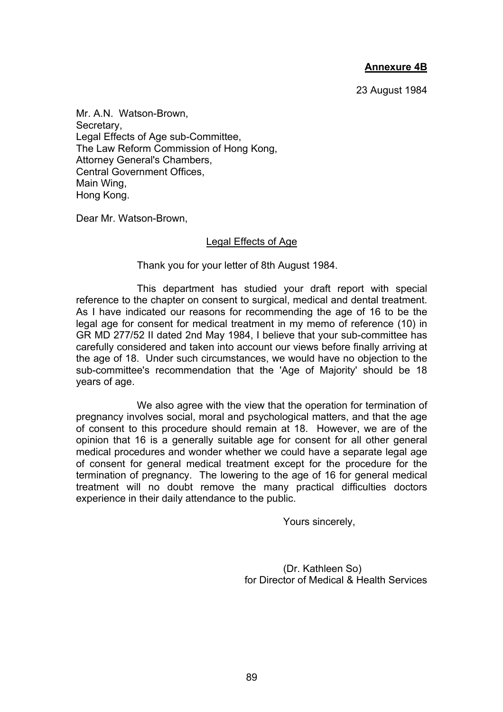## **Annexure 4B**

23 August 1984

Mr. A.N. Watson-Brown, Secretary, Legal Effects of Age sub-Committee, The Law Reform Commission of Hong Kong, Attorney General's Chambers, Central Government Offices, Main Wing, Hong Kong.

Dear Mr. Watson-Brown,

#### Legal Effects of Age

Thank you for your letter of 8th August 1984.

This department has studied your draft report with special reference to the chapter on consent to surgical, medical and dental treatment. As I have indicated our reasons for recommending the age of 16 to be the legal age for consent for medical treatment in my memo of reference (10) in GR MD 277/52 II dated 2nd May 1984, I believe that your sub-committee has carefully considered and taken into account our views before finally arriving at the age of 18. Under such circumstances, we would have no objection to the sub-committee's recommendation that the 'Age of Majority' should be 18 years of age.

We also agree with the view that the operation for termination of pregnancy involves social, moral and psychological matters, and that the age of consent to this procedure should remain at 18. However, we are of the opinion that 16 is a generally suitable age for consent for all other general medical procedures and wonder whether we could have a separate legal age of consent for general medical treatment except for the procedure for the termination of pregnancy. The lowering to the age of 16 for general medical treatment will no doubt remove the many practical difficulties doctors experience in their daily attendance to the public.

Yours sincerely,

(Dr. Kathleen So) for Director of Medical & Health Services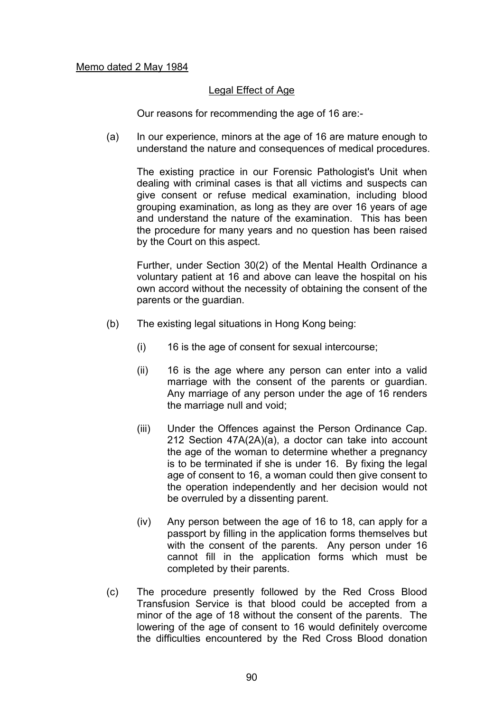#### Legal Effect of Age

Our reasons for recommending the age of 16 are:-

 (a) In our experience, minors at the age of 16 are mature enough to understand the nature and consequences of medical procedures.

The existing practice in our Forensic Pathologist's Unit when dealing with criminal cases is that all victims and suspects can give consent or refuse medical examination, including blood grouping examination, as long as they are over 16 years of age and understand the nature of the examination. This has been the procedure for many years and no question has been raised by the Court on this aspect.

Further, under Section 30(2) of the Mental Health Ordinance a voluntary patient at 16 and above can leave the hospital on his own accord without the necessity of obtaining the consent of the parents or the guardian.

- (b) The existing legal situations in Hong Kong being:
	- (i) 16 is the age of consent for sexual intercourse;
	- (ii) 16 is the age where any person can enter into a valid marriage with the consent of the parents or guardian. Any marriage of any person under the age of 16 renders the marriage null and void;
	- (iii) Under the Offences against the Person Ordinance Cap. 212 Section 47A(2A)(a), a doctor can take into account the age of the woman to determine whether a pregnancy is to be terminated if she is under 16. By fixing the legal age of consent to 16, a woman could then give consent to the operation independently and her decision would not be overruled by a dissenting parent.
	- (iv) Any person between the age of 16 to 18, can apply for a passport by filling in the application forms themselves but with the consent of the parents. Any person under 16 cannot fill in the application forms which must be completed by their parents.
- (c) The procedure presently followed by the Red Cross Blood Transfusion Service is that blood could be accepted from a minor of the age of 18 without the consent of the parents. The lowering of the age of consent to 16 would definitely overcome the difficulties encountered by the Red Cross Blood donation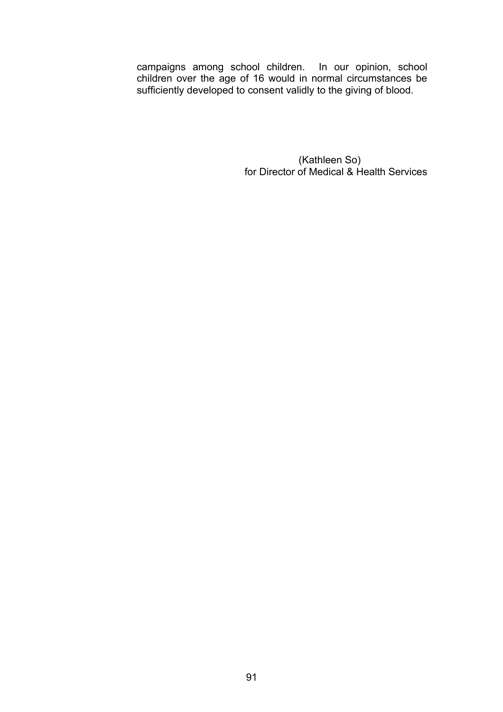campaigns among school children. In our opinion, school children over the age of 16 would in normal circumstances be sufficiently developed to consent validly to the giving of blood.

> (Kathleen So) for Director of Medical & Health Services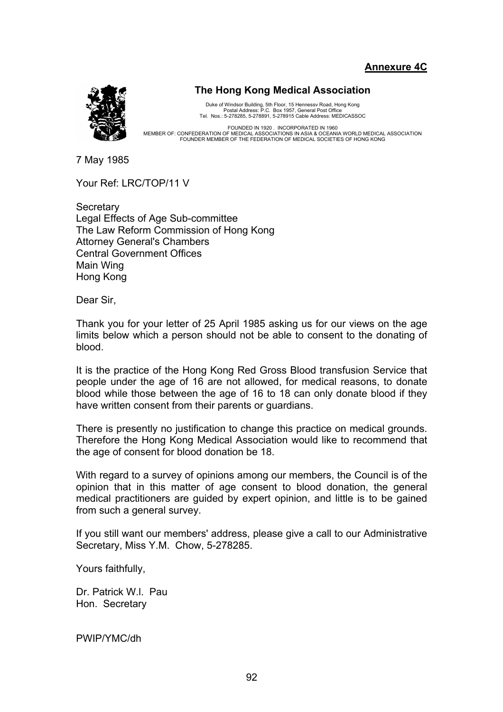**Annexure 4C**



#### **The Hong Kong Medical Association**

Duke of Windsor Building, 5th Floor, 15 Hennessv Road, Hong Kong<br>Postal Address: P.C. Box 1957, General Post Office<br>Tel. Nos.: 5-278285, 5-278891, 5-278915 Cable Address: MEDICASSOC

FOUNDED IN 1920. INCORPORATED IN 1960<br>MEMBER OF: CONFEDERATION OF MEDICAL ASSOCIATIONS IN ASIA & OCEANIA WORLD MEDICAL ASSOCIATION FOUNDER MEMBER OF THE FEDERATION OF MEDICAL SOCIETIES OF HONG KONG

7 May 1985

Your Ref: LRC/TOP/11 V

**Secretary** Legal Effects of Age Sub-committee The Law Reform Commission of Hong Kong Attorney General's Chambers Central Government Offices Main Wing Hong Kong

Dear Sir,

Thank you for your letter of 25 April 1985 asking us for our views on the age limits below which a person should not be able to consent to the donating of blood.

It is the practice of the Hong Kong Red Gross Blood transfusion Service that people under the age of 16 are not allowed, for medical reasons, to donate blood while those between the age of 16 to 18 can only donate blood if they have written consent from their parents or guardians.

There is presently no justification to change this practice on medical grounds. Therefore the Hong Kong Medical Association would like to recommend that the age of consent for blood donation be 18.

With regard to a survey of opinions among our members, the Council is of the opinion that in this matter of age consent to blood donation, the general medical practitioners are guided by expert opinion, and little is to be gained from such a general survey.

If you still want our members' address, please give a call to our Administrative Secretary, Miss Y.M. Chow, 5-278285.

Yours faithfully,

Dr. Patrick W.l. Pau Hon. Secretary

PWIP/YMC/dh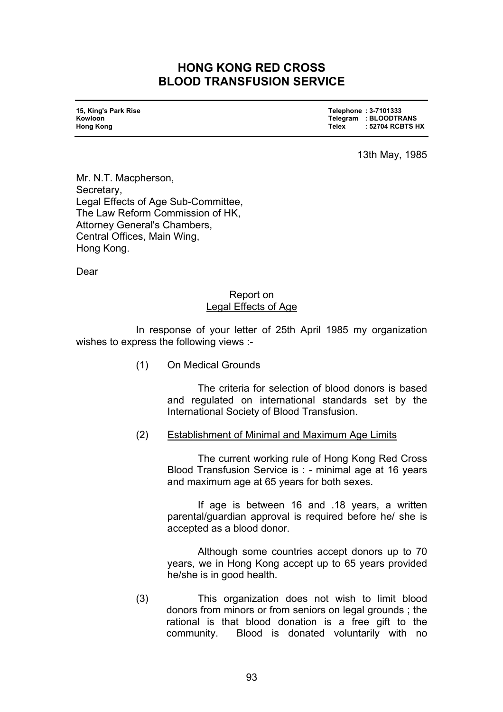# **HONG KONG RED CROSS BLOOD TRANSFUSION SERVICE**

| 15, King's Park Rise<br>Kowloon<br>Hong Kong | Telephone: 3-7101333<br>Telegram : BLOODTRANS<br>: 52704 RCBTS HX<br>Telex |
|----------------------------------------------|----------------------------------------------------------------------------|
|----------------------------------------------|----------------------------------------------------------------------------|

13th May, 1985

Mr. N.T. Macpherson, Secretary, Legal Effects of Age Sub-Committee, The Law Reform Commission of HK, Attorney General's Chambers, Central Offices, Main Wing, Hong Kong.

Dear

### Report on Legal Effects of Age

 In response of your letter of 25th April 1985 my organization wishes to express the following views :-

(1) On Medical Grounds

 The criteria for selection of blood donors is based and regulated on international standards set by the International Society of Blood Transfusion.

#### (2) Establishment of Minimal and Maximum Age Limits

 The current working rule of Hong Kong Red Cross Blood Transfusion Service is : - minimal age at 16 years and maximum age at 65 years for both sexes.

 If age is between 16 and .18 years, a written parental/guardian approval is required before he/ she is accepted as a blood donor.

 Although some countries accept donors up to 70 years, we in Hong Kong accept up to 65 years provided he/she is in good health.

(3) This organization does not wish to limit blood donors from minors or from seniors on legal grounds ; the rational is that blood donation is a free gift to the community. Blood is donated voluntarily with no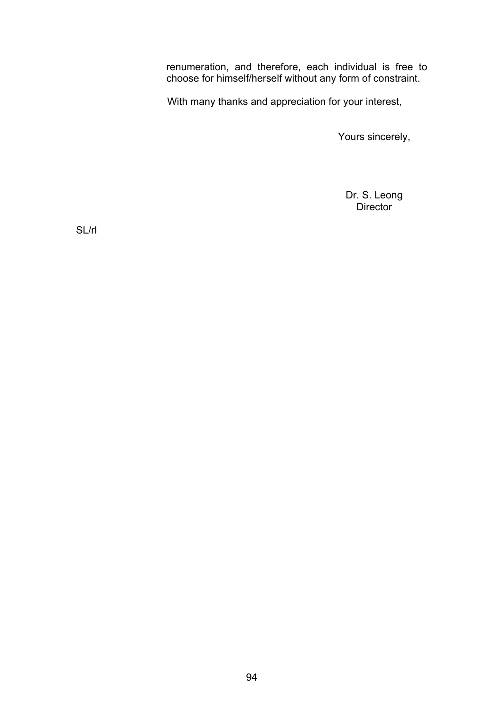renumeration, and therefore, each individual is free to choose for himself/herself without any form of constraint.

With many thanks and appreciation for your interest,

Yours sincerely,

Dr. S. Leong Director

SL/rl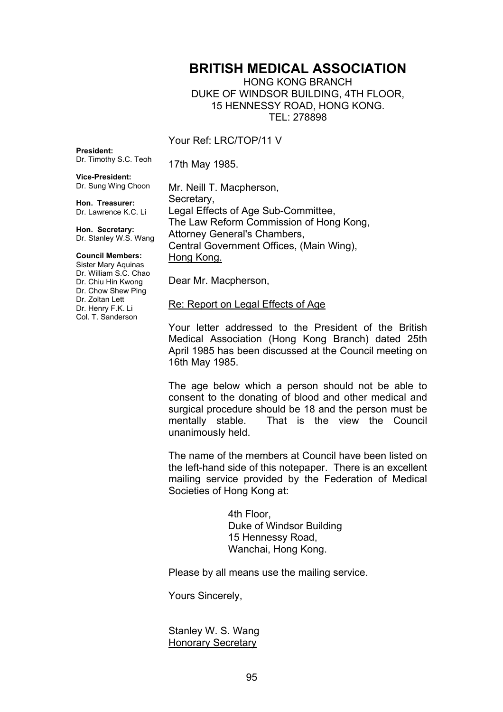# **BRITISH MEDICAL ASSOCIATION**

HONG KONG BRANCH DUKE OF WINDSOR BUILDING, 4TH FLOOR, 15 HENNESSY ROAD, HONG KONG. TEL: 278898

Your Ref: LRC/TOP/11 V

**President:**  Dr. Timothy S.C. Teoh

17th May 1985.

**Vice-President:**  Dr. Sung Wing Choon

**Hon. Treasurer:**  Dr. Lawrence K.C. Li

**Hon. Secretary:**  Dr. Stanley W.S. Wang

#### **Council Members:**

Sister Mary Aquinas Dr. William S.C. Chao Dr. Chiu Hin Kwong Dr. Chow Shew Ping Dr. Zoltan Lett Dr. Henry F.K. Li Col. T. Sanderson

Mr. Neill T. Macpherson, Secretary, Legal Effects of Age Sub-Committee, The Law Reform Commission of Hong Kong, Attorney General's Chambers, Central Government Offices, (Main Wing), Hong Kong.

Dear Mr. Macpherson,

#### Re: Report on Legal Effects of Age

Your letter addressed to the President of the British Medical Association (Hong Kong Branch) dated 25th April 1985 has been discussed at the Council meeting on 16th May 1985.

The age below which a person should not be able to consent to the donating of blood and other medical and surgical procedure should be 18 and the person must be mentally stable. That is the view the Council unanimously held.

The name of the members at Council have been listed on the left-hand side of this notepaper. There is an excellent mailing service provided by the Federation of Medical Societies of Hong Kong at:

> 4th Floor, Duke of Windsor Building 15 Hennessy Road, Wanchai, Hong Kong.

Please by all means use the mailing service.

Yours Sincerely,

Stanley W. S. Wang Honorary Secretary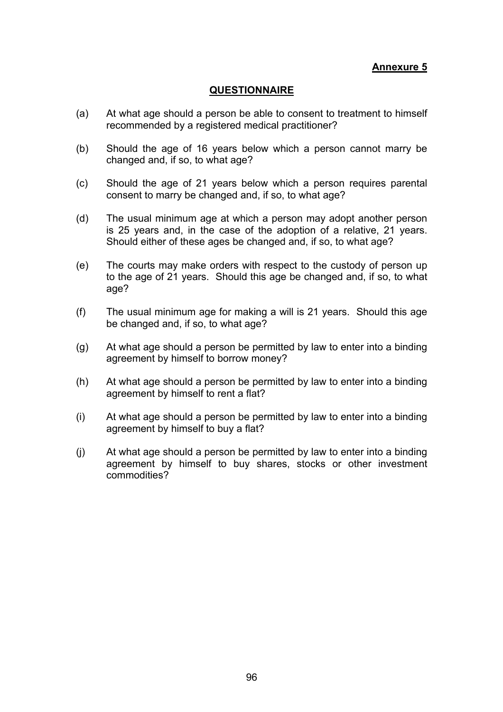**Annexure 5**

#### **QUESTIONNAIRE**

- (a) At what age should a person be able to consent to treatment to himself recommended by a registered medical practitioner?
- (b) Should the age of 16 years below which a person cannot marry be changed and, if so, to what age?
- (c) Should the age of 21 years below which a person requires parental consent to marry be changed and, if so, to what age?
- (d) The usual minimum age at which a person may adopt another person is 25 years and, in the case of the adoption of a relative, 21 years. Should either of these ages be changed and, if so, to what age?
- (e) The courts may make orders with respect to the custody of person up to the age of 21 years. Should this age be changed and, if so, to what age?
- (f) The usual minimum age for making a will is 21 years. Should this age be changed and, if so, to what age?
- (g) At what age should a person be permitted by law to enter into a binding agreement by himself to borrow money?
- (h) At what age should a person be permitted by law to enter into a binding agreement by himself to rent a flat?
- (i) At what age should a person be permitted by law to enter into a binding agreement by himself to buy a flat?
- (j) At what age should a person be permitted by law to enter into a binding agreement by himself to buy shares, stocks or other investment commodities?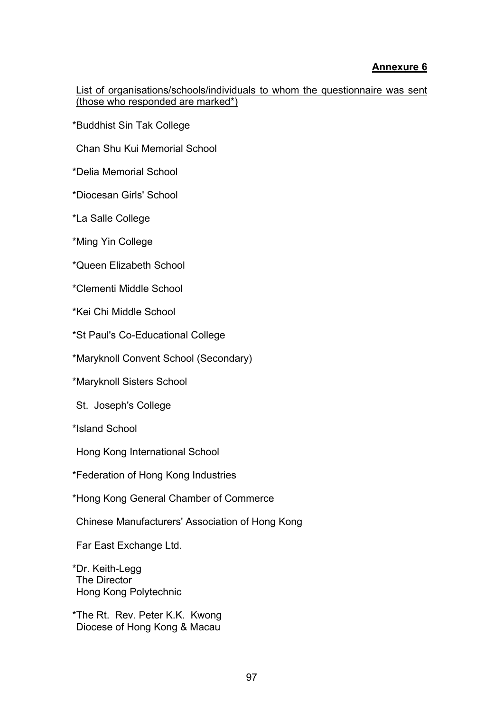# **Annexure 6**

List of organisations/schools/individuals to whom the questionnaire was sent (those who responded are marked\*)

\*Buddhist Sin Tak College

Chan Shu Kui Memorial School

\*Delia Memorial School

\*Diocesan Girls' School

\*La Salle College

\*Ming Yin College

\*Queen Elizabeth School

\*Clementi Middle School

\*Kei Chi Middle School

\*St Paul's Co-Educational College

\*Maryknoll Convent School (Secondary)

\*Maryknoll Sisters School

St. Joseph's College

\*Island School

Hong Kong International School

\*Federation of Hong Kong Industries

\*Hong Kong General Chamber of Commerce

Chinese Manufacturers' Association of Hong Kong

Far East Exchange Ltd.

\*Dr. Keith-Legg The Director Hong Kong Polytechnic

\*The Rt. Rev. Peter K.K. Kwong Diocese of Hong Kong & Macau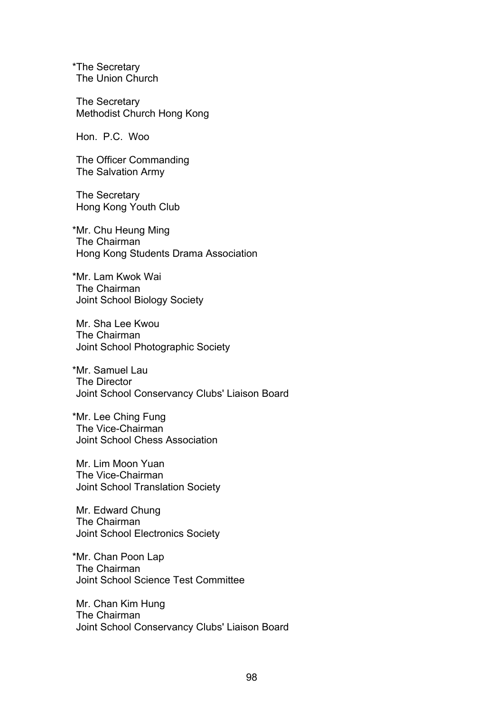\*The Secretary The Union Church

The Secretary Methodist Church Hong Kong

Hon. P.C. Woo

The Officer Commanding The Salvation Army

The Secretary Hong Kong Youth Club

\*Mr. Chu Heung Ming The Chairman Hong Kong Students Drama Association

\*Mr. Lam Kwok Wai The Chairman Joint School Biology Society

Mr. Sha Lee Kwou The Chairman Joint School Photographic Society

\*Mr. Samuel Lau The Director Joint School Conservancy Clubs' Liaison Board

\*Mr. Lee Ching Fung The Vice-Chairman Joint School Chess Association

Mr. Lim Moon Yuan The Vice-Chairman Joint School Translation Society

Mr. Edward Chung The Chairman Joint School Electronics Society

\*Mr. Chan Poon Lap The Chairman Joint School Science Test Committee

Mr. Chan Kim Hung The Chairman Joint School Conservancy Clubs' Liaison Board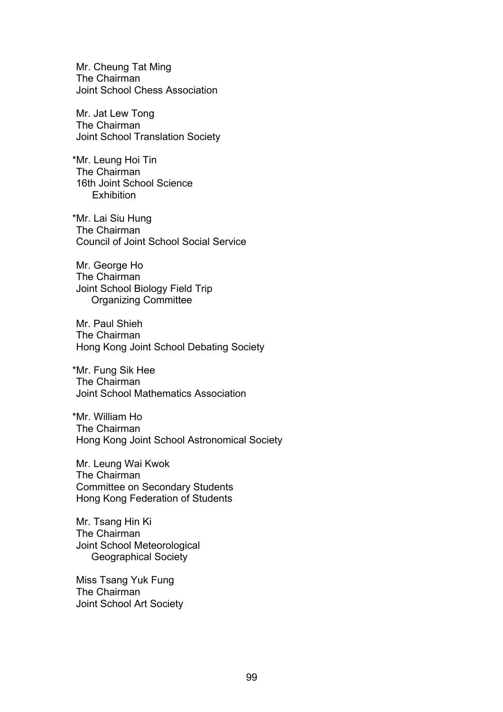Mr. Cheung Tat Ming The Chairman Joint School Chess Association

Mr. Jat Lew Tong The Chairman Joint School Translation Society

\*Mr. Leung Hoi Tin The Chairman 16th Joint School Science **Exhibition** 

\*Mr. Lai Siu Hung The Chairman Council of Joint School Social Service

Mr. George Ho The Chairman Joint School Biology Field Trip Organizing Committee

Mr. Paul Shieh The Chairman Hong Kong Joint School Debating Society

\*Mr. Fung Sik Hee The Chairman Joint School Mathematics Association

\*Mr. William Ho The Chairman Hong Kong Joint School Astronomical Society

Mr. Leung Wai Kwok The Chairman Committee on Secondary Students Hong Kong Federation of Students

Mr. Tsang Hin Ki The Chairman Joint School Meteorological Geographical Society

Miss Tsang Yuk Fung The Chairman Joint School Art Society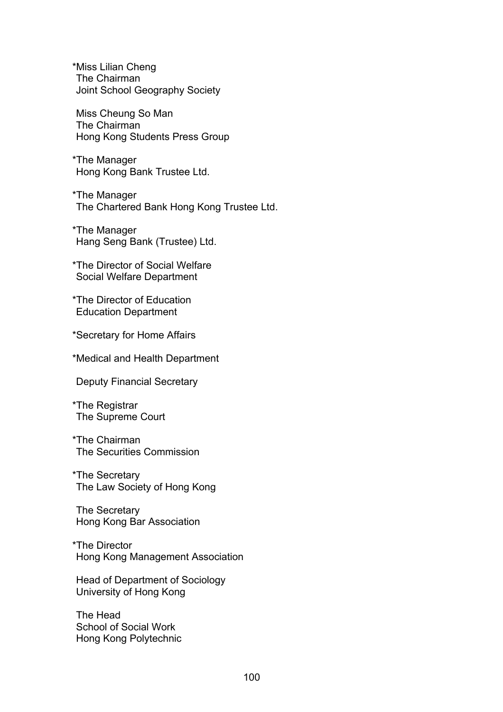\*Miss Lilian Cheng The Chairman Joint School Geography Society

Miss Cheung So Man The Chairman Hong Kong Students Press Group

\*The Manager Hong Kong Bank Trustee Ltd.

\*The Manager The Chartered Bank Hong Kong Trustee Ltd.

\*The Manager Hang Seng Bank (Trustee) Ltd.

\*The Director of Social Welfare Social Welfare Department

\*The Director of Education Education Department

\*Secretary for Home Affairs

\*Medical and Health Department

Deputy Financial Secretary

\*The Registrar The Supreme Court

#### \*The Chairman The Securities Commission

\*The Secretary The Law Society of Hong Kong

The Secretary Hong Kong Bar Association

\*The Director Hong Kong Management Association

Head of Department of Sociology University of Hong Kong

The Head School of Social Work Hong Kong Polytechnic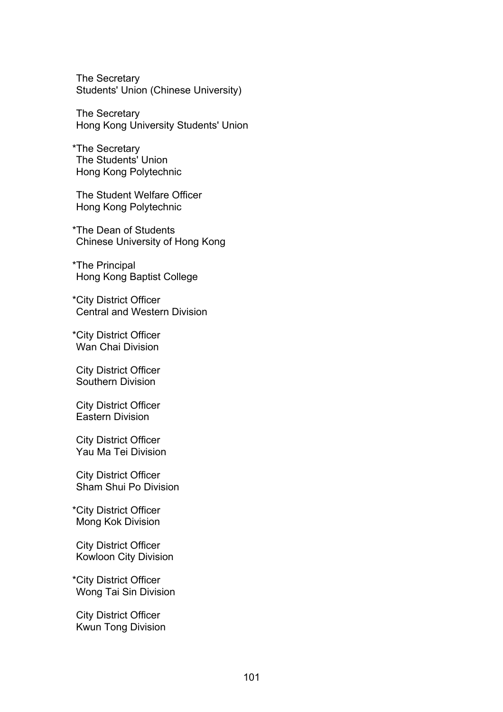The Secretary Students' Union (Chinese University)

The Secretary Hong Kong University Students' Union

\*The Secretary The Students' Union Hong Kong Polytechnic

The Student Welfare Officer Hong Kong Polytechnic

\*The Dean of Students Chinese University of Hong Kong

\*The Principal Hong Kong Baptist College

\*City District Officer Central and Western Division

\*City District Officer Wan Chai Division

City District Officer Southern Division

City District Officer Eastern Division

City District Officer Yau Ma Tei Division

City District Officer Sham Shui Po Division

\*City District Officer Mong Kok Division

City District Officer Kowloon City Division

\*City District Officer Wong Tai Sin Division

City District Officer Kwun Tong Division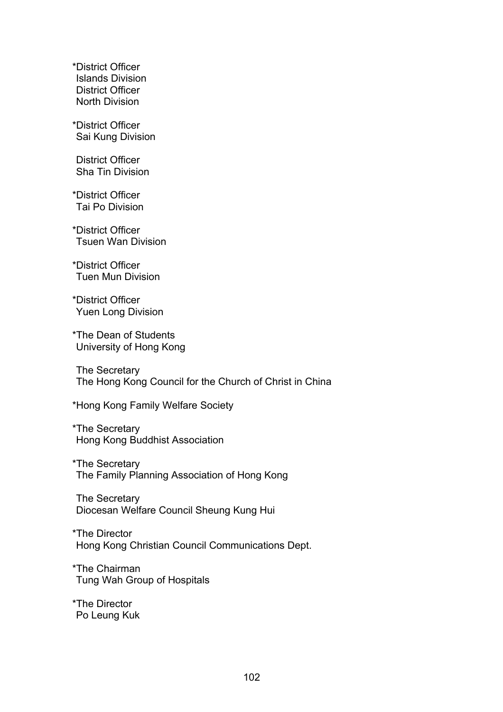\*District Officer Islands Division District Officer North Division

\*District Officer Sai Kung Division

District Officer Sha Tin Division

\*District Officer Tai Po Division

\*District Officer Tsuen Wan Division

\*District Officer Tuen Mun Division

\*District Officer Yuen Long Division

\*The Dean of Students University of Hong Kong

The Secretary The Hong Kong Council for the Church of Christ in China

\*Hong Kong Family Welfare Society

\*The Secretary Hong Kong Buddhist Association

\*The Secretary The Family Planning Association of Hong Kong

The Secretary Diocesan Welfare Council Sheung Kung Hui

\*The Director Hong Kong Christian Council Communications Dept.

\*The Chairman Tung Wah Group of Hospitals

\*The Director Po Leung Kuk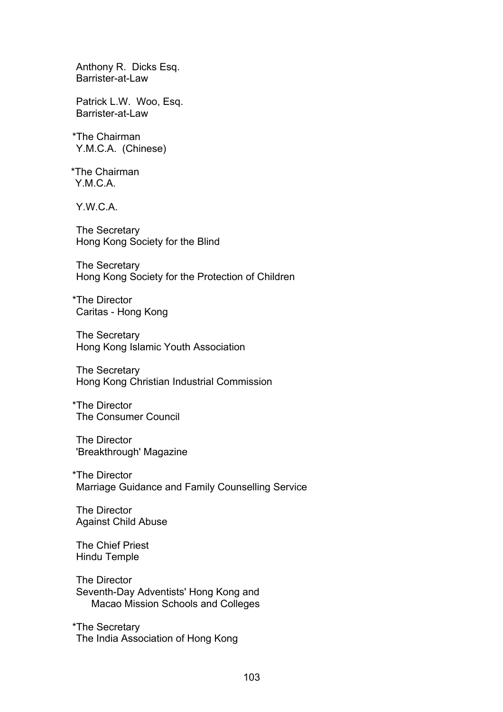Anthony R. Dicks Esq. Barrister-at-Law

Patrick L.W. Woo, Esq. Barrister-at-Law

\*The Chairman Y.M.C.A. (Chinese)

\*The Chairman YMCA<sub>.</sub>

Y.W.C.A.

The Secretary Hong Kong Society for the Blind

The Secretary Hong Kong Society for the Protection of Children

\*The Director Caritas - Hong Kong

The Secretary Hong Kong Islamic Youth Association

The Secretary Hong Kong Christian Industrial Commission

\*The Director The Consumer Council

The Director 'Breakthrough' Magazine

\*The Director Marriage Guidance and Family Counselling Service

The Director Against Child Abuse

The Chief Priest Hindu Temple

The Director Seventh-Day Adventists' Hong Kong and Macao Mission Schools and Colleges

\*The Secretary The India Association of Hong Kong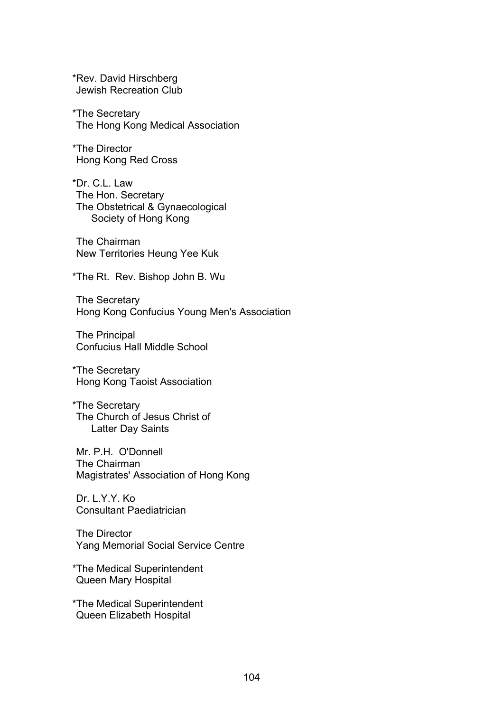\*Rev. David Hirschberg Jewish Recreation Club

\*The Secretary The Hong Kong Medical Association

\*The Director Hong Kong Red Cross

\*Dr. C.L. Law The Hon. Secretary The Obstetrical & Gynaecological Society of Hong Kong

The Chairman New Territories Heung Yee Kuk

\*The Rt. Rev. Bishop John B. Wu

The Secretary Hong Kong Confucius Young Men's Association

The Principal Confucius Hall Middle School

\*The Secretary Hong Kong Taoist Association

\*The Secretary The Church of Jesus Christ of Latter Day Saints

Mr. P.H. O'Donnell The Chairman Magistrates' Association of Hong Kong

Dr. L.Y.Y. Ko Consultant Paediatrician

The Director Yang Memorial Social Service Centre

\*The Medical Superintendent Queen Mary Hospital

\*The Medical Superintendent Queen Elizabeth Hospital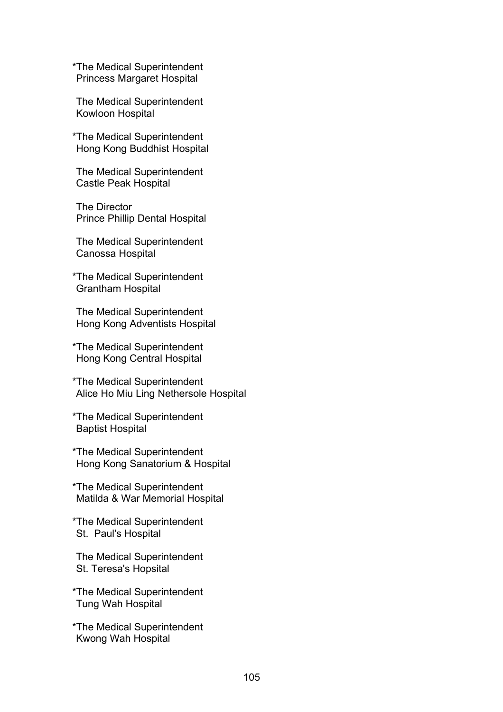\*The Medical Superintendent Princess Margaret Hospital

The Medical Superintendent Kowloon Hospital

\*The Medical Superintendent Hong Kong Buddhist Hospital

The Medical Superintendent Castle Peak Hospital

The Director Prince Phillip Dental Hospital

The Medical Superintendent Canossa Hospital

\*The Medical Superintendent Grantham Hospital

The Medical Superintendent Hong Kong Adventists Hospital

\*The Medical Superintendent Hong Kong Central Hospital

\*The Medical Superintendent Alice Ho Miu Ling Nethersole Hospital

\*The Medical Superintendent Baptist Hospital

\*The Medical Superintendent Hong Kong Sanatorium & Hospital

\*The Medical Superintendent Matilda & War Memorial Hospital

\*The Medical Superintendent St. Paul's Hospital

The Medical Superintendent St. Teresa's Hopsital

\*The Medical Superintendent Tung Wah Hospital

\*The Medical Superintendent Kwong Wah Hospital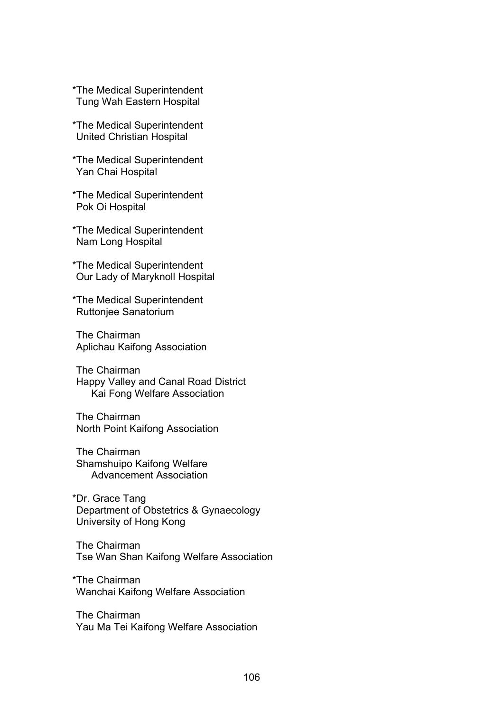\*The Medical Superintendent Tung Wah Eastern Hospital

- \*The Medical Superintendent United Christian Hospital
- \*The Medical Superintendent Yan Chai Hospital
- \*The Medical Superintendent Pok Oi Hospital

\*The Medical Superintendent Nam Long Hospital

\*The Medical Superintendent Our Lady of Maryknoll Hospital

\*The Medical Superintendent Ruttonjee Sanatorium

The Chairman Aplichau Kaifong Association

The Chairman Happy Valley and Canal Road District Kai Fong Welfare Association

The Chairman North Point Kaifong Association

The Chairman Shamshuipo Kaifong Welfare Advancement Association

\*Dr. Grace Tang Department of Obstetrics & Gynaecology University of Hong Kong

The Chairman Tse Wan Shan Kaifong Welfare Association

\*The Chairman Wanchai Kaifong Welfare Association

The Chairman Yau Ma Tei Kaifong Welfare Association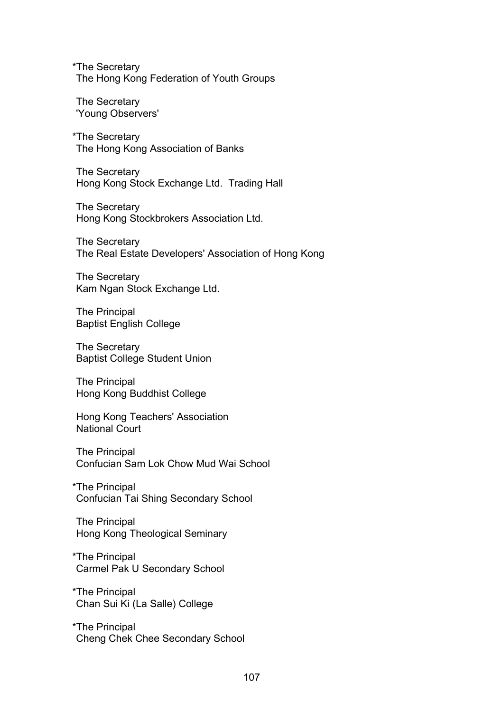\*The Secretary The Hong Kong Federation of Youth Groups

The Secretary 'Young Observers'

\*The Secretary The Hong Kong Association of Banks

The Secretary Hong Kong Stock Exchange Ltd. Trading Hall

The Secretary Hong Kong Stockbrokers Association Ltd.

The Secretary The Real Estate Developers' Association of Hong Kong

The Secretary Kam Ngan Stock Exchange Ltd.

The Principal Baptist English College

The Secretary Baptist College Student Union

The Principal Hong Kong Buddhist College

Hong Kong Teachers' Association National Court

The Principal Confucian Sam Lok Chow Mud Wai School

\*The Principal Confucian Tai Shing Secondary School

The Principal Hong Kong Theological Seminary

\*The Principal Carmel Pak U Secondary School

\*The Principal Chan Sui Ki (La Salle) College

\*The Principal Cheng Chek Chee Secondary School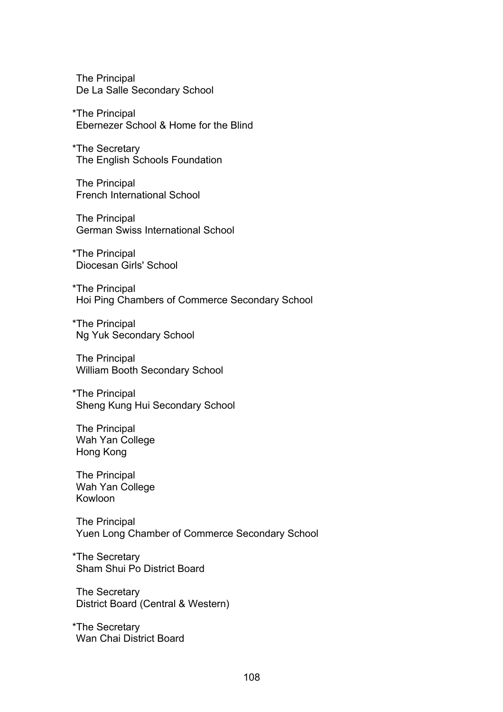The Principal De La Salle Secondary School

\*The Principal Ebernezer School & Home for the Blind

\*The Secretary The English Schools Foundation

The Principal French International School

The Principal German Swiss International School

\*The Principal Diocesan Girls' School

\*The Principal Hoi Ping Chambers of Commerce Secondary School

\*The Principal Ng Yuk Secondary School

The Principal William Booth Secondary School

\*The Principal Sheng Kung Hui Secondary School

The Principal Wah Yan College Hong Kong

The Principal Wah Yan College Kowloon

The Principal Yuen Long Chamber of Commerce Secondary School

\*The Secretary Sham Shui Po District Board

The Secretary District Board (Central & Western)

\*The Secretary Wan Chai District Board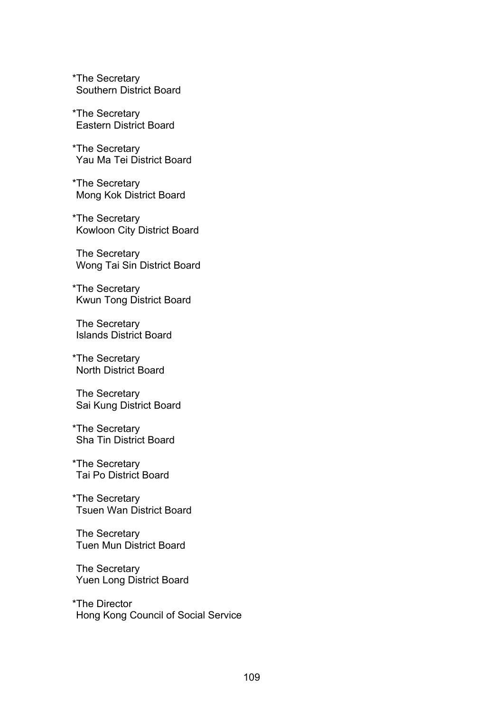\*The Secretary Southern District Board

\*The Secretary Eastern District Board

\*The Secretary Yau Ma Tei District Board

\*The Secretary Mong Kok District Board

\*The Secretary Kowloon City District Board

The Secretary Wong Tai Sin District Board

\*The Secretary Kwun Tong District Board

The Secretary Islands District Board

\*The Secretary North District Board

The Secretary Sai Kung District Board

\*The Secretary Sha Tin District Board

\*The Secretary Tai Po District Board

\*The Secretary Tsuen Wan District Board

The Secretary Tuen Mun District Board

The Secretary Yuen Long District Board

\*The Director Hong Kong Council of Social Service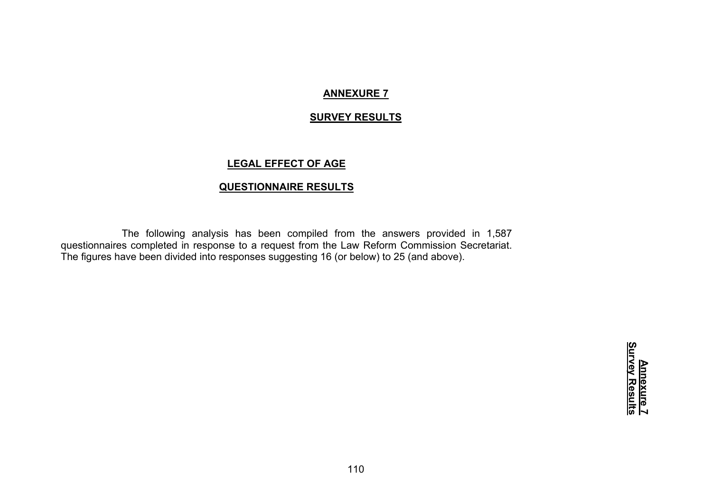## **ANNEXURE 7**

### **SURVEY RESULTS**

## **LEGAL EFFECT OF AGE**

## **QUESTIONNAIRE RESULTS**

The following analysis has been compiled from the answers provided in 1,587 questionnaires completed in response to a request from the Law Reform Commission Secretariat. The figures have been divided into responses suggesting 16 (or below) to 25 (and above).

> <u>Annexure 7</u><br>Survey Results **Survey ResultsAnnexure 7**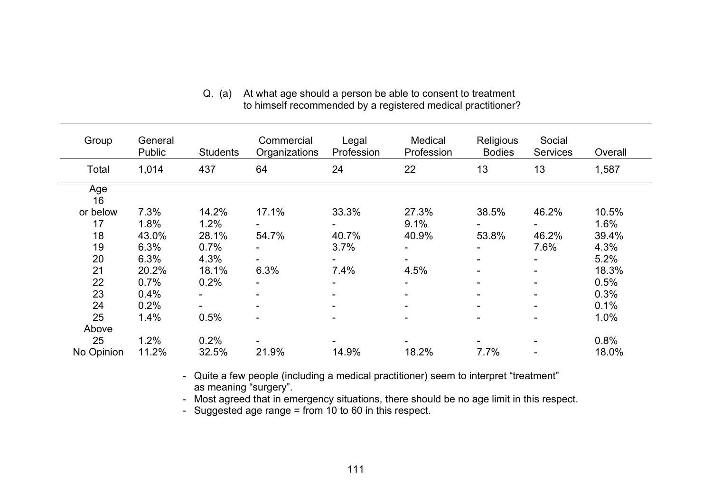| Group      | General<br>Public | <b>Students</b> | Commercial<br>Organizations | Legal<br>Profession | Medical<br>Profession    | Religious<br><b>Bodies</b> | Social<br><b>Services</b> | Overall |
|------------|-------------------|-----------------|-----------------------------|---------------------|--------------------------|----------------------------|---------------------------|---------|
| Total      | 1,014             | 437             | 64                          | 24                  | 22                       | 13                         | 13                        | 1,587   |
| Age<br>16  |                   |                 |                             |                     |                          |                            |                           |         |
| or below   | 7.3%              | 14.2%           | 17.1%                       | 33.3%               | 27.3%                    | 38.5%                      | 46.2%                     | 10.5%   |
| 17         | 1.8%              | 1.2%            |                             |                     | 9.1%                     |                            |                           | 1.6%    |
| 18         | 43.0%             | 28.1%           | 54.7%                       | 40.7%               | 40.9%                    | 53.8%                      | 46.2%                     | 39.4%   |
| 19         | 6.3%              | 0.7%            |                             | 3.7%                | $\overline{\phantom{0}}$ |                            | 7.6%                      | 4.3%    |
| 20         | 6.3%              | 4.3%            |                             |                     | ۰.                       | -                          |                           | 5.2%    |
| 21         | 20.2%             | 18.1%           | 6.3%                        | 7.4%                | 4.5%                     |                            |                           | 18.3%   |
| 22         | 0.7%              | 0.2%            |                             |                     | Ξ.                       | -                          | -                         | 0.5%    |
| 23         | 0.4%              |                 |                             |                     |                          |                            |                           | 0.3%    |
| 24         | 0.2%              |                 |                             |                     |                          |                            |                           | 0.1%    |
| 25         | 1.4%              | 0.5%            | -                           |                     |                          | -                          |                           | 1.0%    |
| Above      |                   |                 |                             |                     |                          |                            |                           |         |
| 25         | 1.2%              | 0.2%            |                             |                     |                          |                            |                           | 0.8%    |
| No Opinion | 11.2%             | 32.5%           | 21.9%                       | 14.9%               | 18.2%                    | 7.7%                       |                           | 18.0%   |

## Q. (a) At what age should a person be able to consent to treatment to himself recommended by a registered medical practitioner?

- Quite a few people (including a medical practitioner) seem to interpret "treatment" as meaning "surgery".

- Most agreed that in emergency situations, there should be no age limit in this respect.

- Suggested age range = from 10 to 60 in this respect.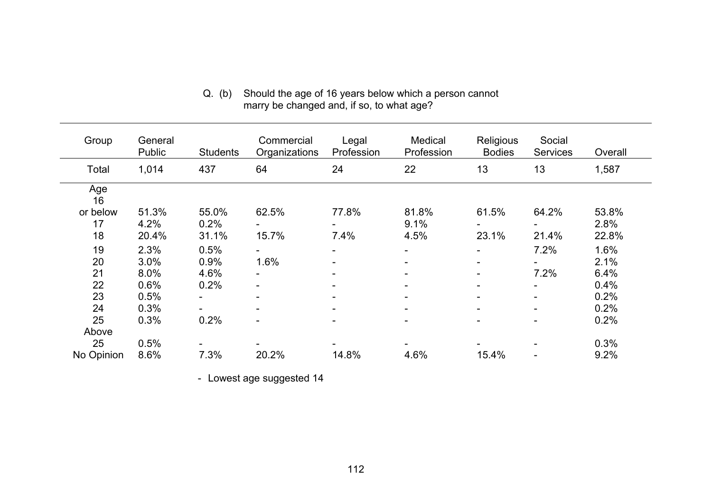| Q. (b) Should the age of 16 years below which a person cannot |
|---------------------------------------------------------------|
| marry be changed and, if so, to what age?                     |

| Group      | General<br>Public | <b>Students</b> | Commercial<br>Organizations | Legal<br>Profession | Medical<br>Profession    | Religious<br><b>Bodies</b> | Social<br><b>Services</b> | Overall |
|------------|-------------------|-----------------|-----------------------------|---------------------|--------------------------|----------------------------|---------------------------|---------|
| Total      | 1,014             | 437             | 64                          | 24                  | 22                       | 13                         | 13                        | 1,587   |
| Age<br>16  |                   |                 |                             |                     |                          |                            |                           |         |
| or below   | 51.3%             | 55.0%           | 62.5%                       | 77.8%               | 81.8%                    | 61.5%                      | 64.2%                     | 53.8%   |
| 17         | 4.2%              | 0.2%            |                             |                     | 9.1%                     |                            |                           | 2.8%    |
| 18         | 20.4%             | 31.1%           | 15.7%                       | 7.4%                | 4.5%                     | 23.1%                      | 21.4%                     | 22.8%   |
| 19         | 2.3%              | 0.5%            |                             | Ξ.                  |                          |                            | 7.2%                      | 1.6%    |
| 20         | 3.0%              | 0.9%            | 1.6%                        | Ξ.                  | ۰.                       | $\blacksquare$             |                           | 2.1%    |
| 21         | 8.0%              | 4.6%            |                             |                     | ۰                        |                            | 7.2%                      | 6.4%    |
| 22         | 0.6%              | 0.2%            |                             | -                   | $\overline{\phantom{0}}$ | $\overline{\phantom{0}}$   | $\overline{\phantom{0}}$  | 0.4%    |
| 23         | 0.5%              |                 |                             | -                   | $\overline{\phantom{0}}$ |                            | Ξ.                        | 0.2%    |
| 24         | 0.3%              |                 |                             |                     | $\overline{\phantom{0}}$ |                            | $\overline{\phantom{0}}$  | 0.2%    |
| 25         | 0.3%              | 0.2%            |                             |                     | $\blacksquare$           |                            | $\overline{\phantom{0}}$  | 0.2%    |
| Above      |                   |                 |                             |                     |                          |                            |                           |         |
| 25         | 0.5%              |                 |                             |                     |                          |                            |                           | 0.3%    |
| No Opinion | 8.6%              | 7.3%            | 20.2%                       | 14.8%               | 4.6%                     | 15.4%                      |                           | 9.2%    |

- Lowest age suggested 14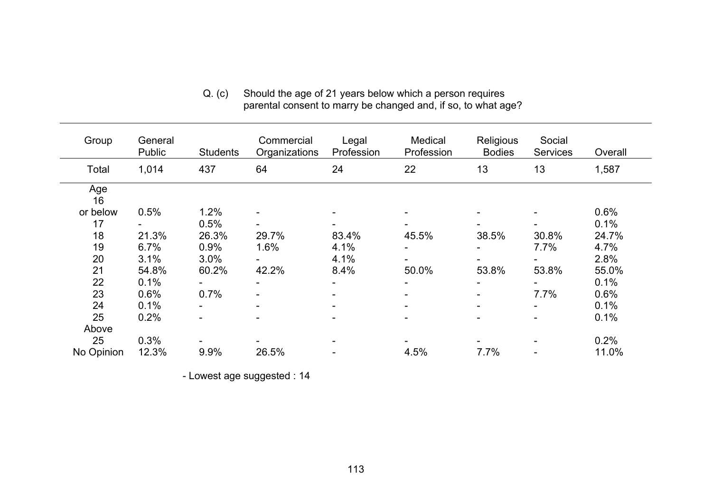Q. (c) Should the age of 21 years below which a person requires parental consent to marry be changed and, if so, to what age?

| Group      | General<br>Public | <b>Students</b> | Commercial<br>Organizations | Legal<br>Profession      | Medical<br>Profession | Religious<br><b>Bodies</b> | Social<br><b>Services</b> | Overall |
|------------|-------------------|-----------------|-----------------------------|--------------------------|-----------------------|----------------------------|---------------------------|---------|
| Total      | 1,014             | 437             | 64                          | 24                       | 22                    | 13                         | 13                        | 1,587   |
| Age<br>16  |                   |                 |                             |                          |                       |                            |                           |         |
| or below   | 0.5%              | 1.2%            |                             |                          |                       |                            |                           | 0.6%    |
| 17         |                   | 0.5%            |                             |                          |                       |                            |                           | 0.1%    |
| 18         | 21.3%             | 26.3%           | 29.7%                       | 83.4%                    | 45.5%                 | 38.5%                      | 30.8%                     | 24.7%   |
| 19         | 6.7%              | 0.9%            | 1.6%                        | 4.1%                     |                       |                            | 7.7%                      | 4.7%    |
| 20         | 3.1%              | 3.0%            |                             | 4.1%                     |                       |                            |                           | 2.8%    |
| 21         | 54.8%             | 60.2%           | 42.2%                       | 8.4%                     | 50.0%                 | 53.8%                      | 53.8%                     | 55.0%   |
| 22         | 0.1%              |                 |                             | $\overline{\phantom{a}}$ |                       |                            |                           | 0.1%    |
| 23         | 0.6%              | 0.7%            |                             | $\overline{\phantom{a}}$ |                       |                            | 7.7%                      | 0.6%    |
| 24         | 0.1%              |                 |                             | $\blacksquare$           |                       |                            |                           | 0.1%    |
| 25         | 0.2%              |                 |                             | $\overline{\phantom{a}}$ |                       |                            |                           | 0.1%    |
| Above      |                   |                 |                             |                          |                       |                            |                           |         |
| 25         | 0.3%              |                 |                             |                          |                       |                            |                           | 0.2%    |
| No Opinion | 12.3%             | 9.9%            | 26.5%                       |                          | 4.5%                  | 7.7%                       |                           | 11.0%   |

- Lowest age suggested : 14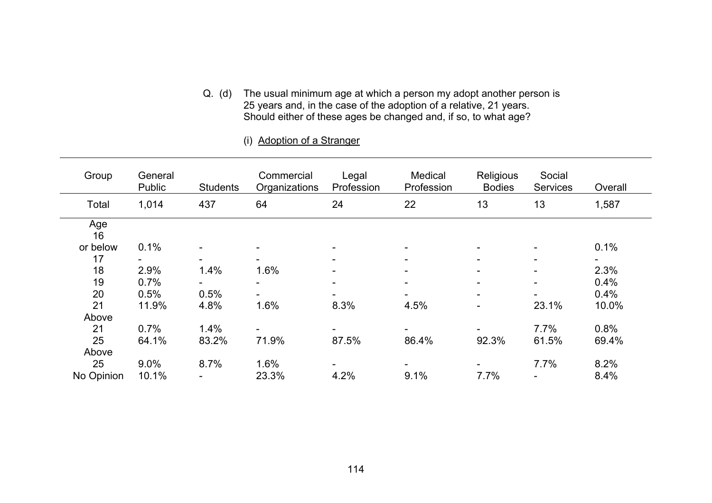Q. (d) The usual minimum age at which a person my adopt another person is 25 years and, in the case of the adoption of a relative, 21 years. Should either of these ages be changed and, if so, to what age?

| Group      | General<br>Public | <b>Students</b> | Commercial<br>Organizations | Legal<br>Profession | Medical<br>Profession    | Religious<br><b>Bodies</b> | Social<br><b>Services</b> | Overall |
|------------|-------------------|-----------------|-----------------------------|---------------------|--------------------------|----------------------------|---------------------------|---------|
| Total      | 1,014             | 437             | 64                          | 24                  | 22                       | 13                         | 13                        | 1,587   |
| Age<br>16  |                   |                 |                             |                     |                          |                            |                           |         |
| or below   | 0.1%              |                 |                             |                     | -                        |                            |                           | 0.1%    |
| 17         |                   |                 |                             |                     | -                        |                            | -                         |         |
| 18         | 2.9%              | 1.4%            | 1.6%                        |                     | $\overline{\phantom{a}}$ |                            |                           | 2.3%    |
| 19         | 0.7%              |                 |                             |                     | $\overline{\phantom{a}}$ |                            |                           | 0.4%    |
| 20         | 0.5%              | 0.5%            |                             |                     |                          |                            |                           | 0.4%    |
| 21         | 11.9%             | 4.8%            | 1.6%                        | 8.3%                | 4.5%                     | $\overline{\phantom{0}}$   | 23.1%                     | 10.0%   |
| Above      |                   |                 |                             |                     |                          |                            |                           |         |
| 21         | 0.7%              | 1.4%            |                             |                     | ۰.                       |                            | 7.7%                      | 0.8%    |
| 25         | 64.1%             | 83.2%           | 71.9%                       | 87.5%               | 86.4%                    | 92.3%                      | 61.5%                     | 69.4%   |
| Above      |                   |                 |                             |                     |                          |                            |                           |         |
| 25         | 9.0%              | 8.7%            | 1.6%                        |                     |                          |                            | 7.7%                      | 8.2%    |
| No Opinion | 10.1%             |                 | 23.3%                       | 4.2%                | 9.1%                     | 7.7%                       |                           | 8.4%    |

#### (i) Adoption of a Stranger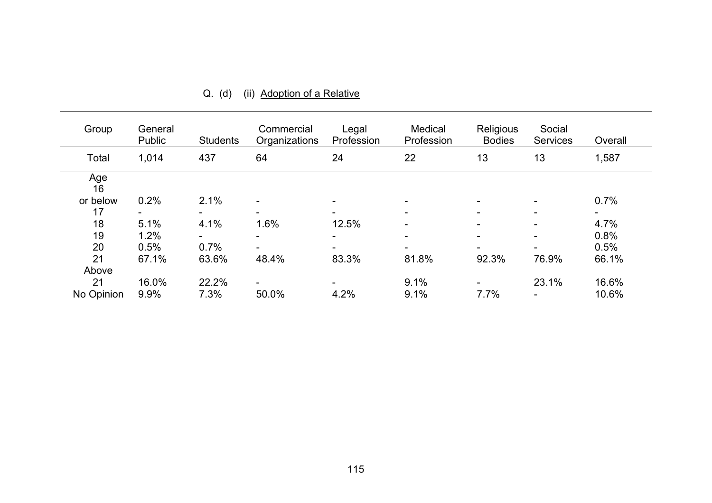| Group      | General<br>Public | <b>Students</b> | Commercial<br>Organizations | Legal<br>Profession | Medical<br>Profession    | Religious<br><b>Bodies</b> | Social<br>Services | Overall |
|------------|-------------------|-----------------|-----------------------------|---------------------|--------------------------|----------------------------|--------------------|---------|
| Total      | 1,014             | 437             | 64                          | 24                  | 22                       | 13                         | 13                 | 1,587   |
| Age<br>16  |                   |                 |                             |                     |                          |                            |                    |         |
| or below   | 0.2%              | 2.1%            |                             |                     |                          |                            |                    | 0.7%    |
| 17         | ۰.                |                 |                             |                     |                          |                            |                    |         |
| 18         | 5.1%              | 4.1%            | 1.6%                        | 12.5%               | $\overline{\phantom{a}}$ | -                          |                    | 4.7%    |
| 19         | 1.2%              |                 |                             |                     |                          |                            |                    | 0.8%    |
| 20         | 0.5%              | 0.7%            |                             |                     |                          |                            |                    | 0.5%    |
| 21         | 67.1%             | 63.6%           | 48.4%                       | 83.3%               | 81.8%                    | 92.3%                      | 76.9%              | 66.1%   |
| Above      |                   |                 |                             |                     |                          |                            |                    |         |
| 21         | 16.0%             | 22.2%           | Ξ.                          |                     | 9.1%                     |                            | 23.1%              | 16.6%   |
| No Opinion | 9.9%              | 7.3%            | 50.0%                       | 4.2%                | 9.1%                     | 7.7%                       |                    | 10.6%   |

Q. (d) (ii) Adoption of a Relative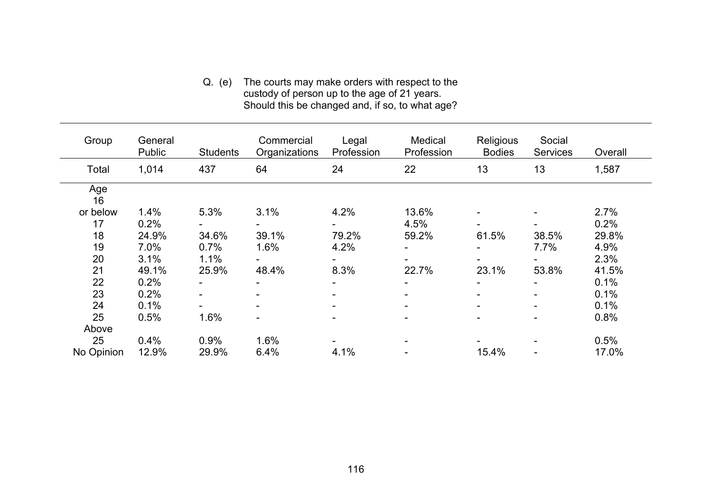#### Q. (e) The courts may make orders with respect to the custody of person up to the age of 21 years. Should this be changed and, if so, to what age?

| Group      | General<br><b>Public</b> | <b>Students</b> | Commercial<br>Organizations | Legal<br>Profession      | Medical<br>Profession | Religious<br><b>Bodies</b> | Social<br><b>Services</b> | Overall |
|------------|--------------------------|-----------------|-----------------------------|--------------------------|-----------------------|----------------------------|---------------------------|---------|
| Total      | 1,014                    | 437             | 64                          | 24                       | 22                    | 13                         | 13                        | 1,587   |
| Age<br>16  |                          |                 |                             |                          |                       |                            |                           |         |
| or below   | 1.4%                     | 5.3%            | 3.1%                        | 4.2%                     | 13.6%                 |                            |                           | 2.7%    |
| 17         | 0.2%                     |                 |                             |                          | 4.5%                  |                            |                           | 0.2%    |
| 18         | 24.9%                    | 34.6%           | 39.1%                       | 79.2%                    | 59.2%                 | 61.5%                      | 38.5%                     | 29.8%   |
| 19         | 7.0%                     | 0.7%            | 1.6%                        | 4.2%                     |                       |                            | 7.7%                      | 4.9%    |
| 20         | 3.1%                     | 1.1%            |                             | -                        |                       |                            |                           | 2.3%    |
| 21         | 49.1%                    | 25.9%           | 48.4%                       | 8.3%                     | 22.7%                 | 23.1%                      | 53.8%                     | 41.5%   |
| 22         | 0.2%                     |                 |                             | ۰                        |                       |                            |                           | 0.1%    |
| 23         | 0.2%                     |                 |                             | $\blacksquare$           |                       |                            |                           | 0.1%    |
| 24         | 0.1%                     |                 |                             | $\overline{\phantom{a}}$ |                       |                            |                           | 0.1%    |
| 25         | 0.5%                     | 1.6%            |                             | -                        |                       |                            |                           | 0.8%    |
| Above      |                          |                 |                             |                          |                       |                            |                           |         |
| 25         | 0.4%                     | 0.9%            | 1.6%                        |                          |                       |                            |                           | 0.5%    |
| No Opinion | 12.9%                    | 29.9%           | 6.4%                        | 4.1%                     |                       | 15.4%                      |                           | 17.0%   |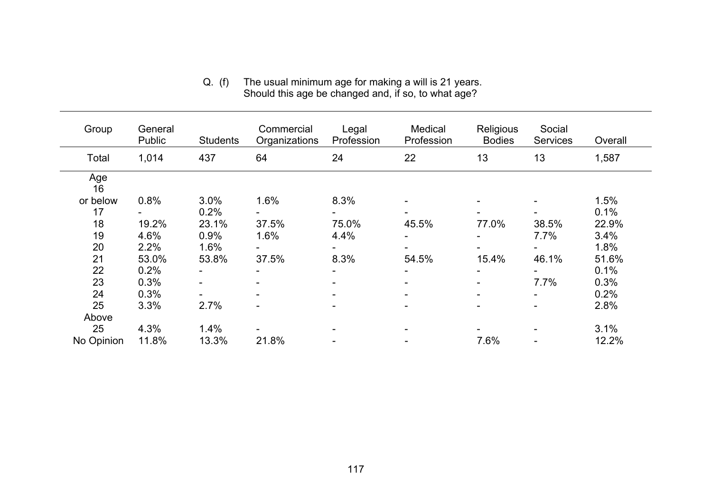| Group      | General<br>Public | <b>Students</b> | Commercial<br>Organizations | Legal<br>Profession | Medical<br>Profession | Religious<br><b>Bodies</b> | Social<br><b>Services</b> | Overall |
|------------|-------------------|-----------------|-----------------------------|---------------------|-----------------------|----------------------------|---------------------------|---------|
| Total      | 1,014             | 437             | 64                          | 24                  | 22                    | 13                         | 13                        | 1,587   |
| Age<br>16  |                   |                 |                             |                     |                       |                            |                           |         |
| or below   | 0.8%              | 3.0%            | 1.6%                        | 8.3%                |                       |                            |                           | 1.5%    |
| 17         |                   | 0.2%            |                             |                     |                       |                            |                           | 0.1%    |
| 18         | 19.2%             | 23.1%           | 37.5%                       | 75.0%               | 45.5%                 | 77.0%                      | 38.5%                     | 22.9%   |
| 19         | 4.6%              | 0.9%            | 1.6%                        | 4.4%                |                       |                            | 7.7%                      | 3.4%    |
| 20         | 2.2%              | 1.6%            |                             |                     |                       |                            |                           | 1.8%    |
| 21         | 53.0%             | 53.8%           | 37.5%                       | 8.3%                | 54.5%                 | 15.4%                      | 46.1%                     | 51.6%   |
| 22         | 0.2%              | $\blacksquare$  |                             |                     |                       |                            |                           | 0.1%    |
| 23         | 0.3%              |                 |                             |                     |                       |                            | 7.7%                      | 0.3%    |
| 24         | 0.3%              |                 |                             |                     |                       |                            |                           | 0.2%    |
| 25         | 3.3%              | 2.7%            |                             |                     |                       |                            |                           | 2.8%    |
| Above      |                   |                 |                             |                     |                       |                            |                           |         |
| 25         | 4.3%              | 1.4%            |                             |                     |                       |                            |                           | 3.1%    |
| No Opinion | 11.8%             | 13.3%           | 21.8%                       |                     |                       | 7.6%                       |                           | 12.2%   |

Q. (f) The usual minimum age for making a will is 21 years. Should this age be changed and, if so, to what age?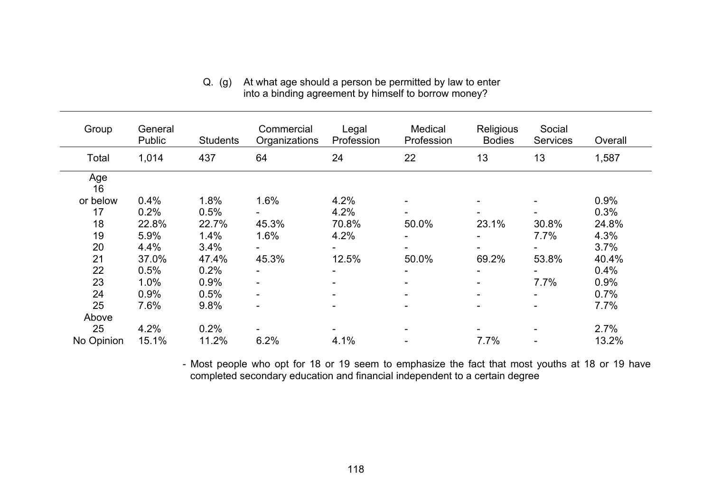| Group      | General<br>Public | <b>Students</b> | Commercial<br>Organizations | Legal<br>Profession      | Medical<br>Profession | Religious<br><b>Bodies</b> | Social<br><b>Services</b> | Overall |
|------------|-------------------|-----------------|-----------------------------|--------------------------|-----------------------|----------------------------|---------------------------|---------|
| Total      | 1,014             | 437             | 64                          | 24                       | 22                    | 13                         | 13                        | 1,587   |
| Age<br>16  |                   |                 |                             |                          |                       |                            |                           |         |
| or below   | 0.4%              | 1.8%            | 1.6%                        | 4.2%                     |                       |                            |                           | 0.9%    |
| 17         | 0.2%              | 0.5%            |                             | 4.2%                     |                       |                            |                           | 0.3%    |
| 18         | 22.8%             | 22.7%           | 45.3%                       | 70.8%                    | 50.0%                 | 23.1%                      | 30.8%                     | 24.8%   |
| 19         | 5.9%              | 1.4%            | 1.6%                        | 4.2%                     |                       |                            | 7.7%                      | 4.3%    |
| 20         | 4.4%              | 3.4%            |                             |                          |                       |                            |                           | 3.7%    |
| 21         | 37.0%             | 47.4%           | 45.3%                       | 12.5%                    | 50.0%                 | 69.2%                      | 53.8%                     | 40.4%   |
| 22         | 0.5%              | 0.2%            |                             | $\overline{\phantom{0}}$ |                       |                            |                           | 0.4%    |
| 23         | 1.0%              | 0.9%            | ۰                           | $\blacksquare$           |                       | -                          | 7.7%                      | 0.9%    |
| 24         | 0.9%              | 0.5%            | ۰                           | $\overline{\phantom{0}}$ |                       |                            |                           | 0.7%    |
| 25         | 7.6%              | 9.8%            |                             | $\overline{\phantom{0}}$ |                       |                            |                           | 7.7%    |
| Above      |                   |                 |                             |                          |                       |                            |                           |         |
| 25         | 4.2%              | 0.2%            |                             |                          |                       |                            |                           | 2.7%    |
| No Opinion | 15.1%             | 11.2%           | 6.2%                        | 4.1%                     |                       | 7.7%                       |                           | 13.2%   |

#### Q. (g) At what age should a person be permitted by law to enter into a binding agreement by himself to borrow money?

 - Most people who opt for 18 or 19 seem to emphasize the fact that most youths at 18 or 19 have completed secondary education and financial independent to a certain degree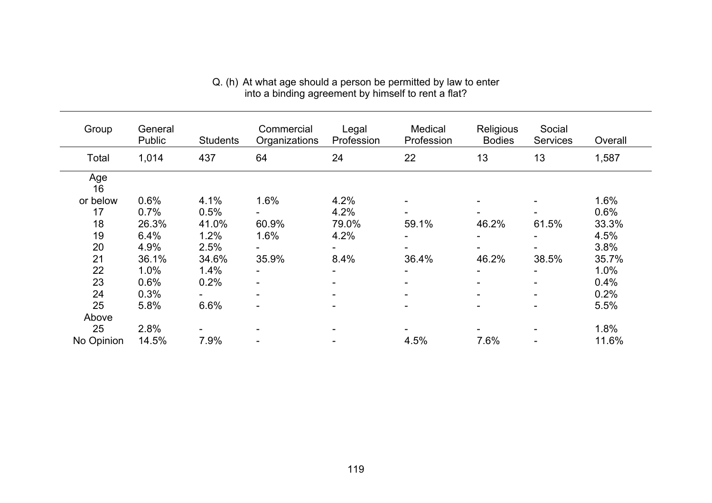| Group      | General<br><b>Public</b> | <b>Students</b> | Commercial<br>Organizations | Legal<br>Profession      | Medical<br>Profession | Religious<br><b>Bodies</b> | Social<br><b>Services</b> | Overall |
|------------|--------------------------|-----------------|-----------------------------|--------------------------|-----------------------|----------------------------|---------------------------|---------|
| Total      | 1,014                    | 437             | 64                          | 24                       | 22                    | 13                         | 13                        | 1,587   |
| Age<br>16  |                          |                 |                             |                          |                       |                            |                           |         |
| or below   | 0.6%                     | 4.1%            | 1.6%                        | 4.2%                     |                       |                            |                           | 1.6%    |
| 17         | 0.7%                     | 0.5%            |                             | 4.2%                     |                       |                            |                           | 0.6%    |
| 18         | 26.3%                    | 41.0%           | 60.9%                       | 79.0%                    | 59.1%                 | 46.2%                      | 61.5%                     | 33.3%   |
| 19         | 6.4%                     | 1.2%            | 1.6%                        | 4.2%                     |                       |                            |                           | 4.5%    |
| 20         | 4.9%                     | 2.5%            |                             |                          |                       |                            |                           | 3.8%    |
| 21         | 36.1%                    | 34.6%           | 35.9%                       | 8.4%                     | 36.4%                 | 46.2%                      | 38.5%                     | 35.7%   |
| 22         | 1.0%                     | 1.4%            |                             |                          |                       |                            |                           | 1.0%    |
| 23         | 0.6%                     | 0.2%            | -                           | $\overline{\phantom{0}}$ | -                     |                            | ۰.                        | 0.4%    |
| 24         | 0.3%                     |                 | ۰                           |                          |                       |                            |                           | 0.2%    |
| 25         | 5.8%                     | 6.6%            |                             |                          |                       |                            |                           | 5.5%    |
| Above      |                          |                 |                             |                          |                       |                            |                           |         |
| 25         | 2.8%                     |                 |                             |                          |                       |                            |                           | 1.8%    |
| No Opinion | 14.5%                    | 7.9%            |                             |                          | 4.5%                  | 7.6%                       |                           | 11.6%   |

#### Q. (h) At what age should a person be permitted by law to enter into a binding agreement by himself to rent a flat?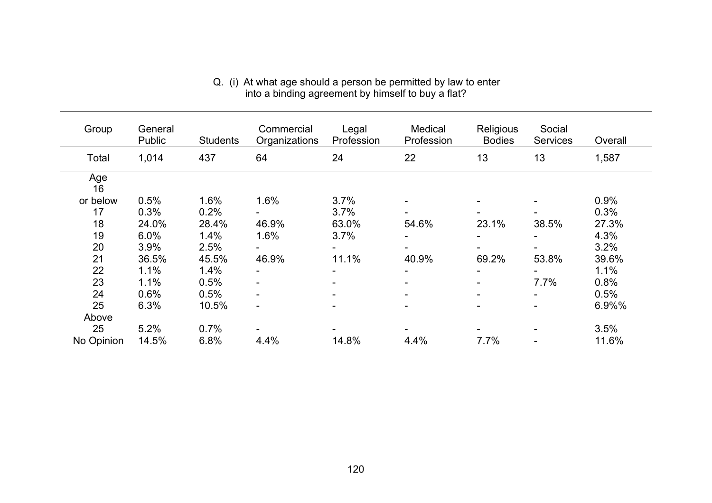| Group      | General<br><b>Public</b> | <b>Students</b> | Commercial<br>Organizations | Legal<br>Profession      | Medical<br>Profession | Religious<br><b>Bodies</b> | Social<br><b>Services</b> | Overall |
|------------|--------------------------|-----------------|-----------------------------|--------------------------|-----------------------|----------------------------|---------------------------|---------|
| Total      | 1,014                    | 437             | 64                          | 24                       | 22                    | 13                         | 13                        | 1,587   |
| Age<br>16  |                          |                 |                             |                          |                       |                            |                           |         |
| or below   | 0.5%                     | 1.6%            | 1.6%                        | 3.7%                     |                       |                            |                           | 0.9%    |
| 17         | 0.3%                     | 0.2%            |                             | 3.7%                     |                       |                            |                           | 0.3%    |
| 18         | 24.0%                    | 28.4%           | 46.9%                       | 63.0%                    | 54.6%                 | 23.1%                      | 38.5%                     | 27.3%   |
| 19         | 6.0%                     | 1.4%            | 1.6%                        | 3.7%                     |                       |                            |                           | 4.3%    |
| 20         | 3.9%                     | 2.5%            |                             |                          |                       |                            |                           | 3.2%    |
| 21         | 36.5%                    | 45.5%           | 46.9%                       | 11.1%                    | 40.9%                 | 69.2%                      | 53.8%                     | 39.6%   |
| 22         | 1.1%                     | 1.4%            |                             |                          |                       |                            |                           | 1.1%    |
| 23         | 1.1%                     | 0.5%            | -                           | $\overline{\phantom{0}}$ |                       | $\overline{\phantom{a}}$   | 7.7%                      | 0.8%    |
| 24         | 0.6%                     | 0.5%            |                             |                          |                       |                            |                           | 0.5%    |
| 25         | 6.3%                     | 10.5%           | $\overline{\phantom{a}}$    |                          |                       |                            |                           | 6.9%%   |
| Above      |                          |                 |                             |                          |                       |                            |                           |         |
| 25         | 5.2%                     | 0.7%            |                             |                          |                       |                            |                           | 3.5%    |
| No Opinion | 14.5%                    | 6.8%            | 4.4%                        | 14.8%                    | 4.4%                  | 7.7%                       |                           | 11.6%   |

#### Q. (i) At what age should a person be permitted by law to enter into a binding agreement by himself to buy a flat?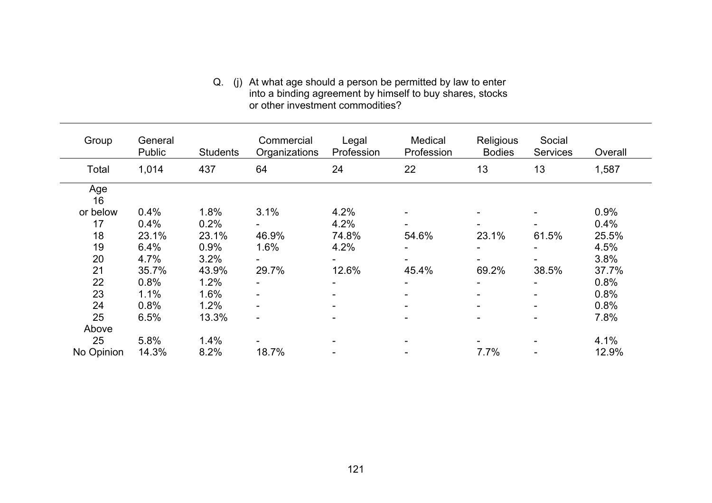#### Q. (j) At what age should a person be permitted by law to enter into a binding agreement by himself to buy shares, stocks or other investment commodities?

| Group      | General<br>Public | <b>Students</b> | Commercial<br>Organizations | Legal<br>Profession      | Medical<br>Profession | Religious<br><b>Bodies</b> | Social<br><b>Services</b> | Overall |
|------------|-------------------|-----------------|-----------------------------|--------------------------|-----------------------|----------------------------|---------------------------|---------|
| Total      | 1,014             | 437             | 64                          | 24                       | 22                    | 13                         | 13                        | 1,587   |
| Age<br>16  |                   |                 |                             |                          |                       |                            |                           |         |
| or below   | 0.4%              | 1.8%            | 3.1%                        | 4.2%                     |                       |                            |                           | 0.9%    |
| 17         | 0.4%              | 0.2%            |                             | 4.2%                     |                       |                            |                           | 0.4%    |
| 18         | 23.1%             | 23.1%           | 46.9%                       | 74.8%                    | 54.6%                 | 23.1%                      | 61.5%                     | 25.5%   |
| 19         | 6.4%              | 0.9%            | 1.6%                        | 4.2%                     |                       |                            |                           | 4.5%    |
| 20         | 4.7%              | 3.2%            |                             | $\overline{\phantom{0}}$ |                       |                            |                           | 3.8%    |
| 21         | 35.7%             | 43.9%           | 29.7%                       | 12.6%                    | 45.4%                 | 69.2%                      | 38.5%                     | 37.7%   |
| 22         | 0.8%              | 1.2%            |                             | $\blacksquare$           |                       |                            |                           | 0.8%    |
| 23         | 1.1%              | 1.6%            |                             | $\overline{\phantom{0}}$ |                       |                            |                           | 0.8%    |
| 24         | 0.8%              | 1.2%            |                             | $\overline{\phantom{a}}$ |                       |                            |                           | 0.8%    |
| 25         | 6.5%              | 13.3%           | -                           | $\blacksquare$           |                       |                            |                           | 7.8%    |
| Above      |                   |                 |                             |                          |                       |                            |                           |         |
| 25         | 5.8%              | 1.4%            |                             |                          |                       |                            |                           | 4.1%    |
| No Opinion | 14.3%             | 8.2%            | 18.7%                       |                          |                       | 7.7%                       |                           | 12.9%   |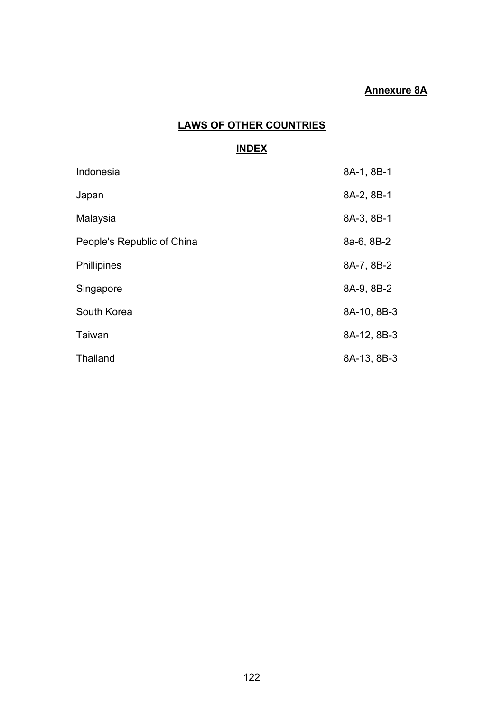## **Annexure 8A**

## **LAWS OF OTHER COUNTRIES**

#### **INDEX**

| Indonesia                  | 8A-1, 8B-1  |
|----------------------------|-------------|
| Japan                      | 8A-2, 8B-1  |
| Malaysia                   | 8A-3, 8B-1  |
| People's Republic of China | 8a-6, 8B-2  |
| <b>Phillipines</b>         | 8A-7, 8B-2  |
| Singapore                  | 8A-9, 8B-2  |
| South Korea                | 8A-10, 8B-3 |
| Taiwan                     | 8A-12, 8B-3 |
| <b>Thailand</b>            | 8A-13, 8B-3 |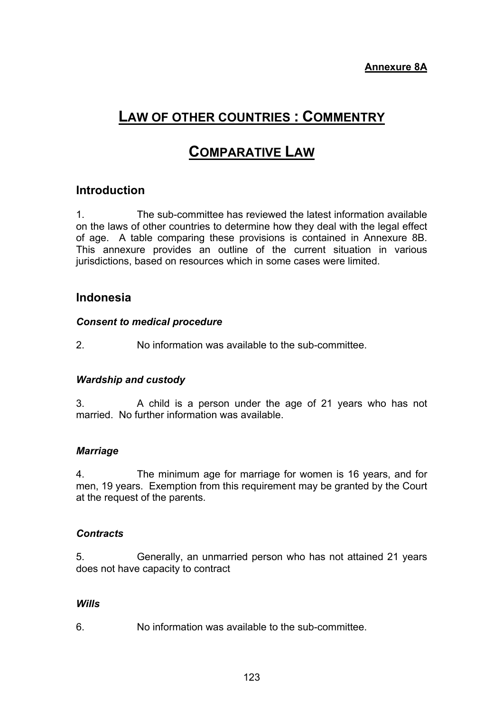# **LAW OF OTHER COUNTRIES : COMMENTRY**

# **COMPARATIVE LAW**

## **Introduction**

1. The sub-committee has reviewed the latest information available on the laws of other countries to determine how they deal with the legal effect of age. A table comparing these provisions is contained in Annexure 8B. This annexure provides an outline of the current situation in various jurisdictions, based on resources which in some cases were limited.

## **Indonesia**

## *Consent to medical procedure*

2. No information was available to the sub-committee.

## *Wardship and custody*

3. A child is a person under the age of 21 years who has not married. No further information was available.

## *Marriage*

4. The minimum age for marriage for women is 16 years, and for men, 19 years. Exemption from this requirement may be granted by the Court at the request of the parents.

## *Contracts*

5. Generally, an unmarried person who has not attained 21 years does not have capacity to contract

## *Wills*

6. No information was available to the sub-committee.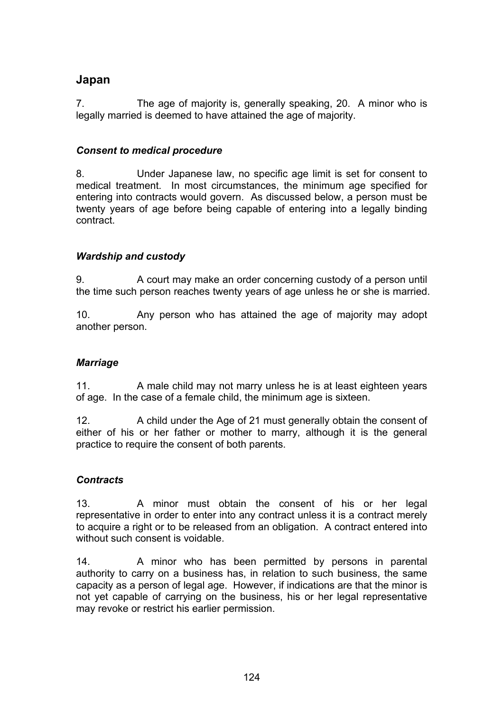## **Japan**

7. The age of majority is, generally speaking, 20. A minor who is legally married is deemed to have attained the age of majority.

## *Consent to medical procedure*

8. Under Japanese law, no specific age limit is set for consent to medical treatment. In most circumstances, the minimum age specified for entering into contracts would govern. As discussed below, a person must be twenty years of age before being capable of entering into a legally binding contract.

## *Wardship and custody*

9. A court may make an order concerning custody of a person until the time such person reaches twenty years of age unless he or she is married.

10. Any person who has attained the age of majority may adopt another person.

## *Marriage*

11. A male child may not marry unless he is at least eighteen years of age. In the case of a female child, the minimum age is sixteen.

12. A child under the Age of 21 must generally obtain the consent of either of his or her father or mother to marry, although it is the general practice to require the consent of both parents.

## *Contracts*

13. A minor must obtain the consent of his or her legal representative in order to enter into any contract unless it is a contract merely to acquire a right or to be released from an obligation. A contract entered into without such consent is voidable.

14. A minor who has been permitted by persons in parental authority to carry on a business has, in relation to such business, the same capacity as a person of legal age. However, if indications are that the minor is not yet capable of carrying on the business, his or her legal representative may revoke or restrict his earlier permission.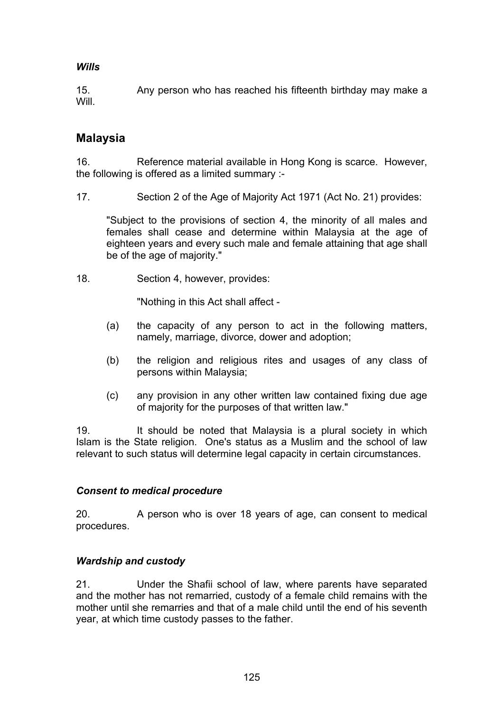## *Wills*

15. Any person who has reached his fifteenth birthday may make a **Will** 

## **Malaysia**

16. Reference material available in Hong Kong is scarce. However, the following is offered as a limited summary :-

17. Section 2 of the Age of Majority Act 1971 (Act No. 21) provides:

"Subject to the provisions of section 4, the minority of all males and females shall cease and determine within Malaysia at the age of eighteen years and every such male and female attaining that age shall be of the age of majority."

18. Section 4, however, provides:

"Nothing in this Act shall affect -

- (a) the capacity of any person to act in the following matters, namely, marriage, divorce, dower and adoption;
- (b) the religion and religious rites and usages of any class of persons within Malaysia;
- (c) any provision in any other written law contained fixing due age of majority for the purposes of that written law."

19. It should be noted that Malaysia is a plural society in which Islam is the State religion. One's status as a Muslim and the school of law relevant to such status will determine legal capacity in certain circumstances.

## *Consent to medical procedure*

20. A person who is over 18 years of age, can consent to medical procedures.

## *Wardship and custody*

21. Under the Shafii school of law, where parents have separated and the mother has not remarried, custody of a female child remains with the mother until she remarries and that of a male child until the end of his seventh year, at which time custody passes to the father.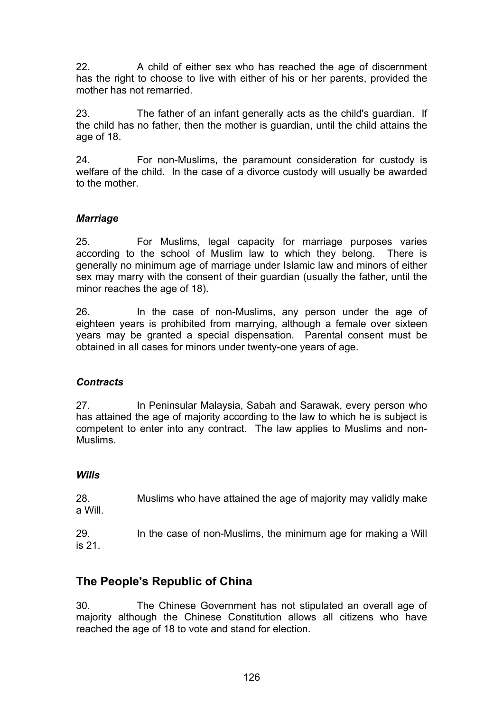22. A child of either sex who has reached the age of discernment has the right to choose to live with either of his or her parents, provided the mother has not remarried.

23. The father of an infant generally acts as the child's guardian. If the child has no father, then the mother is guardian, until the child attains the age of 18.

24. For non-Muslims, the paramount consideration for custody is welfare of the child. In the case of a divorce custody will usually be awarded to the mother.

## *Marriage*

25. For Muslims, legal capacity for marriage purposes varies according to the school of Muslim law to which they belong. There is generally no minimum age of marriage under Islamic law and minors of either sex may marry with the consent of their quardian (usually the father, until the minor reaches the age of 18).

26. In the case of non-Muslims, any person under the age of eighteen years is prohibited from marrying, although a female over sixteen years may be granted a special dispensation. Parental consent must be obtained in all cases for minors under twenty-one years of age.

## *Contracts*

27. In Peninsular Malaysia, Sabah and Sarawak, every person who has attained the age of majority according to the law to which he is subject is competent to enter into any contract. The law applies to Muslims and non-Muslims.

#### *Wills*

28. Muslims who have attained the age of majority may validly make a Will.

29. In the case of non-Muslims, the minimum age for making a Will is 21.

## **The People's Republic of China**

30. The Chinese Government has not stipulated an overall age of majority although the Chinese Constitution allows all citizens who have reached the age of 18 to vote and stand for election.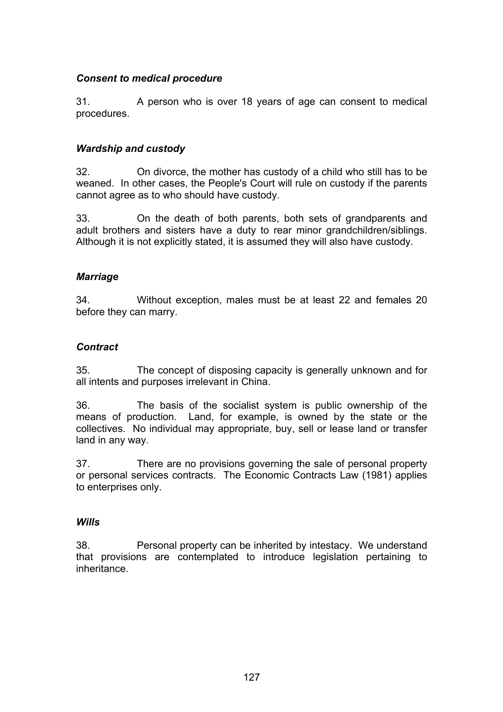### *Consent to medical procedure*

31. A person who is over 18 years of age can consent to medical procedures.

### *Wardship and custody*

32. On divorce, the mother has custody of a child who still has to be weaned. In other cases, the People's Court will rule on custody if the parents cannot agree as to who should have custody.

33. On the death of both parents, both sets of grandparents and adult brothers and sisters have a duty to rear minor grandchildren/siblings. Although it is not explicitly stated, it is assumed they will also have custody.

#### *Marriage*

34. Without exception, males must be at least 22 and females 20 before they can marry.

#### *Contract*

35. The concept of disposing capacity is generally unknown and for all intents and purposes irrelevant in China.

36. The basis of the socialist system is public ownership of the means of production. Land, for example, is owned by the state or the collectives. No individual may appropriate, buy, sell or lease land or transfer land in any way.

37. There are no provisions governing the sale of personal property or personal services contracts. The Economic Contracts Law (1981) applies to enterprises only.

#### *Wills*

38. Personal property can be inherited by intestacy. We understand that provisions are contemplated to introduce legislation pertaining to inheritance.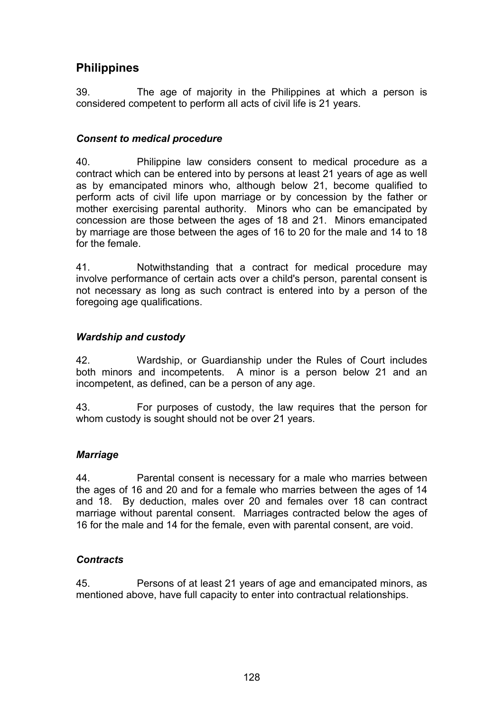## **Philippines**

39. The age of majority in the Philippines at which a person is considered competent to perform all acts of civil life is 21 years.

## *Consent to medical procedure*

40. Philippine law considers consent to medical procedure as a contract which can be entered into by persons at least 21 years of age as well as by emancipated minors who, although below 21, become qualified to perform acts of civil life upon marriage or by concession by the father or mother exercising parental authority. Minors who can be emancipated by concession are those between the ages of 18 and 21. Minors emancipated by marriage are those between the ages of 16 to 20 for the male and 14 to 18 for the female.

41. Notwithstanding that a contract for medical procedure may involve performance of certain acts over a child's person, parental consent is not necessary as long as such contract is entered into by a person of the foregoing age qualifications.

## *Wardship and custody*

42. Wardship, or Guardianship under the Rules of Court includes both minors and incompetents. A minor is a person below 21 and an incompetent, as defined, can be a person of any age.

43. For purposes of custody, the law requires that the person for whom custody is sought should not be over 21 years.

## *Marriage*

44. Parental consent is necessary for a male who marries between the ages of 16 and 20 and for a female who marries between the ages of 14 and 18. By deduction, males over 20 and females over 18 can contract marriage without parental consent. Marriages contracted below the ages of 16 for the male and 14 for the female, even with parental consent, are void.

## *Contracts*

45. Persons of at least 21 years of age and emancipated minors, as mentioned above, have full capacity to enter into contractual relationships.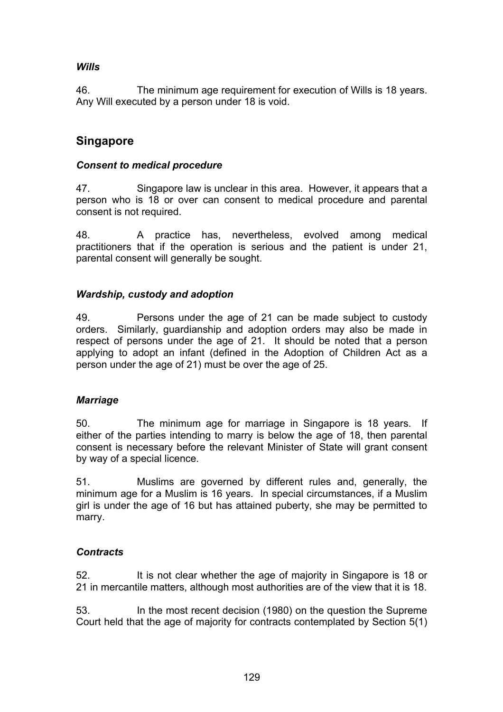## *Wills*

46. The minimum age requirement for execution of Wills is 18 years. Any Will executed by a person under 18 is void.

## **Singapore**

### *Consent to medical procedure*

47. Singapore law is unclear in this area. However, it appears that a person who is 18 or over can consent to medical procedure and parental consent is not required.

48. A practice has, nevertheless, evolved among medical practitioners that if the operation is serious and the patient is under 21, parental consent will generally be sought.

## *Wardship, custody and adoption*

49. Persons under the age of 21 can be made subject to custody orders. Similarly, guardianship and adoption orders may also be made in respect of persons under the age of 21. It should be noted that a person applying to adopt an infant (defined in the Adoption of Children Act as a person under the age of 21) must be over the age of 25.

## *Marriage*

50. The minimum age for marriage in Singapore is 18 years. If either of the parties intending to marry is below the age of 18, then parental consent is necessary before the relevant Minister of State will grant consent by way of a special licence.

51. Muslims are governed by different rules and, generally, the minimum age for a Muslim is 16 years. In special circumstances, if a Muslim girl is under the age of 16 but has attained puberty, she may be permitted to marry.

## *Contracts*

52. It is not clear whether the age of majority in Singapore is 18 or 21 in mercantile matters, although most authorities are of the view that it is 18.

53. In the most recent decision (1980) on the question the Supreme Court held that the age of majority for contracts contemplated by Section 5(1)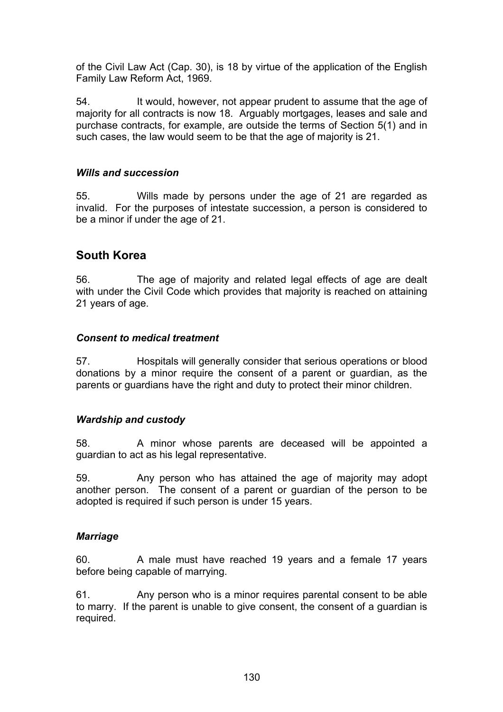of the Civil Law Act (Cap. 30), is 18 by virtue of the application of the English Family Law Reform Act, 1969.

54. It would, however, not appear prudent to assume that the age of majority for all contracts is now 18. Arguably mortgages, leases and sale and purchase contracts, for example, are outside the terms of Section 5(1) and in such cases, the law would seem to be that the age of majority is 21.

## *Wills and succession*

55. Wills made by persons under the age of 21 are regarded as invalid. For the purposes of intestate succession, a person is considered to be a minor if under the age of 21.

## **South Korea**

56. The age of majority and related legal effects of age are dealt with under the Civil Code which provides that majority is reached on attaining 21 years of age.

#### *Consent to medical treatment*

57. Hospitals will generally consider that serious operations or blood donations by a minor require the consent of a parent or guardian, as the parents or guardians have the right and duty to protect their minor children.

## *Wardship and custody*

58. A minor whose parents are deceased will be appointed a guardian to act as his legal representative.

59. Any person who has attained the age of majority may adopt another person. The consent of a parent or guardian of the person to be adopted is required if such person is under 15 years.

#### *Marriage*

60. A male must have reached 19 years and a female 17 years before being capable of marrying.

61. Any person who is a minor requires parental consent to be able to marry. If the parent is unable to give consent, the consent of a guardian is required.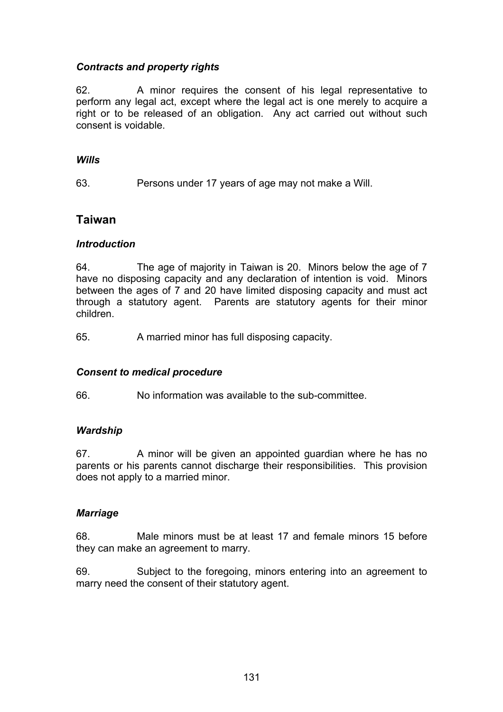## *Contracts and property rights*

62. A minor requires the consent of his legal representative to perform any legal act, except where the legal act is one merely to acquire a right or to be released of an obligation. Any act carried out without such consent is voidable.

#### *Wills*

63. Persons under 17 years of age may not make a Will.

#### **Taiwan**

#### *Introduction*

64. The age of majority in Taiwan is 20. Minors below the age of 7 have no disposing capacity and any declaration of intention is void. Minors between the ages of 7 and 20 have limited disposing capacity and must act through a statutory agent. Parents are statutory agents for their minor children.

65. A married minor has full disposing capacity.

#### *Consent to medical procedure*

66. No information was available to the sub-committee.

#### *Wardship*

67. A minor will be given an appointed guardian where he has no parents or his parents cannot discharge their responsibilities. This provision does not apply to a married minor.

#### *Marriage*

68. Male minors must be at least 17 and female minors 15 before they can make an agreement to marry.

69. Subject to the foregoing, minors entering into an agreement to marry need the consent of their statutory agent.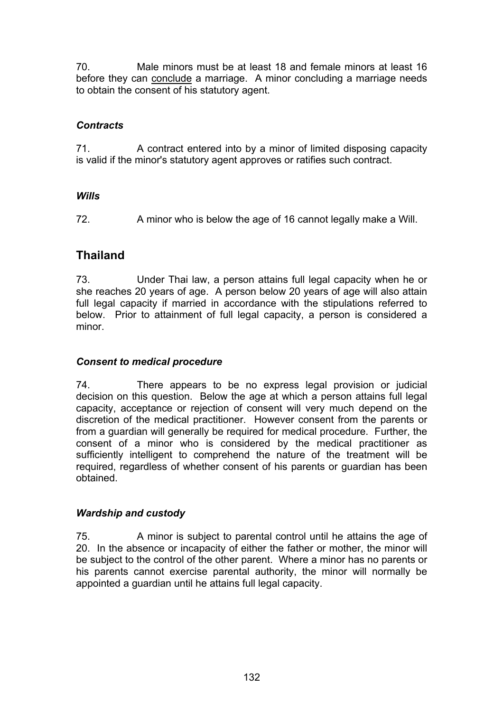70. Male minors must be at least 18 and female minors at least 16 before they can conclude a marriage. A minor concluding a marriage needs to obtain the consent of his statutory agent.

## *Contracts*

71. A contract entered into by a minor of limited disposing capacity is valid if the minor's statutory agent approves or ratifies such contract.

## *Wills*

72. A minor who is below the age of 16 cannot legally make a Will.

## **Thailand**

73. Under Thai law, a person attains full legal capacity when he or she reaches 20 years of age. A person below 20 years of age will also attain full legal capacity if married in accordance with the stipulations referred to below. Prior to attainment of full legal capacity, a person is considered a minor.

## *Consent to medical procedure*

74. There appears to be no express legal provision or judicial decision on this question. Below the age at which a person attains full legal capacity, acceptance or rejection of consent will very much depend on the discretion of the medical practitioner. However consent from the parents or from a guardian will generally be required for medical procedure. Further, the consent of a minor who is considered by the medical practitioner as sufficiently intelligent to comprehend the nature of the treatment will be required, regardless of whether consent of his parents or guardian has been obtained.

## *Wardship and custody*

75. A minor is subject to parental control until he attains the age of 20. In the absence or incapacity of either the father or mother, the minor will be subject to the control of the other parent. Where a minor has no parents or his parents cannot exercise parental authority, the minor will normally be appointed a guardian until he attains full legal capacity.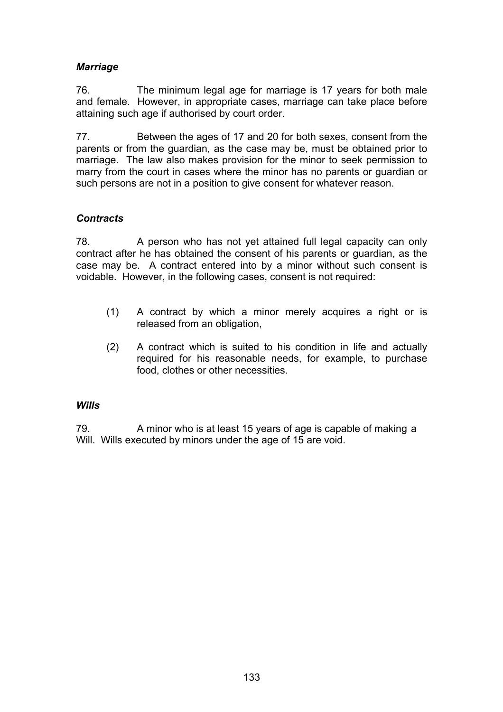## *Marriage*

76. The minimum legal age for marriage is 17 years for both male and female. However, in appropriate cases, marriage can take place before attaining such age if authorised by court order.

77. Between the ages of 17 and 20 for both sexes, consent from the parents or from the guardian, as the case may be, must be obtained prior to marriage. The law also makes provision for the minor to seek permission to marry from the court in cases where the minor has no parents or guardian or such persons are not in a position to give consent for whatever reason.

## *Contracts*

78. A person who has not yet attained full legal capacity can only contract after he has obtained the consent of his parents or guardian, as the case may be. A contract entered into by a minor without such consent is voidable. However, in the following cases, consent is not required:

- (1) A contract by which a minor merely acquires a right or is released from an obligation,
- (2) A contract which is suited to his condition in life and actually required for his reasonable needs, for example, to purchase food, clothes or other necessities.

## *Wills*

79. A minor who is at least 15 years of age is capable of making a Will. Wills executed by minors under the age of 15 are void.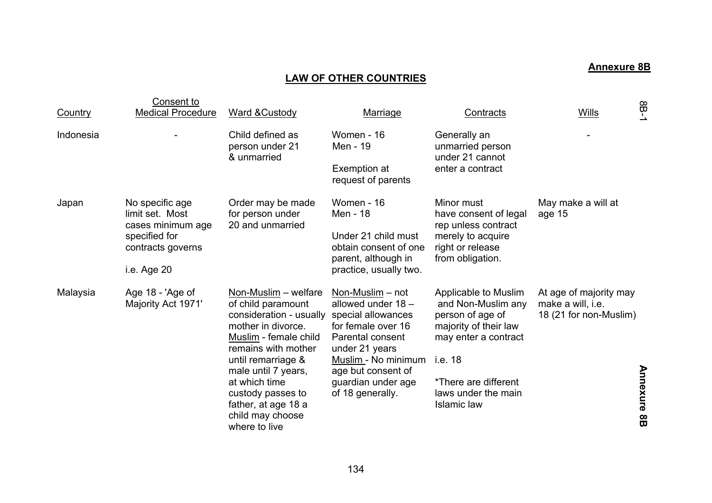## **Annexure 8B**

## **LAW OF OTHER COUNTRIES**

| Country   | Consent to<br><b>Medical Procedure</b>                                                                       | Ward & Custody                                                                                                                                                                                                                                                                             | <b>Marriage</b>                                                                                                                                                                                                        | Contracts                                                                                                                                                                                       | <b>Wills</b>                                                          | $-98$              |
|-----------|--------------------------------------------------------------------------------------------------------------|--------------------------------------------------------------------------------------------------------------------------------------------------------------------------------------------------------------------------------------------------------------------------------------------|------------------------------------------------------------------------------------------------------------------------------------------------------------------------------------------------------------------------|-------------------------------------------------------------------------------------------------------------------------------------------------------------------------------------------------|-----------------------------------------------------------------------|--------------------|
| Indonesia |                                                                                                              | Child defined as<br>person under 21<br>& unmarried                                                                                                                                                                                                                                         | Women - 16<br>Men - 19<br>Exemption at<br>request of parents                                                                                                                                                           | Generally an<br>unmarried person<br>under 21 cannot<br>enter a contract                                                                                                                         |                                                                       |                    |
| Japan     | No specific age<br>limit set. Most<br>cases minimum age<br>specified for<br>contracts governs<br>i.e. Age 20 | Order may be made<br>for person under<br>20 and unmarried                                                                                                                                                                                                                                  | Women - 16<br>Men - 18<br>Under 21 child must<br>obtain consent of one<br>parent, although in<br>practice, usually two.                                                                                                | Minor must<br>have consent of legal<br>rep unless contract<br>merely to acquire<br>right or release<br>from obligation.                                                                         | May make a will at<br>age 15                                          |                    |
| Malaysia  | Age 18 - 'Age of<br>Majority Act 1971'                                                                       | Non-Muslim - welfare<br>of child paramount<br>consideration - usually<br>mother in divorce.<br>Muslim - female child<br>remains with mother<br>until remarriage &<br>male until 7 years,<br>at which time<br>custody passes to<br>father, at age 18 a<br>child may choose<br>where to live | Non-Muslim – not<br>allowed under 18 -<br>special allowances<br>for female over 16<br><b>Parental consent</b><br>under 21 years<br>Muslim - No minimum<br>age but consent of<br>guardian under age<br>of 18 generally. | Applicable to Muslim<br>and Non-Muslim any<br>person of age of<br>majority of their law<br>may enter a contract<br>i.e. 18<br>*There are different<br>laws under the main<br><b>Islamic law</b> | At age of majority may<br>make a will, i.e.<br>18 (21 for non-Muslim) | <b>Annexure 8B</b> |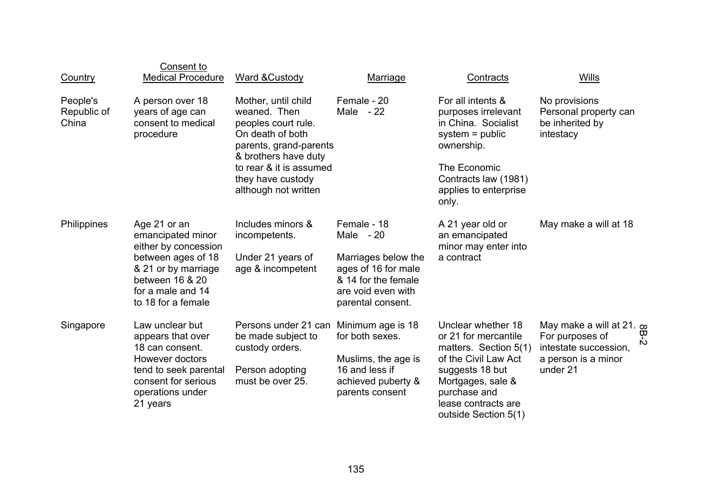| <b>Country</b>                   | Consent to<br><b>Medical Procedure</b>                                                                                                                               | Ward & Custody                                                                                                                                                                                           | Marriage                                                                                                                                  | Contracts                                                                                                                                                                                          | Wills                                                                                                                   |
|----------------------------------|----------------------------------------------------------------------------------------------------------------------------------------------------------------------|----------------------------------------------------------------------------------------------------------------------------------------------------------------------------------------------------------|-------------------------------------------------------------------------------------------------------------------------------------------|----------------------------------------------------------------------------------------------------------------------------------------------------------------------------------------------------|-------------------------------------------------------------------------------------------------------------------------|
| People's<br>Republic of<br>China | A person over 18<br>years of age can<br>consent to medical<br>procedure                                                                                              | Mother, until child<br>weaned. Then<br>peoples court rule.<br>On death of both<br>parents, grand-parents<br>& brothers have duty<br>to rear & it is assumed<br>they have custody<br>although not written | Female - 20<br>Male $-22$                                                                                                                 | For all intents &<br>purposes irrelevant<br>in China. Socialist<br>$system = public$<br>ownership.<br>The Economic<br>Contracts law (1981)<br>applies to enterprise<br>only.                       | No provisions<br>Personal property can<br>be inherited by<br>intestacy                                                  |
| Philippines                      | Age 21 or an<br>emancipated minor<br>either by concession<br>between ages of 18<br>& 21 or by marriage<br>between 16 & 20<br>for a male and 14<br>to 18 for a female | Includes minors &<br>incompetents.<br>Under 21 years of<br>age & incompetent                                                                                                                             | Female - 18<br>Male $-20$<br>Marriages below the<br>ages of 16 for male<br>& 14 for the female<br>are void even with<br>parental consent. | A 21 year old or<br>an emancipated<br>minor may enter into<br>a contract                                                                                                                           | May make a will at 18                                                                                                   |
| Singapore                        | Law unclear but<br>appears that over<br>18 can consent.<br>However doctors<br>tend to seek parental<br>consent for serious<br>operations under<br>21 years           | Persons under 21 can Minimum age is 18<br>be made subject to<br>custody orders.<br>Person adopting<br>must be over 25.                                                                                   | for both sexes.<br>Muslims, the age is<br>16 and less if<br>achieved puberty &<br>parents consent                                         | Unclear whether 18<br>or 21 for mercantile<br>matters. Section 5(1)<br>of the Civil Law Act<br>suggests 18 but<br>Mortgages, sale &<br>purchase and<br>lease contracts are<br>outside Section 5(1) | May make a will at 21. $\infty$<br>$B-2$<br>For purposes of<br>intestate succession,<br>a person is a minor<br>under 21 |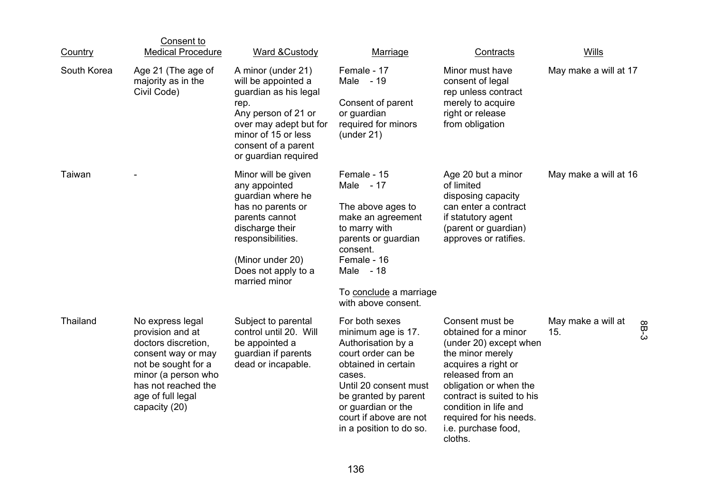| Country     | Consent to<br><b>Medical Procedure</b>                                                                                                                                                       | Ward & Custody                                                                                                                                                                                       | Marriage                                                                                                                                                                                                                                      | Contracts                                                                                                                                                                                                                                                                     | Wills                     |      |
|-------------|----------------------------------------------------------------------------------------------------------------------------------------------------------------------------------------------|------------------------------------------------------------------------------------------------------------------------------------------------------------------------------------------------------|-----------------------------------------------------------------------------------------------------------------------------------------------------------------------------------------------------------------------------------------------|-------------------------------------------------------------------------------------------------------------------------------------------------------------------------------------------------------------------------------------------------------------------------------|---------------------------|------|
| South Korea | Age 21 (The age of<br>majority as in the<br>Civil Code)                                                                                                                                      | A minor (under 21)<br>will be appointed a<br>guardian as his legal<br>rep.<br>Any person of 21 or<br>over may adept but for<br>minor of 15 or less<br>consent of a parent<br>or guardian required    | Female - 17<br>Male - 19<br>Consent of parent<br>or guardian<br>required for minors<br>$($ under 21 $)$                                                                                                                                       | Minor must have<br>consent of legal<br>rep unless contract<br>merely to acquire<br>right or release<br>from obligation                                                                                                                                                        | May make a will at 17     |      |
| Taiwan      |                                                                                                                                                                                              | Minor will be given<br>any appointed<br>guardian where he<br>has no parents or<br>parents cannot<br>discharge their<br>responsibilities.<br>(Minor under 20)<br>Does not apply to a<br>married minor | Female - 15<br>Male - 17<br>The above ages to<br>make an agreement<br>to marry with<br>parents or guardian<br>consent.<br>Female - 16<br>Male - 18<br>To conclude a marriage<br>with above consent.                                           | Age 20 but a minor<br>of limited<br>disposing capacity<br>can enter a contract<br>if statutory agent<br>(parent or guardian)<br>approves or ratifies.                                                                                                                         | May make a will at 16     |      |
| Thailand    | No express legal<br>provision and at<br>doctors discretion,<br>consent way or may<br>not be sought for a<br>minor (a person who<br>has not reached the<br>age of full legal<br>capacity (20) | Subject to parental<br>control until 20. Will<br>be appointed a<br>guardian if parents<br>dead or incapable.                                                                                         | For both sexes<br>minimum age is 17.<br>Authorisation by a<br>court order can be<br>obtained in certain<br>cases.<br>Until 20 consent must<br>be granted by parent<br>or guardian or the<br>court if above are not<br>in a position to do so. | Consent must be<br>obtained for a minor<br>(under 20) except when<br>the minor merely<br>acquires a right or<br>released from an<br>obligation or when the<br>contract is suited to his<br>condition in life and<br>required for his needs.<br>i.e. purchase food,<br>cloths. | May make a will at<br>15. | 8B-3 |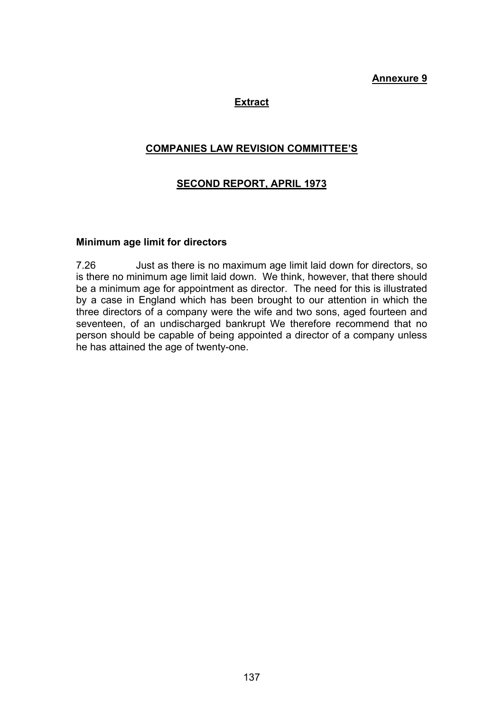### **Annexure 9**

### **Extract**

### **COMPANIES LAW REVISION COMMITTEE'S**

### **SECOND REPORT, APRIL 1973**

#### **Minimum age limit for directors**

7.26 Just as there is no maximum age limit laid down for directors, so is there no minimum age limit laid down. We think, however, that there should be a minimum age for appointment as director. The need for this is illustrated by a case in England which has been brought to our attention in which the three directors of a company were the wife and two sons, aged fourteen and seventeen, of an undischarged bankrupt We therefore recommend that no person should be capable of being appointed a director of a company unless he has attained the age of twenty-one.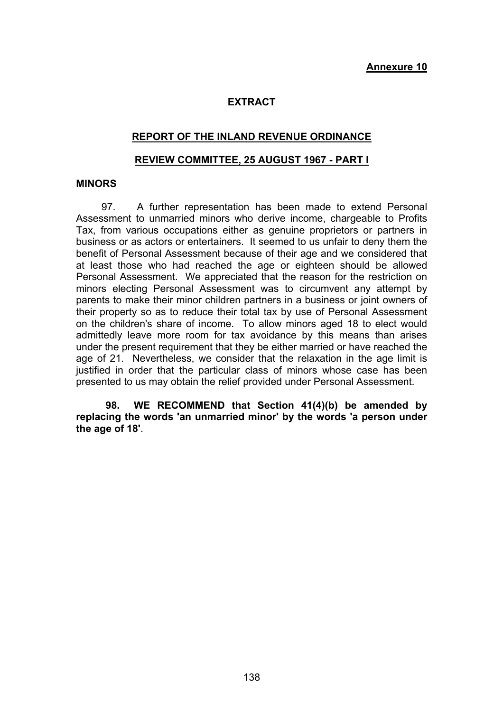### **EXTRACT**

### **REPORT OF THE INLAND REVENUE ORDINANCE**

#### **REVIEW COMMITTEE, 25 AUGUST 1967 - PART I**

### **MINORS**

 97. A further representation has been made to extend Personal Assessment to unmarried minors who derive income, chargeable to Profits Tax, from various occupations either as genuine proprietors or partners in business or as actors or entertainers. It seemed to us unfair to deny them the benefit of Personal Assessment because of their age and we considered that at least those who had reached the age or eighteen should be allowed Personal Assessment. We appreciated that the reason for the restriction on minors electing Personal Assessment was to circumvent any attempt by parents to make their minor children partners in a business or joint owners of their property so as to reduce their total tax by use of Personal Assessment on the children's share of income. To allow minors aged 18 to elect would admittedly leave more room for tax avoidance by this means than arises under the present requirement that they be either married or have reached the age of 21. Nevertheless, we consider that the relaxation in the age limit is justified in order that the particular class of minors whose case has been presented to us may obtain the relief provided under Personal Assessment.

 **98. WE RECOMMEND that Section 41(4)(b) be amended by replacing the words 'an unmarried minor' by the words 'a person under the age of 18'**.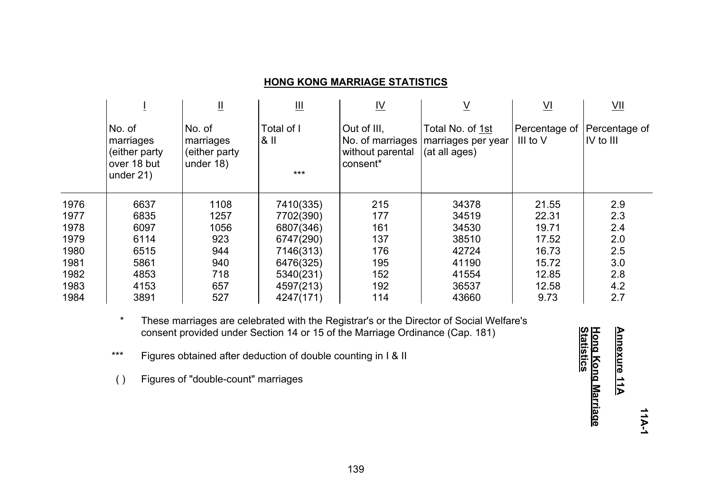### **HONG KONG MARRIAGE STATISTICS**

|      |                                                                      | Щ                                                 | Щ                             | <u>IV</u>                                                       | <u>V</u>                                                | $\underline{\mathsf{V}}$                | $\underline{\vee}$                                    |
|------|----------------------------------------------------------------------|---------------------------------------------------|-------------------------------|-----------------------------------------------------------------|---------------------------------------------------------|-----------------------------------------|-------------------------------------------------------|
|      | No. of<br>marriages<br>(either party)<br>over 18 but<br>under $21$ ) | No. of<br>marriages<br>(either party<br>under 18) | Total of I<br>$8$ II<br>$***$ | Out of III.<br>No. of marriages<br>without parental<br>consent* | Total No. of 1st<br>marriages per year<br>(at all ages) | Percentage of Percentage of<br>III to V | $\overline{\mathsf{IV}}$ to $\overline{\mathsf{III}}$ |
| 1976 | 6637                                                                 | 1108                                              | 7410(335)                     | 215                                                             | 34378                                                   | 21.55                                   | 2.9                                                   |
| 1977 | 6835                                                                 | 1257                                              | 7702(390)                     | 177                                                             | 34519                                                   | 22.31                                   | 2.3                                                   |
| 1978 | 6097                                                                 | 1056                                              | 6807(346)                     | 161                                                             | 34530                                                   | 19.71                                   | 2.4                                                   |
| 1979 | 6114                                                                 | 923                                               | 6747(290)                     | 137                                                             | 38510                                                   | 17.52                                   | 2.0                                                   |
| 1980 | 6515                                                                 | 944                                               | 7146(313)                     | 176                                                             | 42724                                                   | 16.73                                   | 2.5                                                   |
| 1981 | 5861                                                                 | 940                                               | 6476(325)                     | 195                                                             | 41190                                                   | 15.72                                   | 3.0                                                   |
| 1982 | 4853                                                                 | 718                                               | 5340(231)                     | 152                                                             | 41554                                                   | 12.85                                   | 2.8                                                   |
| 1983 | 4153                                                                 | 657                                               | 4597(213)                     | 192                                                             | 36537                                                   | 12.58                                   | 4.2                                                   |
| 1984 | 3891                                                                 | 527                                               | 4247(171)                     | 114                                                             | 43660                                                   | 9.73                                    | 2.7                                                   |

\* These marriages are celebrated with the Registrar's or the Director of Social Welfare's consent provided under Section 14 or 15 of the Marriage Ordinance (Cap. 181)

\*\*\* Figures obtained after deduction of double counting in I & II

( ) Figures of "double-count" marriages

<u>Hong Kong Marriage</u><br><u>Statistics</u> **Annexure 11A Annexure 11AStatistics Hong Kong Marriage**

**11A-1**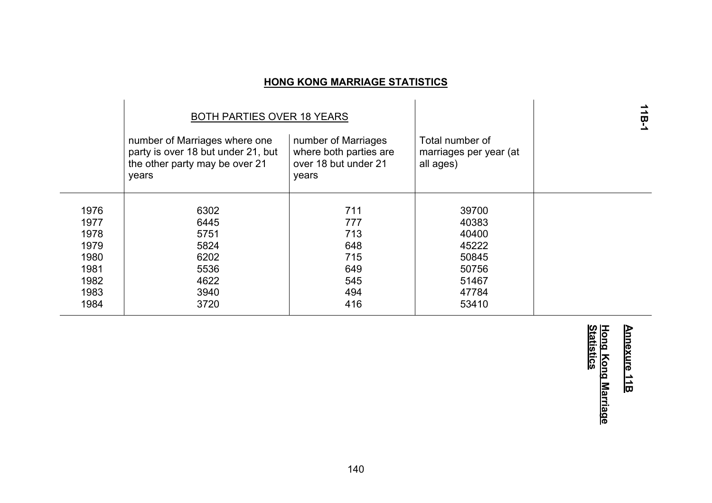# **HONG KONG MARRIAGE STATISTICS**

|      | BOTH PARTIES OVER 18 YEARS                                                                                     |                                                                                |                                                        | 18-1 |
|------|----------------------------------------------------------------------------------------------------------------|--------------------------------------------------------------------------------|--------------------------------------------------------|------|
|      | number of Marriages where one<br>party is over 18 but under 21, but<br>the other party may be over 21<br>years | number of Marriages<br>where both parties are<br>over 18 but under 21<br>years | Total number of<br>marriages per year (at<br>all ages) |      |
| 1976 | 6302                                                                                                           | 711                                                                            | 39700                                                  |      |
| 1977 | 6445                                                                                                           | 777                                                                            | 40383                                                  |      |
|      |                                                                                                                |                                                                                |                                                        |      |
| 1978 | 5751                                                                                                           | 713                                                                            | 40400                                                  |      |
| 1979 | 5824                                                                                                           | 648                                                                            | 45222                                                  |      |
| 1980 | 6202                                                                                                           | 715                                                                            | 50845                                                  |      |
| 1981 | 5536                                                                                                           | 649                                                                            | 50756                                                  |      |
| 1982 | 4622                                                                                                           | 545                                                                            | 51467                                                  |      |
| 1983 | 3940                                                                                                           | 494                                                                            | 47784                                                  |      |
| 1984 | 3720                                                                                                           | 416                                                                            | 53410                                                  |      |
|      |                                                                                                                |                                                                                |                                                        |      |

# **Annexure 11B Annexure 11B**

# <u>Hong Kong Marriage</u><br><u>Statistics</u> **Statistics Hong Kong Marriage**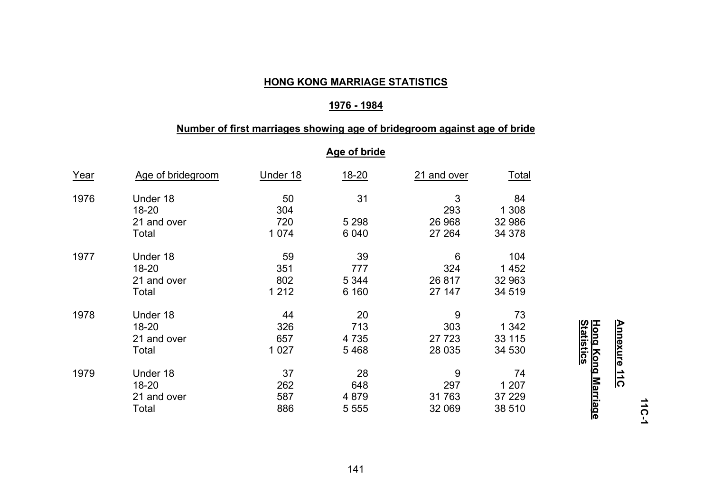## **HONG KONG MARRIAGE STATISTICS**

## **1976 - 1984**

## **Number of first marriages showing age of bridegroom against age of bride**

## **Age of bride**

| Year | Age of bridegroom | Under 18  | $18 - 20$ | 21 and over | <u>Total</u> |
|------|-------------------|-----------|-----------|-------------|--------------|
| 1976 | Under 18<br>18-20 | 50<br>304 | 31        | 3<br>293    | 84<br>1 308  |
|      | 21 and over       | 720       | 5 2 9 8   | 26 968      | 32 986       |
|      | Total             | 1 0 7 4   | 6 0 4 0   | 27 264      | 34 378       |
| 1977 | Under 18          | 59        | 39        | 6           | 104          |
|      | 18-20             | 351       | 777       | 324         | 1 4 5 2      |
|      | 21 and over       | 802       | 5 3 4 4   | 26 817      | 32 963       |
|      | Total             | 1 2 1 2   | 6 160     | 27 147      | 34 519       |
| 1978 | Under 18          | 44        | 20        | 9           | 73           |
|      | 18-20             | 326       | 713       | 303         | 1 3 4 2      |
|      | 21 and over       | 657       | 4 7 3 5   | 27 7 23     | 33 115       |
|      | Total             | 1 0 2 7   | 5468      | 28 0 35     | 34 530       |
| 1979 | Under 18          | 37        | 28        | 9           | 74           |
|      | 18-20             | 262       | 648       | 297         | 1 207        |
|      | 21 and over       | 587       | 4 8 7 9   | 31763       | 37 229       |
|      | Total             | 886       | 5 5 5 5   | 32 069      | 38 510       |

**11C-1** 

# <u>Hong Kong Marriage</u><br><u>Statistics</u> **Statistics Hong Kong Marriage**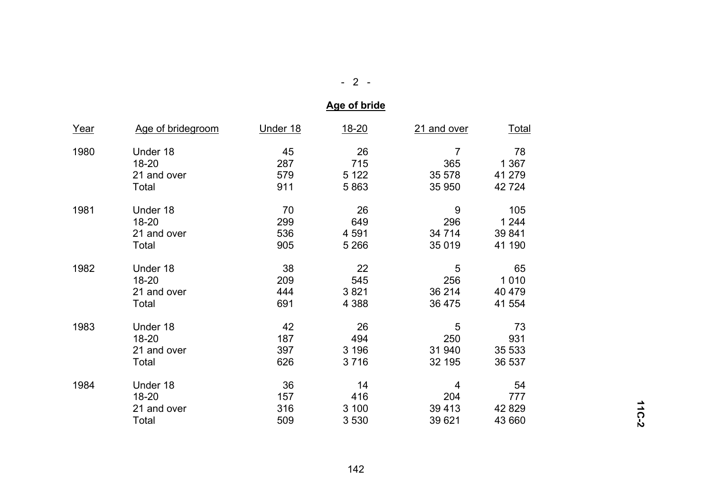# - 2 -

# **Age of bride**

| <u>Year</u> | Age of bridegroom | Under 18 | $18 - 20$ | 21 and over | <u>Total</u> |
|-------------|-------------------|----------|-----------|-------------|--------------|
| 1980        | Under 18          | 45       | 26        | 7           | 78           |
|             | $18 - 20$         | 287      | 715       | 365         | 1 3 6 7      |
|             | 21 and over       | 579      | 5 1 2 2   | 35 578      | 41 279       |
|             | Total             | 911      | 5863      | 35 950      | 42 724       |
| 1981        | Under 18          | 70       | 26        | 9           | 105          |
|             | $18 - 20$         | 299      | 649       | 296         | 1 2 4 4      |
|             | 21 and over       | 536      | 4 5 9 1   | 34 7 14     | 39 841       |
|             | Total             | 905      | 5 2 6 6   | 35 019      | 41 190       |
| 1982        | Under 18          | 38       | 22        | 5           | 65           |
|             | $18 - 20$         | 209      | 545       | 256         | 1 0 1 0      |
|             | 21 and over       | 444      | 3821      | 36 214      | 40 479       |
|             | Total             | 691      | 4 3 8 8   | 36 475      | 41 554       |
| 1983        | Under 18          | 42       | 26        | 5           | 73           |
|             | 18-20             | 187      | 494       | 250         | 931          |
|             | 21 and over       | 397      | 3 1 9 6   | 31 940      | 35 533       |
|             | Total             | 626      | 3716      | 32 195      | 36 537       |
| 1984        | Under 18          | 36       | 14        | 4           | 54           |
|             | $18 - 20$         | 157      | 416       | 204         | 777          |
|             | 21 and over       | 316      | 3 100     | 39 413      | 42 829       |
|             | Total             | 509      | 3 5 3 0   | 39 621      | 43 660       |

**11C-2**